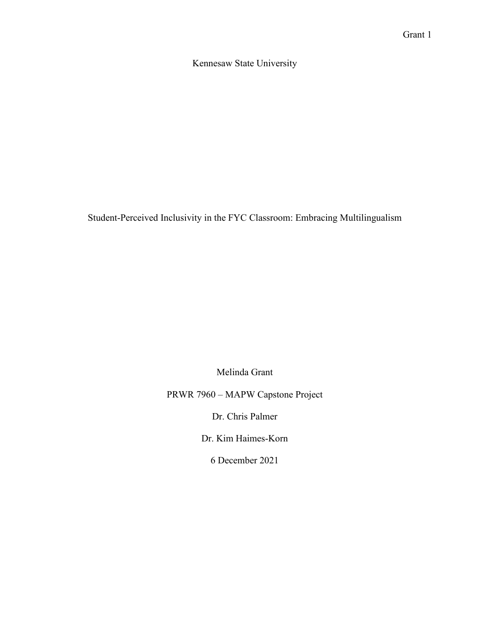Kennesaw State University

Student-Perceived Inclusivity in the FYC Classroom: Embracing Multilingualism

Melinda Grant

PRWR 7960 – MAPW Capstone Project

Dr. Chris Palmer

Dr. Kim Haimes-Korn

6 December 2021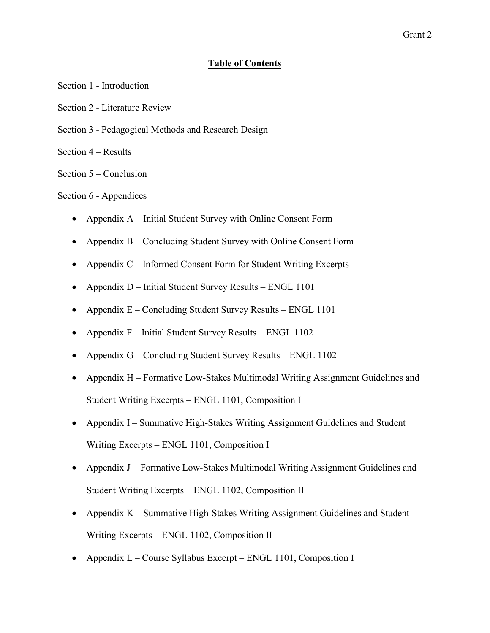## **Table of Contents**

- Section 1 Introduction
- Section 2 Literature Review
- Section 3 Pedagogical Methods and Research Design
- Section 4 Results
- Section 5 Conclusion

## Section 6 - Appendices

- Appendix A Initial Student Survey with Online Consent Form
- Appendix B Concluding Student Survey with Online Consent Form
- Appendix C Informed Consent Form for Student Writing Excerpts
- Appendix D Initial Student Survey Results ENGL 1101
- Appendix  $E -$ Concluding Student Survey Results ENGL 1101
- Appendix F Initial Student Survey Results ENGL 1102
- Appendix G Concluding Student Survey Results ENGL 1102
- Appendix H Formative Low-Stakes Multimodal Writing Assignment Guidelines and Student Writing Excerpts – ENGL 1101, Composition I
- Appendix I Summative High-Stakes Writing Assignment Guidelines and Student Writing Excerpts – ENGL 1101, Composition I
- Appendix J − Formative Low-Stakes Multimodal Writing Assignment Guidelines and Student Writing Excerpts – ENGL 1102, Composition II
- Appendix K Summative High-Stakes Writing Assignment Guidelines and Student Writing Excerpts – ENGL 1102, Composition II
- Appendix L Course Syllabus Excerpt ENGL 1101, Composition I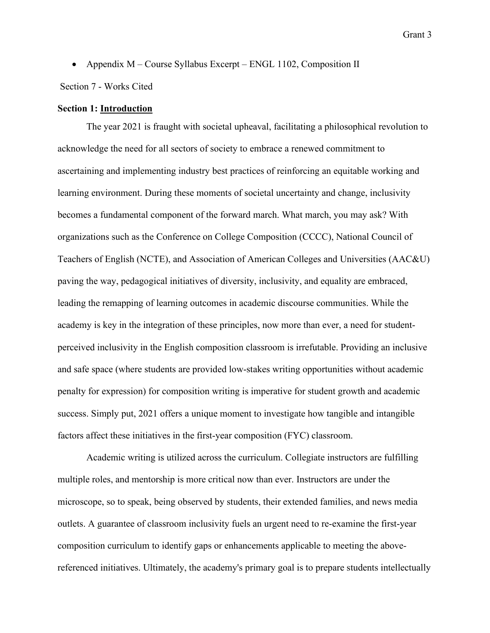• Appendix M – Course Syllabus Excerpt – ENGL 1102, Composition II

Section 7 - Works Cited

### **Section 1: Introduction**

The year 2021 is fraught with societal upheaval, facilitating a philosophical revolution to acknowledge the need for all sectors of society to embrace a renewed commitment to ascertaining and implementing industry best practices of reinforcing an equitable working and learning environment. During these moments of societal uncertainty and change, inclusivity becomes a fundamental component of the forward march. What march, you may ask? With organizations such as the Conference on College Composition (CCCC), National Council of Teachers of English (NCTE), and Association of American Colleges and Universities (AAC&U) paving the way, pedagogical initiatives of diversity, inclusivity, and equality are embraced, leading the remapping of learning outcomes in academic discourse communities. While the academy is key in the integration of these principles, now more than ever, a need for studentperceived inclusivity in the English composition classroom is irrefutable. Providing an inclusive and safe space (where students are provided low-stakes writing opportunities without academic penalty for expression) for composition writing is imperative for student growth and academic success. Simply put, 2021 offers a unique moment to investigate how tangible and intangible factors affect these initiatives in the first-year composition (FYC) classroom.

Academic writing is utilized across the curriculum. Collegiate instructors are fulfilling multiple roles, and mentorship is more critical now than ever. Instructors are under the microscope, so to speak, being observed by students, their extended families, and news media outlets. A guarantee of classroom inclusivity fuels an urgent need to re-examine the first-year composition curriculum to identify gaps or enhancements applicable to meeting the abovereferenced initiatives. Ultimately, the academy's primary goal is to prepare students intellectually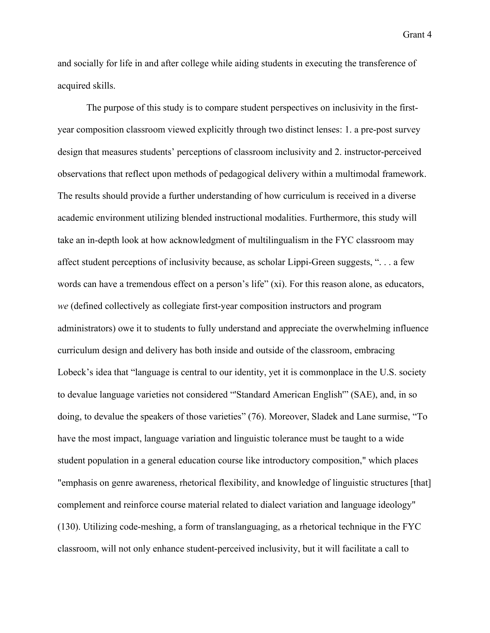and socially for life in and after college while aiding students in executing the transference of acquired skills.

The purpose of this study is to compare student perspectives on inclusivity in the firstyear composition classroom viewed explicitly through two distinct lenses: 1. a pre-post survey design that measures students' perceptions of classroom inclusivity and 2. instructor-perceived observations that reflect upon methods of pedagogical delivery within a multimodal framework. The results should provide a further understanding of how curriculum is received in a diverse academic environment utilizing blended instructional modalities. Furthermore, this study will take an in-depth look at how acknowledgment of multilingualism in the FYC classroom may affect student perceptions of inclusivity because, as scholar Lippi-Green suggests, ". . . a few words can have a tremendous effect on a person's life" (xi). For this reason alone, as educators, *we* (defined collectively as collegiate first-year composition instructors and program administrators) owe it to students to fully understand and appreciate the overwhelming influence curriculum design and delivery has both inside and outside of the classroom, embracing Lobeck's idea that "language is central to our identity, yet it is commonplace in the U.S. society to devalue language varieties not considered "'Standard American English'" (SAE), and, in so doing, to devalue the speakers of those varieties" (76). Moreover, Sladek and Lane surmise, "To have the most impact, language variation and linguistic tolerance must be taught to a wide student population in a general education course like introductory composition," which places "emphasis on genre awareness, rhetorical flexibility, and knowledge of linguistic structures [that] complement and reinforce course material related to dialect variation and language ideology" (130). Utilizing code-meshing, a form of translanguaging, as a rhetorical technique in the FYC classroom, will not only enhance student-perceived inclusivity, but it will facilitate a call to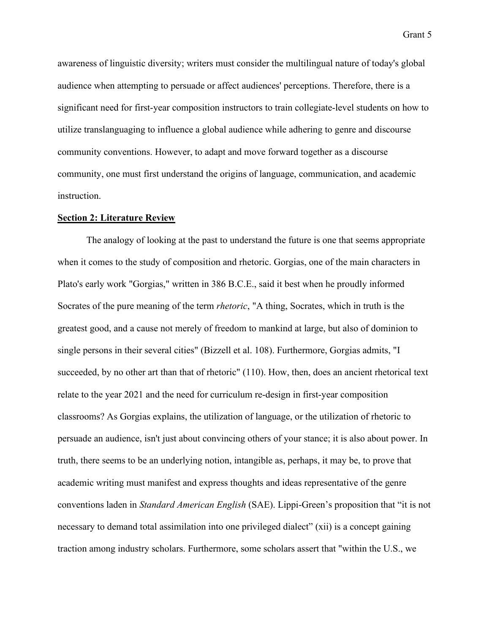awareness of linguistic diversity; writers must consider the multilingual nature of today's global audience when attempting to persuade or affect audiences' perceptions. Therefore, there is a significant need for first-year composition instructors to train collegiate-level students on how to utilize translanguaging to influence a global audience while adhering to genre and discourse community conventions. However, to adapt and move forward together as a discourse community, one must first understand the origins of language, communication, and academic instruction.

### **Section 2: Literature Review**

The analogy of looking at the past to understand the future is one that seems appropriate when it comes to the study of composition and rhetoric. Gorgias, one of the main characters in Plato's early work "Gorgias," written in 386 B.C.E., said it best when he proudly informed Socrates of the pure meaning of the term *rhetoric*, "A thing, Socrates, which in truth is the greatest good, and a cause not merely of freedom to mankind at large, but also of dominion to single persons in their several cities" (Bizzell et al. 108). Furthermore, Gorgias admits, "I succeeded, by no other art than that of rhetoric" (110). How, then, does an ancient rhetorical text relate to the year 2021 and the need for curriculum re-design in first-year composition classrooms? As Gorgias explains, the utilization of language, or the utilization of rhetoric to persuade an audience, isn't just about convincing others of your stance; it is also about power. In truth, there seems to be an underlying notion, intangible as, perhaps, it may be, to prove that academic writing must manifest and express thoughts and ideas representative of the genre conventions laden in *Standard American English* (SAE). Lippi-Green's proposition that "it is not necessary to demand total assimilation into one privileged dialect" (xii) is a concept gaining traction among industry scholars. Furthermore, some scholars assert that "within the U.S., we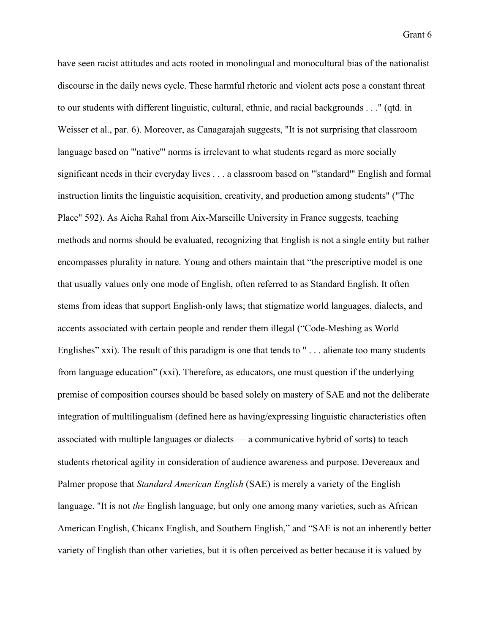have seen racist attitudes and acts rooted in monolingual and monocultural bias of the nationalist discourse in the daily news cycle. These harmful rhetoric and violent acts pose a constant threat to our students with different linguistic, cultural, ethnic, and racial backgrounds . . ." (qtd. in Weisser et al., par. 6). Moreover, as Canagarajah suggests, "It is not surprising that classroom language based on "'native'" norms is irrelevant to what students regard as more socially significant needs in their everyday lives . . . a classroom based on "'standard'" English and formal instruction limits the linguistic acquisition, creativity, and production among students" ("The Place" 592). As Aicha Rahal from Aix-Marseille University in France suggests, teaching methods and norms should be evaluated, recognizing that English is not a single entity but rather encompasses plurality in nature. Young and others maintain that "the prescriptive model is one that usually values only one mode of English, often referred to as Standard English. It often stems from ideas that support English-only laws; that stigmatize world languages, dialects, and accents associated with certain people and render them illegal ("Code-Meshing as World Englishes" xxi). The result of this paradigm is one that tends to "... alienate too many students from language education" (xxi). Therefore, as educators, one must question if the underlying premise of composition courses should be based solely on mastery of SAE and not the deliberate integration of multilingualism (defined here as having/expressing linguistic characteristics often associated with multiple languages or dialects — a communicative hybrid of sorts) to teach students rhetorical agility in consideration of audience awareness and purpose. Devereaux and Palmer propose that *Standard American English* (SAE) is merely a variety of the English language. "It is not *the* English language, but only one among many varieties, such as African American English, Chicanx English, and Southern English," and "SAE is not an inherently better variety of English than other varieties, but it is often perceived as better because it is valued by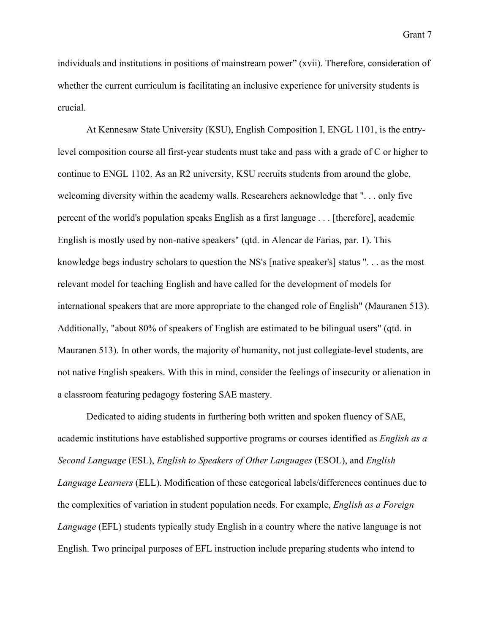individuals and institutions in positions of mainstream power" (xvii). Therefore, consideration of whether the current curriculum is facilitating an inclusive experience for university students is crucial.

At Kennesaw State University (KSU), English Composition I, ENGL 1101, is the entrylevel composition course all first-year students must take and pass with a grade of C or higher to continue to ENGL 1102. As an R2 university, KSU recruits students from around the globe, welcoming diversity within the academy walls. Researchers acknowledge that ". . . only five percent of the world's population speaks English as a first language . . . [therefore], academic English is mostly used by non-native speakers" (qtd. in Alencar de Farias, par. 1). This knowledge begs industry scholars to question the NS's [native speaker's] status ". . . as the most relevant model for teaching English and have called for the development of models for international speakers that are more appropriate to the changed role of English" (Mauranen 513). Additionally, "about 80% of speakers of English are estimated to be bilingual users" (qtd. in Mauranen 513). In other words, the majority of humanity, not just collegiate-level students, are not native English speakers. With this in mind, consider the feelings of insecurity or alienation in a classroom featuring pedagogy fostering SAE mastery.

Dedicated to aiding students in furthering both written and spoken fluency of SAE, academic institutions have established supportive programs or courses identified as *English as a Second Language* (ESL), *English to Speakers of Other Languages* (ESOL), and *English Language Learners* (ELL). Modification of these categorical labels/differences continues due to the complexities of variation in student population needs. For example, *English as a Foreign Language* (EFL) students typically study English in a country where the native language is not English. Two principal purposes of EFL instruction include preparing students who intend to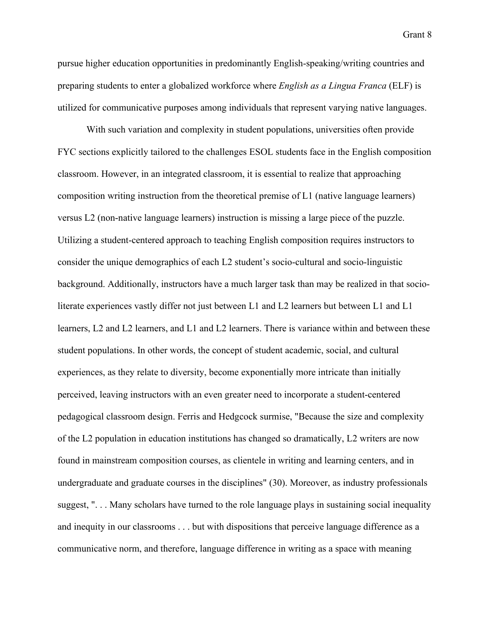pursue higher education opportunities in predominantly English-speaking/writing countries and preparing students to enter a globalized workforce where *English as a Lingua Franca* (ELF) is utilized for communicative purposes among individuals that represent varying native languages.

With such variation and complexity in student populations, universities often provide FYC sections explicitly tailored to the challenges ESOL students face in the English composition classroom. However, in an integrated classroom, it is essential to realize that approaching composition writing instruction from the theoretical premise of L1 (native language learners) versus L2 (non-native language learners) instruction is missing a large piece of the puzzle. Utilizing a student-centered approach to teaching English composition requires instructors to consider the unique demographics of each L2 student's socio-cultural and socio-linguistic background. Additionally, instructors have a much larger task than may be realized in that socioliterate experiences vastly differ not just between L1 and L2 learners but between L1 and L1 learners, L2 and L2 learners, and L1 and L2 learners. There is variance within and between these student populations. In other words, the concept of student academic, social, and cultural experiences, as they relate to diversity, become exponentially more intricate than initially perceived, leaving instructors with an even greater need to incorporate a student-centered pedagogical classroom design. Ferris and Hedgcock surmise, "Because the size and complexity of the L2 population in education institutions has changed so dramatically, L2 writers are now found in mainstream composition courses, as clientele in writing and learning centers, and in undergraduate and graduate courses in the disciplines" (30). Moreover, as industry professionals suggest, "... Many scholars have turned to the role language plays in sustaining social inequality and inequity in our classrooms . . . but with dispositions that perceive language difference as a communicative norm, and therefore, language difference in writing as a space with meaning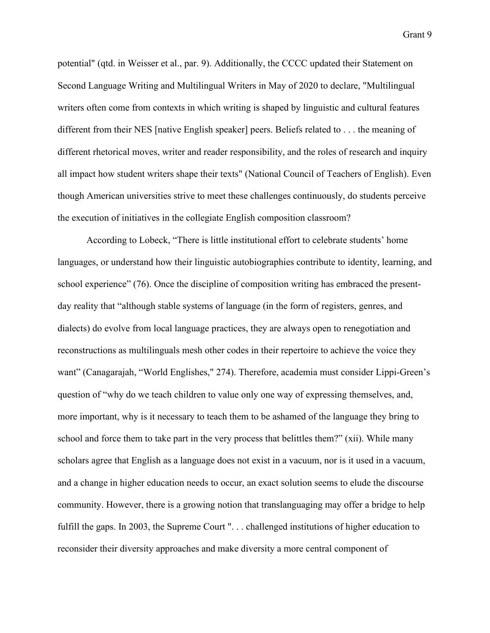potential" (qtd. in Weisser et al., par. 9). Additionally, the CCCC updated their Statement on Second Language Writing and Multilingual Writers in May of 2020 to declare, "Multilingual writers often come from contexts in which writing is shaped by linguistic and cultural features different from their NES [native English speaker] peers. Beliefs related to . . . the meaning of different rhetorical moves, writer and reader responsibility, and the roles of research and inquiry all impact how student writers shape their texts" (National Council of Teachers of English). Even though American universities strive to meet these challenges continuously, do students perceive the execution of initiatives in the collegiate English composition classroom?

According to Lobeck, "There is little institutional effort to celebrate students' home languages, or understand how their linguistic autobiographies contribute to identity, learning, and school experience" (76). Once the discipline of composition writing has embraced the presentday reality that "although stable systems of language (in the form of registers, genres, and dialects) do evolve from local language practices, they are always open to renegotiation and reconstructions as multilinguals mesh other codes in their repertoire to achieve the voice they want" (Canagarajah, "World Englishes," 274). Therefore, academia must consider Lippi-Green's question of "why do we teach children to value only one way of expressing themselves, and, more important, why is it necessary to teach them to be ashamed of the language they bring to school and force them to take part in the very process that belittles them?" (xii). While many scholars agree that English as a language does not exist in a vacuum, nor is it used in a vacuum, and a change in higher education needs to occur, an exact solution seems to elude the discourse community. However, there is a growing notion that translanguaging may offer a bridge to help fulfill the gaps. In 2003, the Supreme Court ". . . challenged institutions of higher education to reconsider their diversity approaches and make diversity a more central component of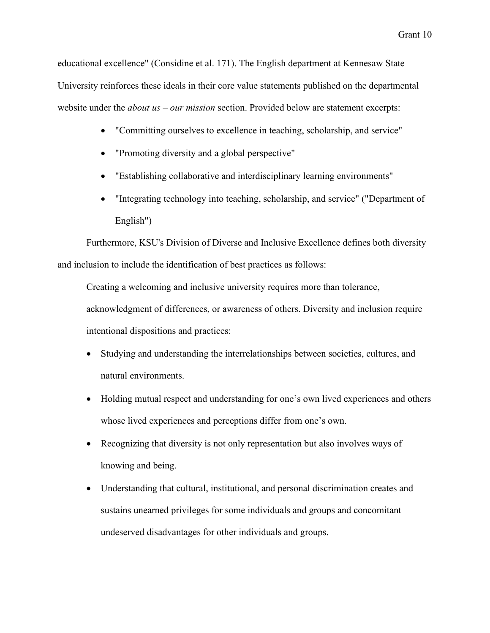educational excellence" (Considine et al. 171). The English department at Kennesaw State University reinforces these ideals in their core value statements published on the departmental website under the *about us – our mission* section. Provided below are statement excerpts:

- "Committing ourselves to excellence in teaching, scholarship, and service"
- "Promoting diversity and a global perspective"
- "Establishing collaborative and interdisciplinary learning environments"
- "Integrating technology into teaching, scholarship, and service" ("Department of English")

Furthermore, KSU's Division of Diverse and Inclusive Excellence defines both diversity and inclusion to include the identification of best practices as follows:

Creating a welcoming and inclusive university requires more than tolerance, acknowledgment of differences, or awareness of others. Diversity and inclusion require intentional dispositions and practices:

- Studying and understanding the interrelationships between societies, cultures, and natural environments.
- Holding mutual respect and understanding for one's own lived experiences and others whose lived experiences and perceptions differ from one's own.
- Recognizing that diversity is not only representation but also involves ways of knowing and being.
- Understanding that cultural, institutional, and personal discrimination creates and sustains unearned privileges for some individuals and groups and concomitant undeserved disadvantages for other individuals and groups.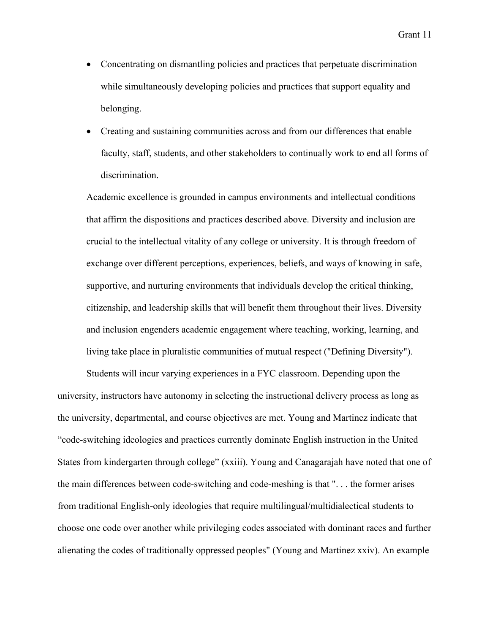- Concentrating on dismantling policies and practices that perpetuate discrimination while simultaneously developing policies and practices that support equality and belonging.
- Creating and sustaining communities across and from our differences that enable faculty, staff, students, and other stakeholders to continually work to end all forms of discrimination.

Academic excellence is grounded in campus environments and intellectual conditions that affirm the dispositions and practices described above. Diversity and inclusion are crucial to the intellectual vitality of any college or university. It is through freedom of exchange over different perceptions, experiences, beliefs, and ways of knowing in safe, supportive, and nurturing environments that individuals develop the critical thinking, citizenship, and leadership skills that will benefit them throughout their lives. Diversity and inclusion engenders academic engagement where teaching, working, learning, and living take place in pluralistic communities of mutual respect ("Defining Diversity").

Students will incur varying experiences in a FYC classroom. Depending upon the university, instructors have autonomy in selecting the instructional delivery process as long as the university, departmental, and course objectives are met. Young and Martinez indicate that "code-switching ideologies and practices currently dominate English instruction in the United States from kindergarten through college" (xxiii). Young and Canagarajah have noted that one of the main differences between code-switching and code-meshing is that ". . . the former arises from traditional English-only ideologies that require multilingual/multidialectical students to choose one code over another while privileging codes associated with dominant races and further alienating the codes of traditionally oppressed peoples" (Young and Martinez xxiv). An example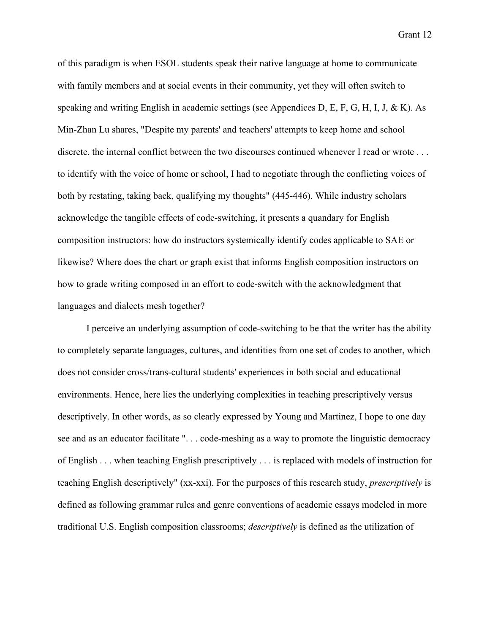of this paradigm is when ESOL students speak their native language at home to communicate with family members and at social events in their community, yet they will often switch to speaking and writing English in academic settings (see Appendices D, E, F, G, H, I, J, & K). As Min-Zhan Lu shares, "Despite my parents' and teachers' attempts to keep home and school discrete, the internal conflict between the two discourses continued whenever I read or wrote . . . to identify with the voice of home or school, I had to negotiate through the conflicting voices of both by restating, taking back, qualifying my thoughts" (445-446). While industry scholars acknowledge the tangible effects of code-switching, it presents a quandary for English composition instructors: how do instructors systemically identify codes applicable to SAE or likewise? Where does the chart or graph exist that informs English composition instructors on how to grade writing composed in an effort to code-switch with the acknowledgment that languages and dialects mesh together?

I perceive an underlying assumption of code-switching to be that the writer has the ability to completely separate languages, cultures, and identities from one set of codes to another, which does not consider cross/trans-cultural students' experiences in both social and educational environments. Hence, here lies the underlying complexities in teaching prescriptively versus descriptively. In other words, as so clearly expressed by Young and Martinez, I hope to one day see and as an educator facilitate ". . . code-meshing as a way to promote the linguistic democracy of English . . . when teaching English prescriptively . . . is replaced with models of instruction for teaching English descriptively" (xx-xxi). For the purposes of this research study, *prescriptively* is defined as following grammar rules and genre conventions of academic essays modeled in more traditional U.S. English composition classrooms; *descriptively* is defined as the utilization of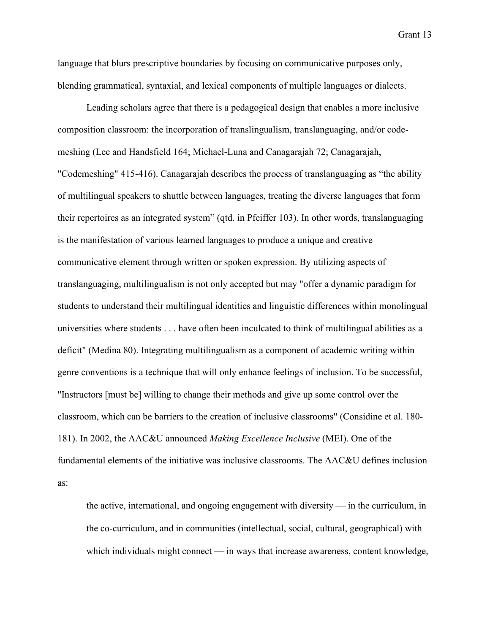language that blurs prescriptive boundaries by focusing on communicative purposes only, blending grammatical, syntaxial, and lexical components of multiple languages or dialects.

Leading scholars agree that there is a pedagogical design that enables a more inclusive composition classroom: the incorporation of translingualism, translanguaging, and/or codemeshing (Lee and Handsfield 164; Michael-Luna and Canagarajah 72; Canagarajah, "Codemeshing" 415-416). Canagarajah describes the process of translanguaging as "the ability of multilingual speakers to shuttle between languages, treating the diverse languages that form their repertoires as an integrated system" (qtd. in Pfeiffer 103). In other words, translanguaging is the manifestation of various learned languages to produce a unique and creative communicative element through written or spoken expression. By utilizing aspects of translanguaging, multilingualism is not only accepted but may "offer a dynamic paradigm for students to understand their multilingual identities and linguistic differences within monolingual universities where students . . . have often been inculcated to think of multilingual abilities as a deficit" (Medina 80). Integrating multilingualism as a component of academic writing within genre conventions is a technique that will only enhance feelings of inclusion. To be successful, "Instructors [must be] willing to change their methods and give up some control over the classroom, which can be barriers to the creation of inclusive classrooms" (Considine et al. 180- 181). In 2002, the AAC&U announced *Making Excellence Inclusive* (MEI). One of the fundamental elements of the initiative was inclusive classrooms. The AAC&U defines inclusion as:

the active, international, and ongoing engagement with diversity  $\frac{1}{\sqrt{1-\frac{1}{\sqrt{1-\frac{1}{\sqrt{1-\frac{1}{\sqrt{1-\frac{1}{\sqrt{1-\frac{1}{\sqrt{1-\frac{1}{\sqrt{1-\frac{1}{\sqrt{1-\frac{1}{\sqrt{1-\frac{1}{\sqrt{1-\frac{1}{\sqrt{1-\frac{1}{\sqrt{1-\frac{1}{\sqrt{1-\frac{1}{\sqrt{1-\frac{1}{\sqrt{1-\frac{1}{\sqrt{1-\frac{1}{\sqrt{1-\frac$ the co-curriculum, and in communities (intellectual, social, cultural, geographical) with which individuals might connect  $\frac{1}{n}$  in ways that increase awareness, content knowledge,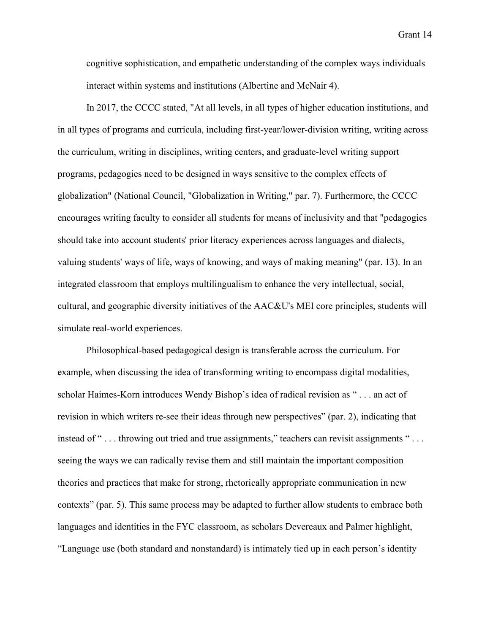cognitive sophistication, and empathetic understanding of the complex ways individuals interact within systems and institutions (Albertine and McNair 4).

In 2017, the CCCC stated, "At all levels, in all types of higher education institutions, and in all types of programs and curricula, including first-year/lower-division writing, writing across the curriculum, writing in disciplines, writing centers, and graduate-level writing support programs, pedagogies need to be designed in ways sensitive to the complex effects of globalization" (National Council, "Globalization in Writing," par. 7). Furthermore, the CCCC encourages writing faculty to consider all students for means of inclusivity and that "pedagogies should take into account students' prior literacy experiences across languages and dialects, valuing students' ways of life, ways of knowing, and ways of making meaning" (par. 13). In an integrated classroom that employs multilingualism to enhance the very intellectual, social, cultural, and geographic diversity initiatives of the AAC&U's MEI core principles, students will simulate real-world experiences.

Philosophical-based pedagogical design is transferable across the curriculum. For example, when discussing the idea of transforming writing to encompass digital modalities, scholar Haimes-Korn introduces Wendy Bishop's idea of radical revision as " . . . an act of revision in which writers re-see their ideas through new perspectives" (par. 2), indicating that instead of "... throwing out tried and true assignments," teachers can revisit assignments "... seeing the ways we can radically revise them and still maintain the important composition theories and practices that make for strong, rhetorically appropriate communication in new contexts" (par. 5). This same process may be adapted to further allow students to embrace both languages and identities in the FYC classroom, as scholars Devereaux and Palmer highlight, "Language use (both standard and nonstandard) is intimately tied up in each person's identity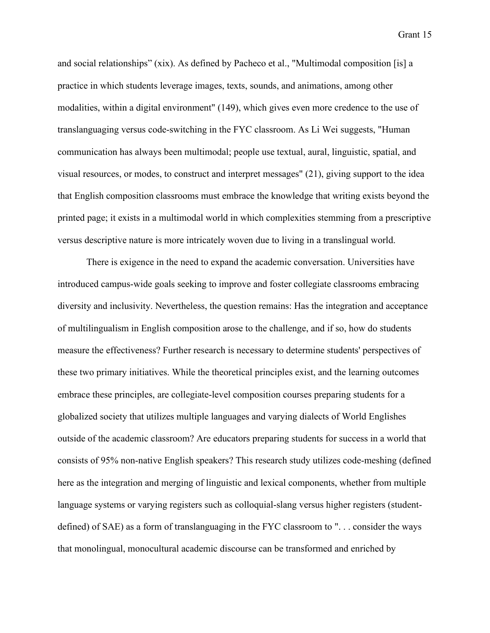and social relationships" (xix). As defined by Pacheco et al., "Multimodal composition [is] a practice in which students leverage images, texts, sounds, and animations, among other modalities, within a digital environment" (149), which gives even more credence to the use of translanguaging versus code-switching in the FYC classroom. As Li Wei suggests, "Human communication has always been multimodal; people use textual, aural, linguistic, spatial, and visual resources, or modes, to construct and interpret messages" (21), giving support to the idea that English composition classrooms must embrace the knowledge that writing exists beyond the printed page; it exists in a multimodal world in which complexities stemming from a prescriptive versus descriptive nature is more intricately woven due to living in a translingual world.

There is exigence in the need to expand the academic conversation. Universities have introduced campus-wide goals seeking to improve and foster collegiate classrooms embracing diversity and inclusivity. Nevertheless, the question remains: Has the integration and acceptance of multilingualism in English composition arose to the challenge, and if so, how do students measure the effectiveness? Further research is necessary to determine students' perspectives of these two primary initiatives. While the theoretical principles exist, and the learning outcomes embrace these principles, are collegiate-level composition courses preparing students for a globalized society that utilizes multiple languages and varying dialects of World Englishes outside of the academic classroom? Are educators preparing students for success in a world that consists of 95% non-native English speakers? This research study utilizes code-meshing (defined here as the integration and merging of linguistic and lexical components, whether from multiple language systems or varying registers such as colloquial-slang versus higher registers (studentdefined) of SAE) as a form of translanguaging in the FYC classroom to ". . . consider the ways that monolingual, monocultural academic discourse can be transformed and enriched by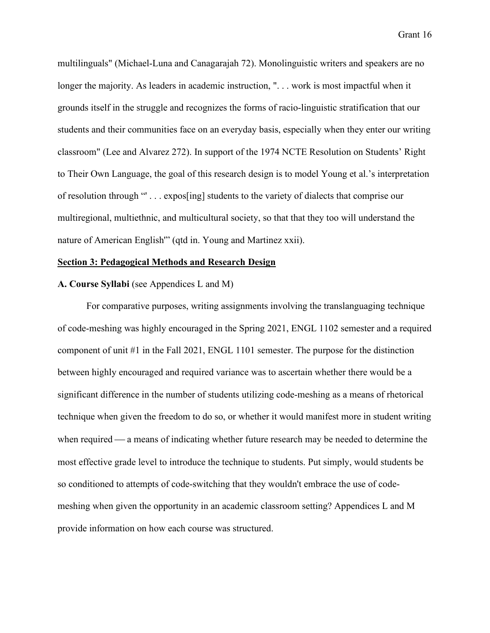multilinguals" (Michael-Luna and Canagarajah 72). Monolinguistic writers and speakers are no longer the majority. As leaders in academic instruction, "... work is most impactful when it grounds itself in the struggle and recognizes the forms of racio-linguistic stratification that our students and their communities face on an everyday basis, especially when they enter our writing classroom" (Lee and Alvarez 272). In support of the 1974 NCTE Resolution on Students' Right to Their Own Language, the goal of this research design is to model Young et al.'s interpretation of resolution through "' . . . expos[ing] students to the variety of dialects that comprise our multiregional, multiethnic, and multicultural society, so that that they too will understand the nature of American English'" (qtd in. Young and Martinez xxii).

#### **Section 3: Pedagogical Methods and Research Design**

#### **A. Course Syllabi** (see Appendices L and M)

For comparative purposes, writing assignments involving the translanguaging technique of code-meshing was highly encouraged in the Spring 2021, ENGL 1102 semester and a required component of unit #1 in the Fall 2021, ENGL 1101 semester. The purpose for the distinction between highly encouraged and required variance was to ascertain whether there would be a significant difference in the number of students utilizing code-meshing as a means of rhetorical technique when given the freedom to do so, or whether it would manifest more in student writing when required — a means of indicating whether future research may be needed to determine the most effective grade level to introduce the technique to students. Put simply, would students be so conditioned to attempts of code-switching that they wouldn't embrace the use of codemeshing when given the opportunity in an academic classroom setting? Appendices L and M provide information on how each course was structured.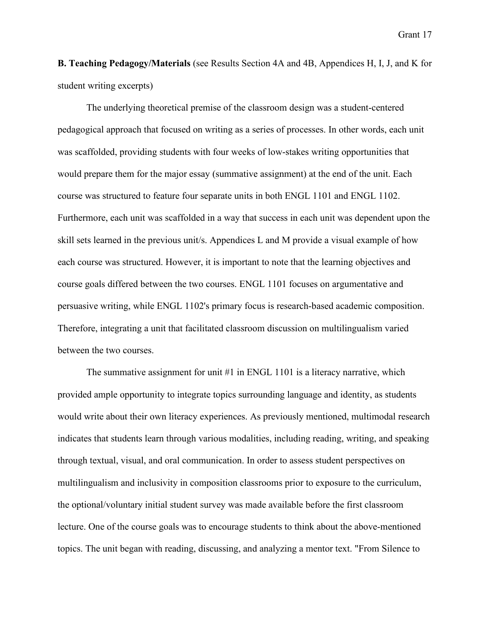**B. Teaching Pedagogy/Materials** (see Results Section 4A and 4B, Appendices H, I, J, and K for student writing excerpts)

The underlying theoretical premise of the classroom design was a student-centered pedagogical approach that focused on writing as a series of processes. In other words, each unit was scaffolded, providing students with four weeks of low-stakes writing opportunities that would prepare them for the major essay (summative assignment) at the end of the unit. Each course was structured to feature four separate units in both ENGL 1101 and ENGL 1102. Furthermore, each unit was scaffolded in a way that success in each unit was dependent upon the skill sets learned in the previous unit/s. Appendices L and M provide a visual example of how each course was structured. However, it is important to note that the learning objectives and course goals differed between the two courses. ENGL 1101 focuses on argumentative and persuasive writing, while ENGL 1102's primary focus is research-based academic composition. Therefore, integrating a unit that facilitated classroom discussion on multilingualism varied between the two courses.

The summative assignment for unit #1 in ENGL 1101 is a literacy narrative, which provided ample opportunity to integrate topics surrounding language and identity, as students would write about their own literacy experiences. As previously mentioned, multimodal research indicates that students learn through various modalities, including reading, writing, and speaking through textual, visual, and oral communication. In order to assess student perspectives on multilingualism and inclusivity in composition classrooms prior to exposure to the curriculum, the optional/voluntary initial student survey was made available before the first classroom lecture. One of the course goals was to encourage students to think about the above-mentioned topics. The unit began with reading, discussing, and analyzing a mentor text. "From Silence to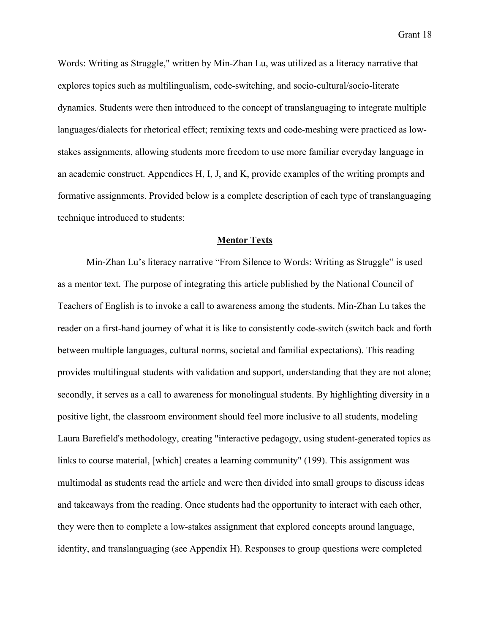Words: Writing as Struggle," written by Min-Zhan Lu, was utilized as a literacy narrative that explores topics such as multilingualism, code-switching, and socio-cultural/socio-literate dynamics. Students were then introduced to the concept of translanguaging to integrate multiple languages/dialects for rhetorical effect; remixing texts and code-meshing were practiced as lowstakes assignments, allowing students more freedom to use more familiar everyday language in an academic construct. Appendices H, I, J, and K, provide examples of the writing prompts and formative assignments. Provided below is a complete description of each type of translanguaging technique introduced to students:

### **Mentor Texts**

Min-Zhan Lu's literacy narrative "From Silence to Words: Writing as Struggle" is used as a mentor text. The purpose of integrating this article published by the National Council of Teachers of English is to invoke a call to awareness among the students. Min-Zhan Lu takes the reader on a first-hand journey of what it is like to consistently code-switch (switch back and forth between multiple languages, cultural norms, societal and familial expectations). This reading provides multilingual students with validation and support, understanding that they are not alone; secondly, it serves as a call to awareness for monolingual students. By highlighting diversity in a positive light, the classroom environment should feel more inclusive to all students, modeling Laura Barefield's methodology, creating "interactive pedagogy, using student-generated topics as links to course material, [which] creates a learning community" (199). This assignment was multimodal as students read the article and were then divided into small groups to discuss ideas and takeaways from the reading. Once students had the opportunity to interact with each other, they were then to complete a low-stakes assignment that explored concepts around language, identity, and translanguaging (see Appendix H). Responses to group questions were completed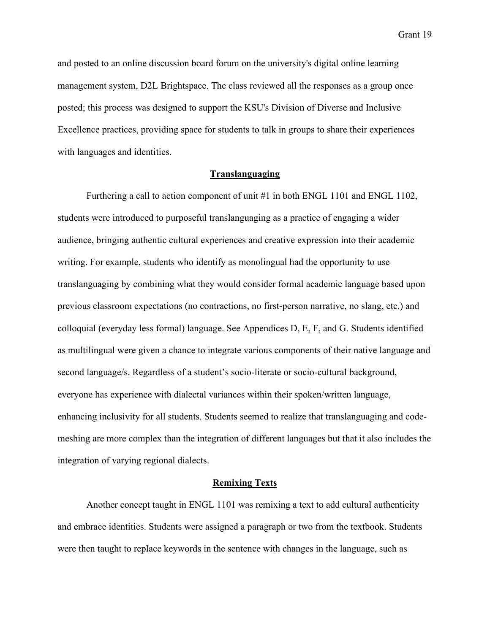and posted to an online discussion board forum on the university's digital online learning management system, D2L Brightspace. The class reviewed all the responses as a group once posted; this process was designed to support the KSU's Division of Diverse and Inclusive Excellence practices, providing space for students to talk in groups to share their experiences with languages and identities.

## **Translanguaging**

Furthering a call to action component of unit #1 in both ENGL 1101 and ENGL 1102, students were introduced to purposeful translanguaging as a practice of engaging a wider audience, bringing authentic cultural experiences and creative expression into their academic writing. For example, students who identify as monolingual had the opportunity to use translanguaging by combining what they would consider formal academic language based upon previous classroom expectations (no contractions, no first-person narrative, no slang, etc.) and colloquial (everyday less formal) language. See Appendices D, E, F, and G. Students identified as multilingual were given a chance to integrate various components of their native language and second language/s. Regardless of a student's socio-literate or socio-cultural background, everyone has experience with dialectal variances within their spoken/written language, enhancing inclusivity for all students. Students seemed to realize that translanguaging and codemeshing are more complex than the integration of different languages but that it also includes the integration of varying regional dialects.

### **Remixing Texts**

Another concept taught in ENGL 1101 was remixing a text to add cultural authenticity and embrace identities. Students were assigned a paragraph or two from the textbook. Students were then taught to replace keywords in the sentence with changes in the language, such as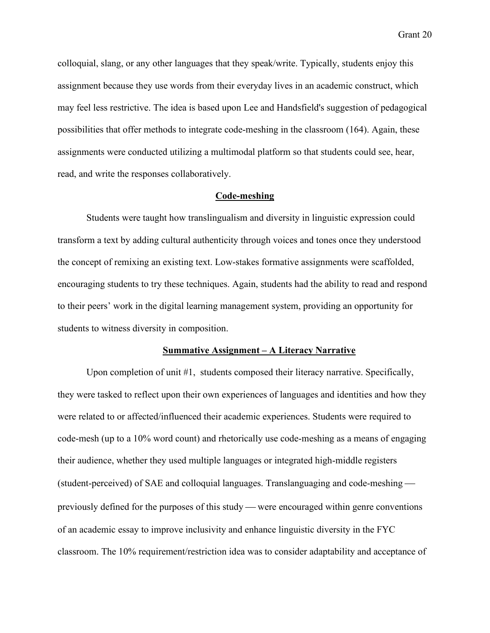colloquial, slang, or any other languages that they speak/write. Typically, students enjoy this assignment because they use words from their everyday lives in an academic construct, which may feel less restrictive. The idea is based upon Lee and Handsfield's suggestion of pedagogical possibilities that offer methods to integrate code-meshing in the classroom (164). Again, these assignments were conducted utilizing a multimodal platform so that students could see, hear, read, and write the responses collaboratively.

## **Code-meshing**

Students were taught how translingualism and diversity in linguistic expression could transform a text by adding cultural authenticity through voices and tones once they understood the concept of remixing an existing text. Low-stakes formative assignments were scaffolded, encouraging students to try these techniques. Again, students had the ability to read and respond to their peers' work in the digital learning management system, providing an opportunity for students to witness diversity in composition.

### **Summative Assignment – A Literacy Narrative**

Upon completion of unit #1, students composed their literacy narrative. Specifically, they were tasked to reflect upon their own experiences of languages and identities and how they were related to or affected/influenced their academic experiences. Students were required to code-mesh (up to a 10% word count) and rhetorically use code-meshing as a means of engaging their audience, whether they used multiple languages or integrated high-middle registers (student-perceived) of SAE and colloquial languages. Translanguaging and code-meshing previously defined for the purposes of this study — were encouraged within genre conventions of an academic essay to improve inclusivity and enhance linguistic diversity in the FYC classroom. The 10% requirement/restriction idea was to consider adaptability and acceptance of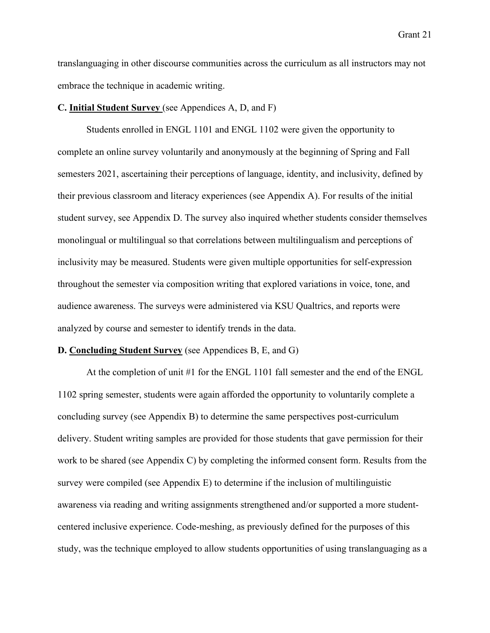translanguaging in other discourse communities across the curriculum as all instructors may not embrace the technique in academic writing.

### **C. Initial Student Survey** (see Appendices A, D, and F)

Students enrolled in ENGL 1101 and ENGL 1102 were given the opportunity to complete an online survey voluntarily and anonymously at the beginning of Spring and Fall semesters 2021, ascertaining their perceptions of language, identity, and inclusivity, defined by their previous classroom and literacy experiences (see Appendix A). For results of the initial student survey, see Appendix D. The survey also inquired whether students consider themselves monolingual or multilingual so that correlations between multilingualism and perceptions of inclusivity may be measured. Students were given multiple opportunities for self-expression throughout the semester via composition writing that explored variations in voice, tone, and audience awareness. The surveys were administered via KSU Qualtrics, and reports were analyzed by course and semester to identify trends in the data.

### **D. Concluding Student Survey** (see Appendices B, E, and G)

At the completion of unit #1 for the ENGL 1101 fall semester and the end of the ENGL 1102 spring semester, students were again afforded the opportunity to voluntarily complete a concluding survey (see Appendix B) to determine the same perspectives post-curriculum delivery. Student writing samples are provided for those students that gave permission for their work to be shared (see Appendix C) by completing the informed consent form. Results from the survey were compiled (see Appendix E) to determine if the inclusion of multilinguistic awareness via reading and writing assignments strengthened and/or supported a more studentcentered inclusive experience. Code-meshing, as previously defined for the purposes of this study, was the technique employed to allow students opportunities of using translanguaging as a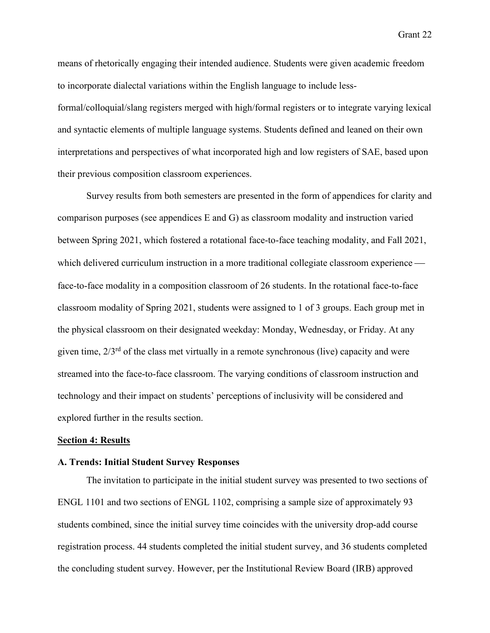means of rhetorically engaging their intended audience. Students were given academic freedom to incorporate dialectal variations within the English language to include lessformal/colloquial/slang registers merged with high/formal registers or to integrate varying lexical and syntactic elements of multiple language systems. Students defined and leaned on their own interpretations and perspectives of what incorporated high and low registers of SAE, based upon their previous composition classroom experiences.

Survey results from both semesters are presented in the form of appendices for clarity and comparison purposes (see appendices E and G) as classroom modality and instruction varied between Spring 2021, which fostered a rotational face-to-face teaching modality, and Fall 2021, which delivered curriculum instruction in a more traditional collegiate classroom experience face-to-face modality in a composition classroom of 26 students. In the rotational face-to-face classroom modality of Spring 2021, students were assigned to 1 of 3 groups. Each group met in the physical classroom on their designated weekday: Monday, Wednesday, or Friday. At any given time,  $2/3<sup>rd</sup>$  of the class met virtually in a remote synchronous (live) capacity and were streamed into the face-to-face classroom. The varying conditions of classroom instruction and technology and their impact on students' perceptions of inclusivity will be considered and explored further in the results section.

### **Section 4: Results**

### **A. Trends: Initial Student Survey Responses**

The invitation to participate in the initial student survey was presented to two sections of ENGL 1101 and two sections of ENGL 1102, comprising a sample size of approximately 93 students combined, since the initial survey time coincides with the university drop-add course registration process. 44 students completed the initial student survey, and 36 students completed the concluding student survey. However, per the Institutional Review Board (IRB) approved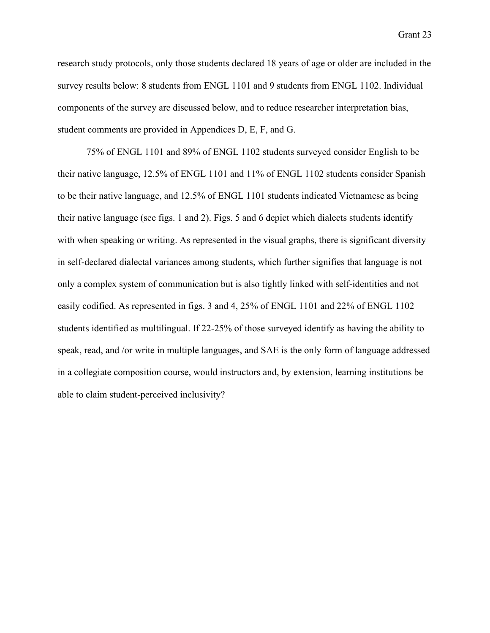research study protocols, only those students declared 18 years of age or older are included in the survey results below: 8 students from ENGL 1101 and 9 students from ENGL 1102. Individual components of the survey are discussed below, and to reduce researcher interpretation bias, student comments are provided in Appendices D, E, F, and G.

75% of ENGL 1101 and 89% of ENGL 1102 students surveyed consider English to be their native language, 12.5% of ENGL 1101 and 11% of ENGL 1102 students consider Spanish to be their native language, and 12.5% of ENGL 1101 students indicated Vietnamese as being their native language (see figs. 1 and 2). Figs. 5 and 6 depict which dialects students identify with when speaking or writing. As represented in the visual graphs, there is significant diversity in self-declared dialectal variances among students, which further signifies that language is not only a complex system of communication but is also tightly linked with self-identities and not easily codified. As represented in figs. 3 and 4, 25% of ENGL 1101 and 22% of ENGL 1102 students identified as multilingual. If 22-25% of those surveyed identify as having the ability to speak, read, and /or write in multiple languages, and SAE is the only form of language addressed in a collegiate composition course, would instructors and, by extension, learning institutions be able to claim student-perceived inclusivity?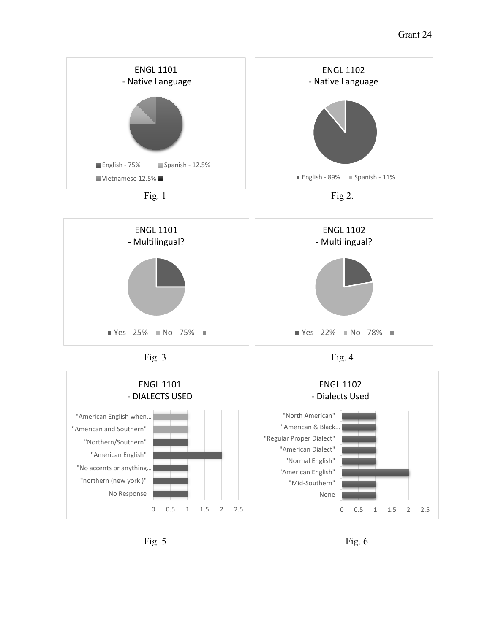

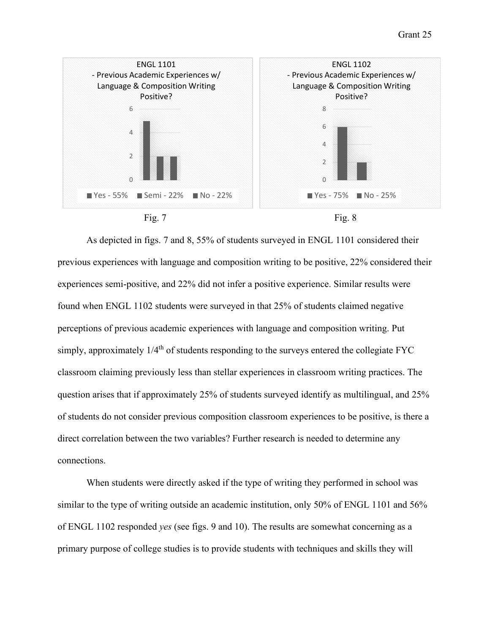

As depicted in figs. 7 and 8, 55% of students surveyed in ENGL 1101 considered their previous experiences with language and composition writing to be positive, 22% considered their experiences semi-positive, and 22% did not infer a positive experience. Similar results were found when ENGL 1102 students were surveyed in that 25% of students claimed negative perceptions of previous academic experiences with language and composition writing. Put simply, approximately  $1/4<sup>th</sup>$  of students responding to the surveys entered the collegiate FYC classroom claiming previously less than stellar experiences in classroom writing practices. The question arises that if approximately 25% of students surveyed identify as multilingual, and 25% of students do not consider previous composition classroom experiences to be positive, is there a direct correlation between the two variables? Further research is needed to determine any connections.

When students were directly asked if the type of writing they performed in school was similar to the type of writing outside an academic institution, only 50% of ENGL 1101 and 56% of ENGL 1102 responded *yes* (see figs. 9 and 10). The results are somewhat concerning as a primary purpose of college studies is to provide students with techniques and skills they will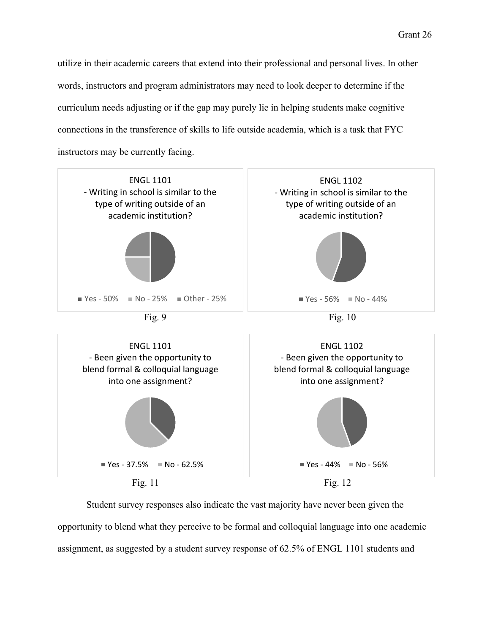utilize in their academic careers that extend into their professional and personal lives. In other words, instructors and program administrators may need to look deeper to determine if the curriculum needs adjusting or if the gap may purely lie in helping students make cognitive connections in the transference of skills to life outside academia, which is a task that FYC instructors may be currently facing.



Student survey responses also indicate the vast majority have never been given the opportunity to blend what they perceive to be formal and colloquial language into one academic assignment, as suggested by a student survey response of 62.5% of ENGL 1101 students and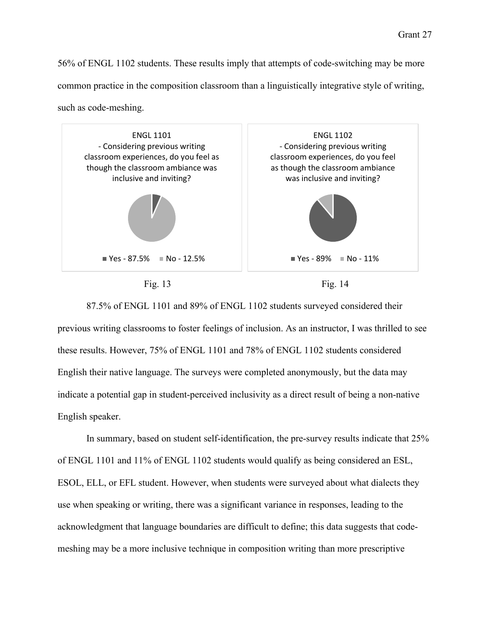56% of ENGL 1102 students. These results imply that attempts of code-switching may be more common practice in the composition classroom than a linguistically integrative style of writing, such as code-meshing.



87.5% of ENGL 1101 and 89% of ENGL 1102 students surveyed considered their previous writing classrooms to foster feelings of inclusion. As an instructor, I was thrilled to see these results. However, 75% of ENGL 1101 and 78% of ENGL 1102 students considered English their native language. The surveys were completed anonymously, but the data may indicate a potential gap in student-perceived inclusivity as a direct result of being a non-native English speaker.

In summary, based on student self-identification, the pre-survey results indicate that 25% of ENGL 1101 and 11% of ENGL 1102 students would qualify as being considered an ESL, ESOL, ELL, or EFL student. However, when students were surveyed about what dialects they use when speaking or writing, there was a significant variance in responses, leading to the acknowledgment that language boundaries are difficult to define; this data suggests that codemeshing may be a more inclusive technique in composition writing than more prescriptive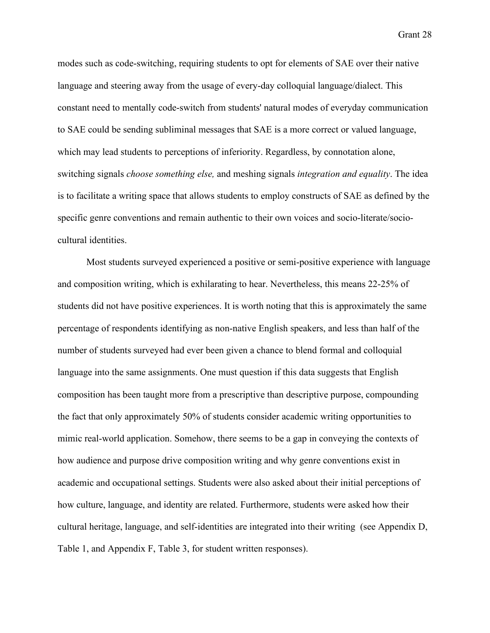modes such as code-switching, requiring students to opt for elements of SAE over their native language and steering away from the usage of every-day colloquial language/dialect. This constant need to mentally code-switch from students' natural modes of everyday communication to SAE could be sending subliminal messages that SAE is a more correct or valued language, which may lead students to perceptions of inferiority. Regardless, by connotation alone, switching signals *choose something else,* and meshing signals *integration and equality*. The idea is to facilitate a writing space that allows students to employ constructs of SAE as defined by the specific genre conventions and remain authentic to their own voices and socio-literate/sociocultural identities.

Most students surveyed experienced a positive or semi-positive experience with language and composition writing, which is exhilarating to hear. Nevertheless, this means 22-25% of students did not have positive experiences. It is worth noting that this is approximately the same percentage of respondents identifying as non-native English speakers, and less than half of the number of students surveyed had ever been given a chance to blend formal and colloquial language into the same assignments. One must question if this data suggests that English composition has been taught more from a prescriptive than descriptive purpose, compounding the fact that only approximately 50% of students consider academic writing opportunities to mimic real-world application. Somehow, there seems to be a gap in conveying the contexts of how audience and purpose drive composition writing and why genre conventions exist in academic and occupational settings. Students were also asked about their initial perceptions of how culture, language, and identity are related. Furthermore, students were asked how their cultural heritage, language, and self-identities are integrated into their writing (see Appendix D, Table 1, and Appendix F, Table 3, for student written responses).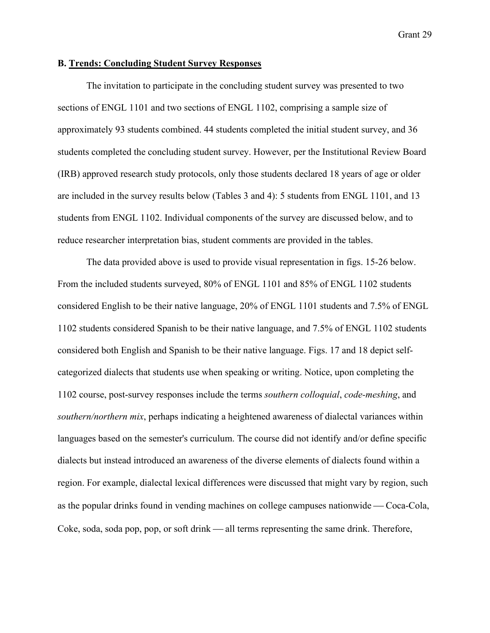#### **B. Trends: Concluding Student Survey Responses**

The invitation to participate in the concluding student survey was presented to two sections of ENGL 1101 and two sections of ENGL 1102, comprising a sample size of approximately 93 students combined. 44 students completed the initial student survey, and 36 students completed the concluding student survey. However, per the Institutional Review Board (IRB) approved research study protocols, only those students declared 18 years of age or older are included in the survey results below (Tables 3 and 4): 5 students from ENGL 1101, and 13 students from ENGL 1102. Individual components of the survey are discussed below, and to reduce researcher interpretation bias, student comments are provided in the tables.

The data provided above is used to provide visual representation in figs. 15-26 below. From the included students surveyed, 80% of ENGL 1101 and 85% of ENGL 1102 students considered English to be their native language, 20% of ENGL 1101 students and 7.5% of ENGL 1102 students considered Spanish to be their native language, and 7.5% of ENGL 1102 students considered both English and Spanish to be their native language. Figs. 17 and 18 depict selfcategorized dialects that students use when speaking or writing. Notice, upon completing the 1102 course, post-survey responses include the terms *southern colloquial*, *code-meshing*, and *southern/northern mix*, perhaps indicating a heightened awareness of dialectal variances within languages based on the semester's curriculum. The course did not identify and/or define specific dialects but instead introduced an awareness of the diverse elements of dialects found within a region. For example, dialectal lexical differences were discussed that might vary by region, such as the popular drinks found in vending machines on college campuses nationwide — Coca-Cola, Coke, soda, soda pop, pop, or soft drink — all terms representing the same drink. Therefore,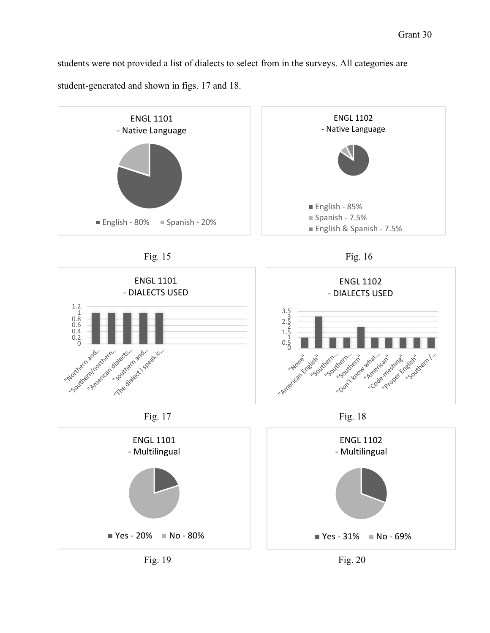students were not provided a list of dialects to select from in the surveys. All categories are student-generated and shown in figs. 17 and 18.

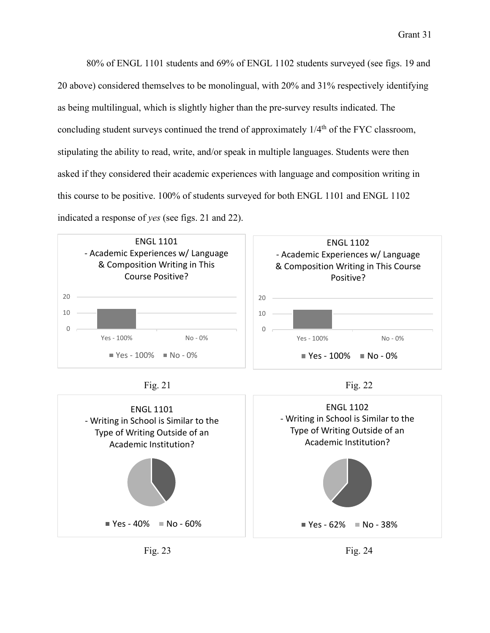80% of ENGL 1101 students and 69% of ENGL 1102 students surveyed (see figs. 19 and 20 above) considered themselves to be monolingual, with 20% and 31% respectively identifying as being multilingual, which is slightly higher than the pre-survey results indicated. The concluding student surveys continued the trend of approximately  $1/4<sup>th</sup>$  of the FYC classroom, stipulating the ability to read, write, and/or speak in multiple languages. Students were then asked if they considered their academic experiences with language and composition writing in this course to be positive. 100% of students surveyed for both ENGL 1101 and ENGL 1102 indicated a response of *yes* (see figs. 21 and 22).







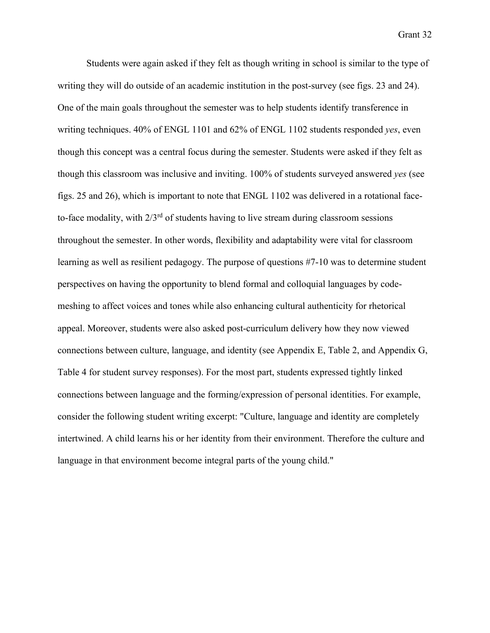Students were again asked if they felt as though writing in school is similar to the type of writing they will do outside of an academic institution in the post-survey (see figs. 23 and 24). One of the main goals throughout the semester was to help students identify transference in writing techniques. 40% of ENGL 1101 and 62% of ENGL 1102 students responded *yes*, even though this concept was a central focus during the semester. Students were asked if they felt as though this classroom was inclusive and inviting. 100% of students surveyed answered *yes* (see figs. 25 and 26), which is important to note that ENGL 1102 was delivered in a rotational faceto-face modality, with  $2/3^{rd}$  of students having to live stream during classroom sessions throughout the semester. In other words, flexibility and adaptability were vital for classroom learning as well as resilient pedagogy. The purpose of questions #7-10 was to determine student perspectives on having the opportunity to blend formal and colloquial languages by codemeshing to affect voices and tones while also enhancing cultural authenticity for rhetorical appeal. Moreover, students were also asked post-curriculum delivery how they now viewed connections between culture, language, and identity (see Appendix E, Table 2, and Appendix G, Table 4 for student survey responses). For the most part, students expressed tightly linked connections between language and the forming/expression of personal identities. For example, consider the following student writing excerpt: "Culture, language and identity are completely intertwined. A child learns his or her identity from their environment. Therefore the culture and language in that environment become integral parts of the young child."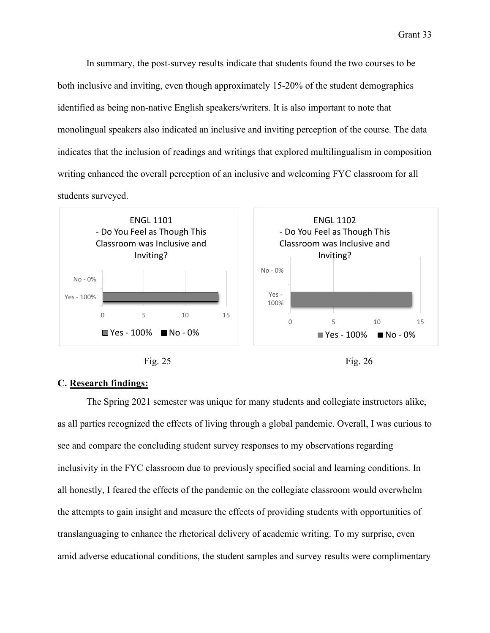In summary, the post-survey results indicate that students found the two courses to be both inclusive and inviting, even though approximately 15-20% of the student demographics identified as being non-native English speakers/writers. It is also important to note that monolingual speakers also indicated an inclusive and inviting perception of the course. The data indicates that the inclusion of readings and writings that explored multilingualism in composition writing enhanced the overall perception of an inclusive and welcoming FYC classroom for all students surveyed.





# **C. Research findings:**

The Spring 2021 semester was unique for many students and collegiate instructors alike, as all parties recognized the effects of living through a global pandemic. Overall, I was curious to see and compare the concluding student survey responses to my observations regarding inclusivity in the FYC classroom due to previously specified social and learning conditions. In all honestly, I feared the effects of the pandemic on the collegiate classroom would overwhelm the attempts to gain insight and measure the effects of providing students with opportunities of translanguaging to enhance the rhetorical delivery of academic writing. To my surprise, even amid adverse educational conditions, the student samples and survey results were complimentary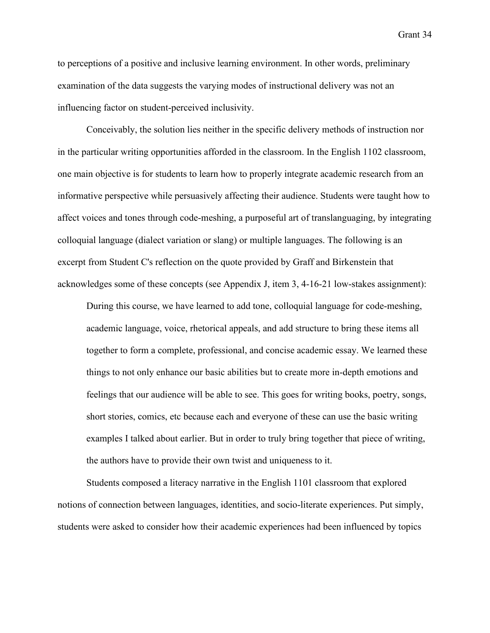to perceptions of a positive and inclusive learning environment. In other words, preliminary examination of the data suggests the varying modes of instructional delivery was not an influencing factor on student-perceived inclusivity.

Conceivably, the solution lies neither in the specific delivery methods of instruction nor in the particular writing opportunities afforded in the classroom. In the English 1102 classroom, one main objective is for students to learn how to properly integrate academic research from an informative perspective while persuasively affecting their audience. Students were taught how to affect voices and tones through code-meshing, a purposeful art of translanguaging, by integrating colloquial language (dialect variation or slang) or multiple languages. The following is an excerpt from Student C's reflection on the quote provided by Graff and Birkenstein that acknowledges some of these concepts (see Appendix J, item 3, 4-16-21 low-stakes assignment):

During this course, we have learned to add tone, colloquial language for code-meshing, academic language, voice, rhetorical appeals, and add structure to bring these items all together to form a complete, professional, and concise academic essay. We learned these things to not only enhance our basic abilities but to create more in-depth emotions and feelings that our audience will be able to see. This goes for writing books, poetry, songs, short stories, comics, etc because each and everyone of these can use the basic writing examples I talked about earlier. But in order to truly bring together that piece of writing, the authors have to provide their own twist and uniqueness to it.

Students composed a literacy narrative in the English 1101 classroom that explored notions of connection between languages, identities, and socio-literate experiences. Put simply, students were asked to consider how their academic experiences had been influenced by topics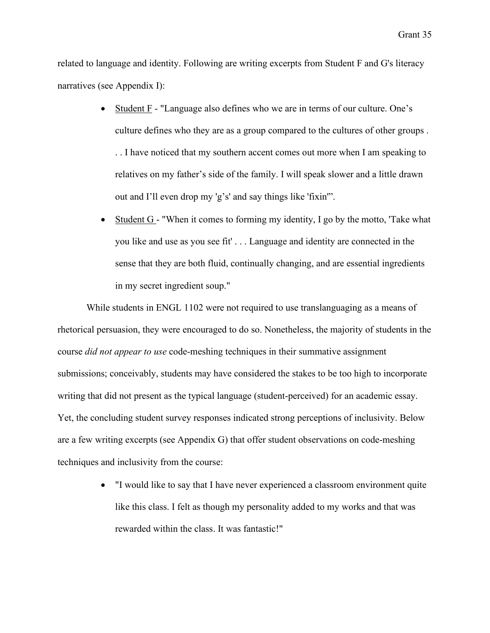related to language and identity. Following are writing excerpts from Student F and G's literacy narratives (see Appendix I):

- Student F "Language also defines who we are in terms of our culture. One's culture defines who they are as a group compared to the cultures of other groups . . . I have noticed that my southern accent comes out more when I am speaking to relatives on my father's side of the family. I will speak slower and a little drawn out and I'll even drop my 'g's' and say things like 'fixin'".
- Student G "When it comes to forming my identity, I go by the motto, 'Take what you like and use as you see fit' . . . Language and identity are connected in the sense that they are both fluid, continually changing, and are essential ingredients in my secret ingredient soup."

While students in ENGL 1102 were not required to use translanguaging as a means of rhetorical persuasion, they were encouraged to do so. Nonetheless, the majority of students in the course *did not appear to use* code-meshing techniques in their summative assignment submissions; conceivably, students may have considered the stakes to be too high to incorporate writing that did not present as the typical language (student-perceived) for an academic essay. Yet, the concluding student survey responses indicated strong perceptions of inclusivity. Below are a few writing excerpts (see Appendix G) that offer student observations on code-meshing techniques and inclusivity from the course:

> • "I would like to say that I have never experienced a classroom environment quite like this class. I felt as though my personality added to my works and that was rewarded within the class. It was fantastic!"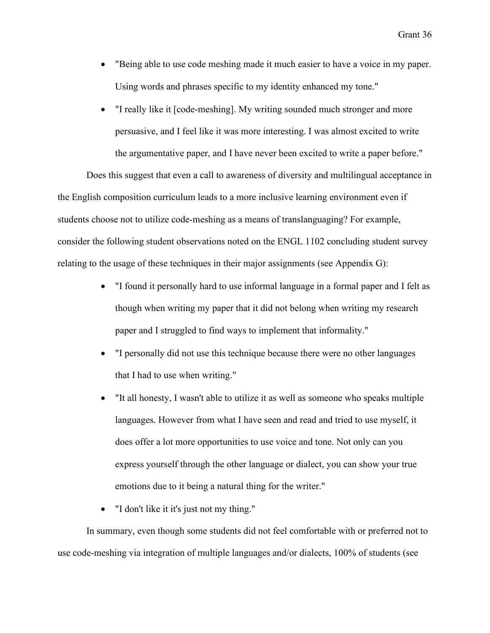- "Being able to use code meshing made it much easier to have a voice in my paper. Using words and phrases specific to my identity enhanced my tone."
- "I really like it [code-meshing]. My writing sounded much stronger and more persuasive, and I feel like it was more interesting. I was almost excited to write the argumentative paper, and I have never been excited to write a paper before."

Does this suggest that even a call to awareness of diversity and multilingual acceptance in the English composition curriculum leads to a more inclusive learning environment even if students choose not to utilize code-meshing as a means of translanguaging? For example, consider the following student observations noted on the ENGL 1102 concluding student survey relating to the usage of these techniques in their major assignments (see Appendix G):

- "I found it personally hard to use informal language in a formal paper and I felt as though when writing my paper that it did not belong when writing my research paper and I struggled to find ways to implement that informality."
- "I personally did not use this technique because there were no other languages that I had to use when writing."
- "It all honesty, I wasn't able to utilize it as well as someone who speaks multiple languages. However from what I have seen and read and tried to use myself, it does offer a lot more opportunities to use voice and tone. Not only can you express yourself through the other language or dialect, you can show your true emotions due to it being a natural thing for the writer."
- "I don't like it it's just not my thing."

In summary, even though some students did not feel comfortable with or preferred not to use code-meshing via integration of multiple languages and/or dialects, 100% of students (see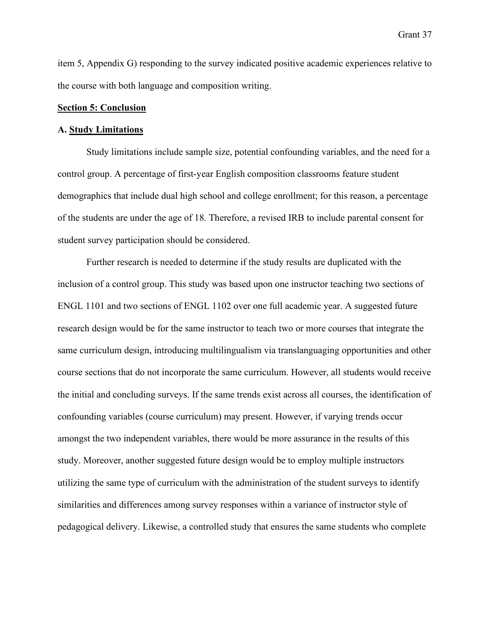item 5, Appendix G) responding to the survey indicated positive academic experiences relative to the course with both language and composition writing.

#### **Section 5: Conclusion**

#### **A. Study Limitations**

Study limitations include sample size, potential confounding variables, and the need for a control group. A percentage of first-year English composition classrooms feature student demographics that include dual high school and college enrollment; for this reason, a percentage of the students are under the age of 18. Therefore, a revised IRB to include parental consent for student survey participation should be considered.

Further research is needed to determine if the study results are duplicated with the inclusion of a control group. This study was based upon one instructor teaching two sections of ENGL 1101 and two sections of ENGL 1102 over one full academic year. A suggested future research design would be for the same instructor to teach two or more courses that integrate the same curriculum design, introducing multilingualism via translanguaging opportunities and other course sections that do not incorporate the same curriculum. However, all students would receive the initial and concluding surveys. If the same trends exist across all courses, the identification of confounding variables (course curriculum) may present. However, if varying trends occur amongst the two independent variables, there would be more assurance in the results of this study. Moreover, another suggested future design would be to employ multiple instructors utilizing the same type of curriculum with the administration of the student surveys to identify similarities and differences among survey responses within a variance of instructor style of pedagogical delivery. Likewise, a controlled study that ensures the same students who complete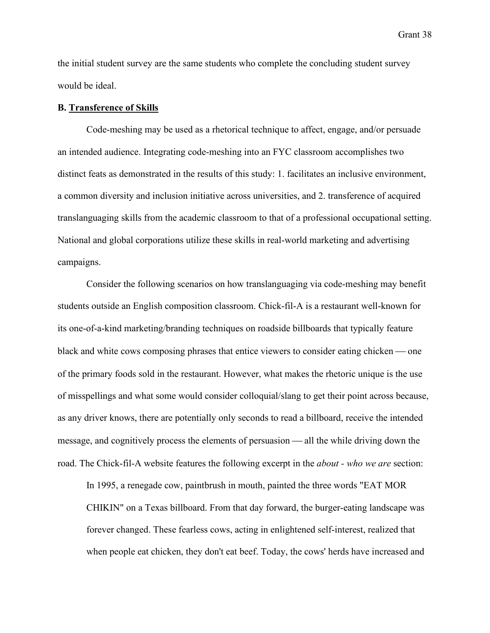Grant 38

the initial student survey are the same students who complete the concluding student survey would be ideal.

#### **B. Transference of Skills**

Code-meshing may be used as a rhetorical technique to affect, engage, and/or persuade an intended audience. Integrating code-meshing into an FYC classroom accomplishes two distinct feats as demonstrated in the results of this study: 1. facilitates an inclusive environment, a common diversity and inclusion initiative across universities, and 2. transference of acquired translanguaging skills from the academic classroom to that of a professional occupational setting. National and global corporations utilize these skills in real-world marketing and advertising campaigns.

Consider the following scenarios on how translanguaging via code-meshing may benefit students outside an English composition classroom. Chick-fil-A is a restaurant well-known for its one-of-a-kind marketing/branding techniques on roadside billboards that typically feature black and white cows composing phrases that entice viewers to consider eating chicken — one of the primary foods sold in the restaurant. However, what makes the rhetoric unique is the use of misspellings and what some would consider colloquial/slang to get their point across because, as any driver knows, there are potentially only seconds to read a billboard, receive the intended message, and cognitively process the elements of persuasion — all the while driving down the road. The Chick-fil-A website features the following excerpt in the *about - who we are* section:

In 1995, a renegade cow, paintbrush in mouth, painted the three words "EAT MOR CHIKIN" on a Texas billboard. From that day forward, the burger-eating landscape was forever changed. These fearless cows, acting in enlightened self-interest, realized that when people eat chicken, they don't eat beef. Today, the cows' herds have increased and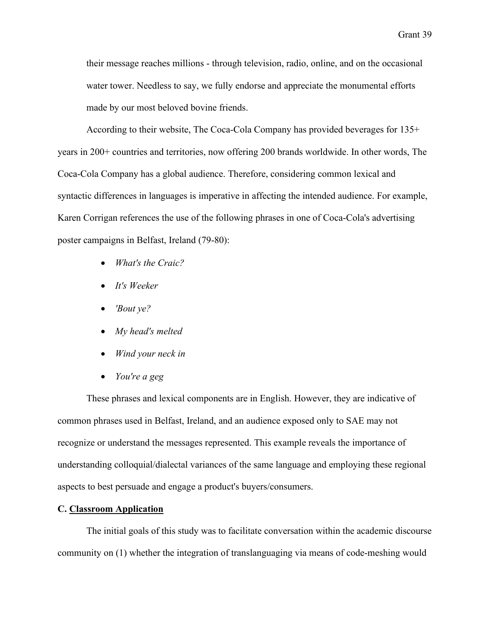their message reaches millions - through television, radio, online, and on the occasional water tower. Needless to say, we fully endorse and appreciate the monumental efforts made by our most beloved bovine friends.

According to their website, The Coca-Cola Company has provided beverages for 135+ years in 200+ countries and territories, now offering 200 brands worldwide. In other words, The Coca-Cola Company has a global audience. Therefore, considering common lexical and syntactic differences in languages is imperative in affecting the intended audience. For example, Karen Corrigan references the use of the following phrases in one of Coca-Cola's advertising poster campaigns in Belfast, Ireland (79-80):

- *What's the Craic?*
- *It's Weeker*
- *'Bout ye?*
- *My head's melted*
- *Wind your neck in*
- *You're a geg*

These phrases and lexical components are in English. However, they are indicative of common phrases used in Belfast, Ireland, and an audience exposed only to SAE may not recognize or understand the messages represented. This example reveals the importance of understanding colloquial/dialectal variances of the same language and employing these regional aspects to best persuade and engage a product's buyers/consumers.

#### **C. Classroom Application**

The initial goals of this study was to facilitate conversation within the academic discourse community on (1) whether the integration of translanguaging via means of code-meshing would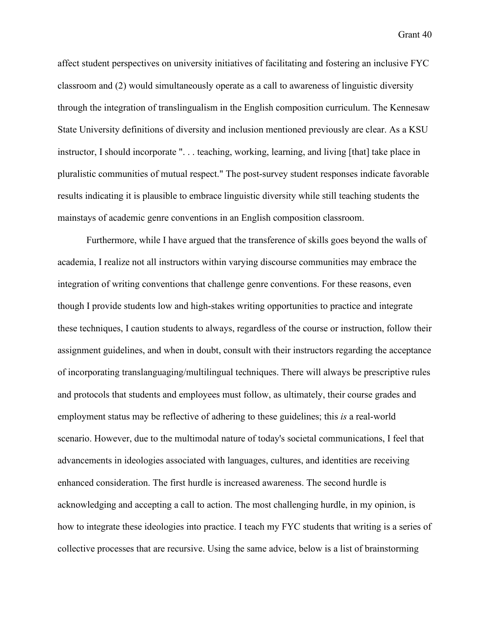Grant 40

affect student perspectives on university initiatives of facilitating and fostering an inclusive FYC classroom and (2) would simultaneously operate as a call to awareness of linguistic diversity through the integration of translingualism in the English composition curriculum. The Kennesaw State University definitions of diversity and inclusion mentioned previously are clear. As a KSU instructor, I should incorporate ". . . teaching, working, learning, and living [that] take place in pluralistic communities of mutual respect." The post-survey student responses indicate favorable results indicating it is plausible to embrace linguistic diversity while still teaching students the mainstays of academic genre conventions in an English composition classroom.

Furthermore, while I have argued that the transference of skills goes beyond the walls of academia, I realize not all instructors within varying discourse communities may embrace the integration of writing conventions that challenge genre conventions. For these reasons, even though I provide students low and high-stakes writing opportunities to practice and integrate these techniques, I caution students to always, regardless of the course or instruction, follow their assignment guidelines, and when in doubt, consult with their instructors regarding the acceptance of incorporating translanguaging/multilingual techniques. There will always be prescriptive rules and protocols that students and employees must follow, as ultimately, their course grades and employment status may be reflective of adhering to these guidelines; this *is* a real-world scenario. However, due to the multimodal nature of today's societal communications, I feel that advancements in ideologies associated with languages, cultures, and identities are receiving enhanced consideration. The first hurdle is increased awareness. The second hurdle is acknowledging and accepting a call to action. The most challenging hurdle, in my opinion, is how to integrate these ideologies into practice. I teach my FYC students that writing is a series of collective processes that are recursive. Using the same advice, below is a list of brainstorming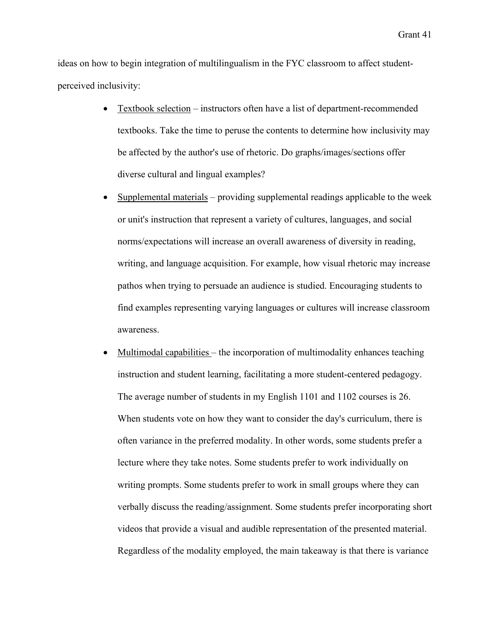ideas on how to begin integration of multilingualism in the FYC classroom to affect studentperceived inclusivity:

- Textbook selection instructors often have a list of department-recommended textbooks. Take the time to peruse the contents to determine how inclusivity may be affected by the author's use of rhetoric. Do graphs/images/sections offer diverse cultural and lingual examples?
- Supplemental materials providing supplemental readings applicable to the week or unit's instruction that represent a variety of cultures, languages, and social norms/expectations will increase an overall awareness of diversity in reading, writing, and language acquisition. For example, how visual rhetoric may increase pathos when trying to persuade an audience is studied. Encouraging students to find examples representing varying languages or cultures will increase classroom awareness.
- Multimodal capabilities the incorporation of multimodality enhances teaching instruction and student learning, facilitating a more student-centered pedagogy. The average number of students in my English 1101 and 1102 courses is 26. When students vote on how they want to consider the day's curriculum, there is often variance in the preferred modality. In other words, some students prefer a lecture where they take notes. Some students prefer to work individually on writing prompts. Some students prefer to work in small groups where they can verbally discuss the reading/assignment. Some students prefer incorporating short videos that provide a visual and audible representation of the presented material. Regardless of the modality employed, the main takeaway is that there is variance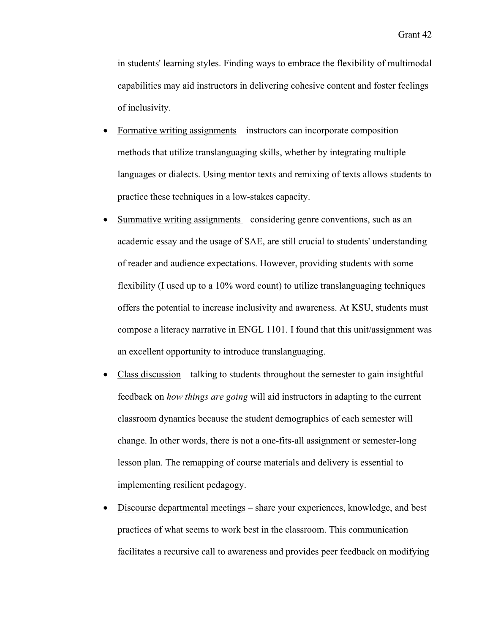in students' learning styles. Finding ways to embrace the flexibility of multimodal capabilities may aid instructors in delivering cohesive content and foster feelings of inclusivity.

- Formative writing assignments instructors can incorporate composition methods that utilize translanguaging skills, whether by integrating multiple languages or dialects. Using mentor texts and remixing of texts allows students to practice these techniques in a low-stakes capacity.
- Summative writing assignments considering genre conventions, such as an academic essay and the usage of SAE, are still crucial to students' understanding of reader and audience expectations. However, providing students with some flexibility (I used up to a 10% word count) to utilize translanguaging techniques offers the potential to increase inclusivity and awareness. At KSU, students must compose a literacy narrative in ENGL 1101. I found that this unit/assignment was an excellent opportunity to introduce translanguaging.
- Class discussion talking to students throughout the semester to gain insightful feedback on *how things are going* will aid instructors in adapting to the current classroom dynamics because the student demographics of each semester will change. In other words, there is not a one-fits-all assignment or semester-long lesson plan. The remapping of course materials and delivery is essential to implementing resilient pedagogy.
- Discourse departmental meetings share your experiences, knowledge, and best practices of what seems to work best in the classroom. This communication facilitates a recursive call to awareness and provides peer feedback on modifying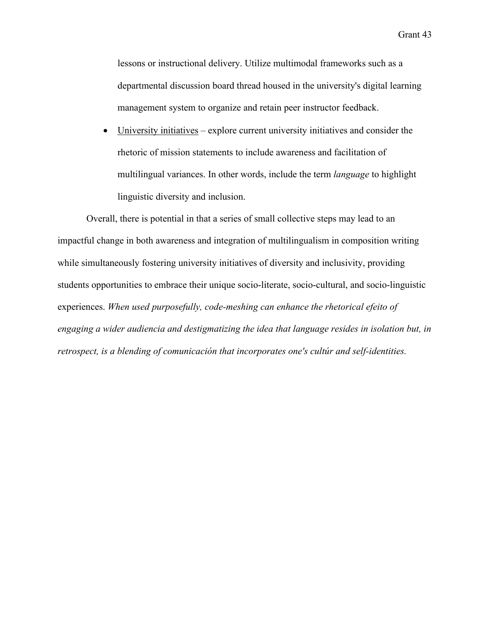Grant 43

lessons or instructional delivery. Utilize multimodal frameworks such as a departmental discussion board thread housed in the university's digital learning management system to organize and retain peer instructor feedback.

University initiatives – explore current university initiatives and consider the rhetoric of mission statements to include awareness and facilitation of multilingual variances. In other words, include the term *language* to highlight linguistic diversity and inclusion.

Overall, there is potential in that a series of small collective steps may lead to an impactful change in both awareness and integration of multilingualism in composition writing while simultaneously fostering university initiatives of diversity and inclusivity, providing students opportunities to embrace their unique socio-literate, socio-cultural, and socio-linguistic experiences. *When used purposefully, code-meshing can enhance the rhetorical efeito of engaging a wider audiencia and destigmatizing the idea that language resides in isolation but, in retrospect, is a blending of comunicación that incorporates one's cultúr and self-identities.*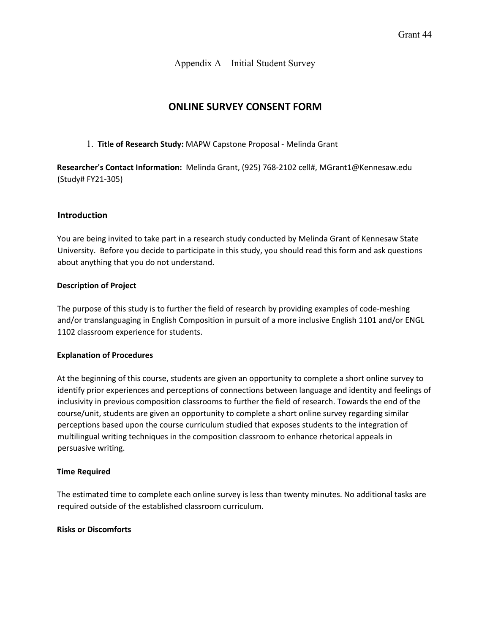Appendix A – Initial Student Survey

# **ONLINE SURVEY CONSENT FORM**

#### 1. **Title of Research Study:** MAPW Capstone Proposal - Melinda Grant

**Researcher's Contact Information:** Melinda Grant, (925) 768-2102 cell#, MGrant1@Kennesaw.edu (Study# FY21-305)

## **Introduction**

You are being invited to take part in a research study conducted by Melinda Grant of Kennesaw State University. Before you decide to participate in this study, you should read this form and ask questions about anything that you do not understand.

#### **Description of Project**

The purpose of this study is to further the field of research by providing examples of code-meshing and/or translanguaging in English Composition in pursuit of a more inclusive English 1101 and/or ENGL 1102 classroom experience for students.

#### **Explanation of Procedures**

At the beginning of this course, students are given an opportunity to complete a short online survey to identify prior experiences and perceptions of connections between language and identity and feelings of inclusivity in previous composition classrooms to further the field of research. Towards the end of the course/unit, students are given an opportunity to complete a short online survey regarding similar perceptions based upon the course curriculum studied that exposes students to the integration of multilingual writing techniques in the composition classroom to enhance rhetorical appeals in persuasive writing.

#### **Time Required**

The estimated time to complete each online survey is less than twenty minutes. No additional tasks are required outside of the established classroom curriculum.

#### **Risks or Discomforts**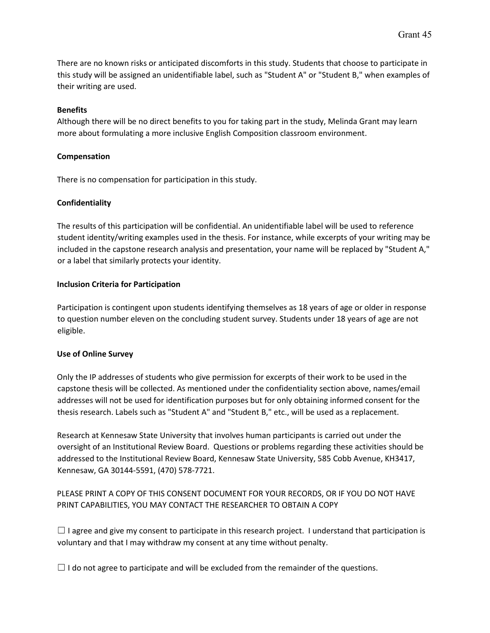There are no known risks or anticipated discomforts in this study. Students that choose to participate in this study will be assigned an unidentifiable label, such as "Student A" or "Student B," when examples of their writing are used.

#### **Benefits**

Although there will be no direct benefits to you for taking part in the study, Melinda Grant may learn more about formulating a more inclusive English Composition classroom environment.

## **Compensation**

There is no compensation for participation in this study.

## **Confidentiality**

The results of this participation will be confidential. An unidentifiable label will be used to reference student identity/writing examples used in the thesis. For instance, while excerpts of your writing may be included in the capstone research analysis and presentation, your name will be replaced by "Student A," or a label that similarly protects your identity.

## **Inclusion Criteria for Participation**

Participation is contingent upon students identifying themselves as 18 years of age or older in response to question number eleven on the concluding student survey. Students under 18 years of age are not eligible.

#### **Use of Online Survey**

Only the IP addresses of students who give permission for excerpts of their work to be used in the capstone thesis will be collected. As mentioned under the confidentiality section above, names/email addresses will not be used for identification purposes but for only obtaining informed consent for the thesis research. Labels such as "Student A" and "Student B," etc., will be used as a replacement.

Research at Kennesaw State University that involves human participants is carried out under the oversight of an Institutional Review Board. Questions or problems regarding these activities should be addressed to the Institutional Review Board, Kennesaw State University, 585 Cobb Avenue, KH3417, Kennesaw, GA 30144-5591, (470) 578-7721.

# PLEASE PRINT A COPY OF THIS CONSENT DOCUMENT FOR YOUR RECORDS, OR IF YOU DO NOT HAVE PRINT CAPABILITIES, YOU MAY CONTACT THE RESEARCHER TO OBTAIN A COPY

 $\Box$  I agree and give my consent to participate in this research project. I understand that participation is voluntary and that I may withdraw my consent at any time without penalty.

 $\Box$  I do not agree to participate and will be excluded from the remainder of the questions.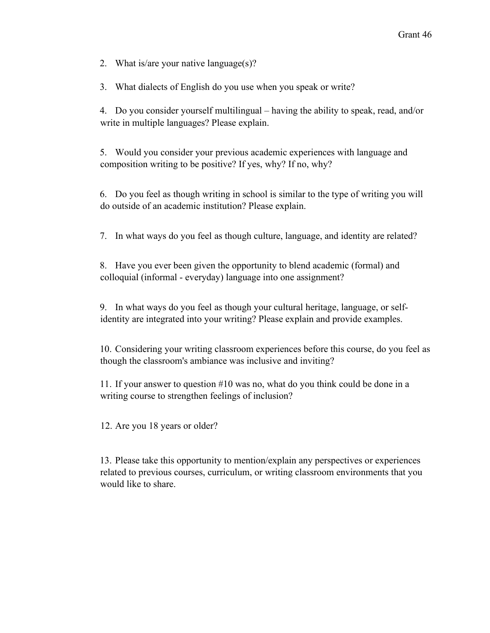2. What is/are your native language(s)?

3. What dialects of English do you use when you speak or write?

4. Do you consider yourself multilingual – having the ability to speak, read, and/or write in multiple languages? Please explain.

5. Would you consider your previous academic experiences with language and composition writing to be positive? If yes, why? If no, why?

6. Do you feel as though writing in school is similar to the type of writing you will do outside of an academic institution? Please explain.

7. In what ways do you feel as though culture, language, and identity are related?

8. Have you ever been given the opportunity to blend academic (formal) and colloquial (informal - everyday) language into one assignment?

9. In what ways do you feel as though your cultural heritage, language, or selfidentity are integrated into your writing? Please explain and provide examples.

10. Considering your writing classroom experiences before this course, do you feel as though the classroom's ambiance was inclusive and inviting?

11. If your answer to question #10 was no, what do you think could be done in a writing course to strengthen feelings of inclusion?

12. Are you 18 years or older?

13. Please take this opportunity to mention/explain any perspectives or experiences related to previous courses, curriculum, or writing classroom environments that you would like to share.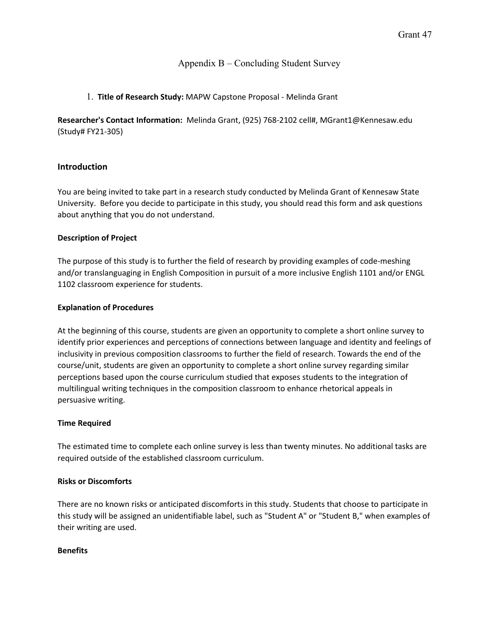## Appendix B – Concluding Student Survey

## 1. **Title of Research Study:** MAPW Capstone Proposal - Melinda Grant

**Researcher's Contact Information:** Melinda Grant, (925) 768-2102 cell#, MGrant1@Kennesaw.edu (Study# FY21-305)

## **Introduction**

You are being invited to take part in a research study conducted by Melinda Grant of Kennesaw State University. Before you decide to participate in this study, you should read this form and ask questions about anything that you do not understand.

#### **Description of Project**

The purpose of this study is to further the field of research by providing examples of code-meshing and/or translanguaging in English Composition in pursuit of a more inclusive English 1101 and/or ENGL 1102 classroom experience for students.

#### **Explanation of Procedures**

At the beginning of this course, students are given an opportunity to complete a short online survey to identify prior experiences and perceptions of connections between language and identity and feelings of inclusivity in previous composition classrooms to further the field of research. Towards the end of the course/unit, students are given an opportunity to complete a short online survey regarding similar perceptions based upon the course curriculum studied that exposes students to the integration of multilingual writing techniques in the composition classroom to enhance rhetorical appeals in persuasive writing.

#### **Time Required**

The estimated time to complete each online survey is less than twenty minutes. No additional tasks are required outside of the established classroom curriculum.

#### **Risks or Discomforts**

There are no known risks or anticipated discomforts in this study. Students that choose to participate in this study will be assigned an unidentifiable label, such as "Student A" or "Student B," when examples of their writing are used.

#### **Benefits**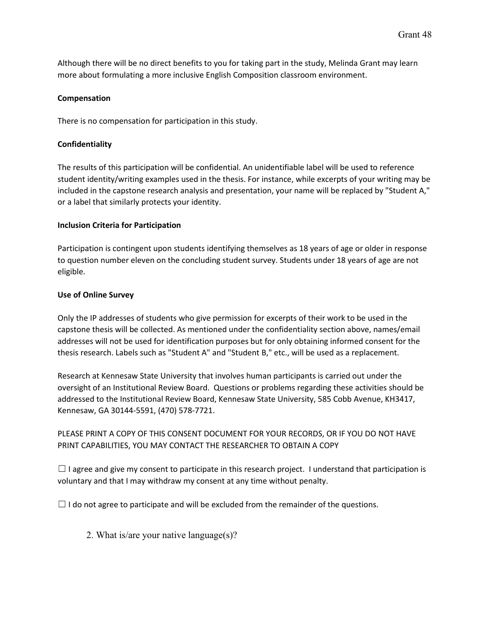Although there will be no direct benefits to you for taking part in the study, Melinda Grant may learn more about formulating a more inclusive English Composition classroom environment.

#### **Compensation**

There is no compensation for participation in this study.

## **Confidentiality**

The results of this participation will be confidential. An unidentifiable label will be used to reference student identity/writing examples used in the thesis. For instance, while excerpts of your writing may be included in the capstone research analysis and presentation, your name will be replaced by "Student A," or a label that similarly protects your identity.

#### **Inclusion Criteria for Participation**

Participation is contingent upon students identifying themselves as 18 years of age or older in response to question number eleven on the concluding student survey. Students under 18 years of age are not eligible.

#### **Use of Online Survey**

Only the IP addresses of students who give permission for excerpts of their work to be used in the capstone thesis will be collected. As mentioned under the confidentiality section above, names/email addresses will not be used for identification purposes but for only obtaining informed consent for the thesis research. Labels such as "Student A" and "Student B," etc., will be used as a replacement.

Research at Kennesaw State University that involves human participants is carried out under the oversight of an Institutional Review Board. Questions or problems regarding these activities should be addressed to the Institutional Review Board, Kennesaw State University, 585 Cobb Avenue, KH3417, Kennesaw, GA 30144-5591, (470) 578-7721.

PLEASE PRINT A COPY OF THIS CONSENT DOCUMENT FOR YOUR RECORDS, OR IF YOU DO NOT HAVE PRINT CAPABILITIES, YOU MAY CONTACT THE RESEARCHER TO OBTAIN A COPY

 $\Box$  I agree and give my consent to participate in this research project. I understand that participation is voluntary and that I may withdraw my consent at any time without penalty.

 $\Box$  I do not agree to participate and will be excluded from the remainder of the questions.

2. What is/are your native language(s)?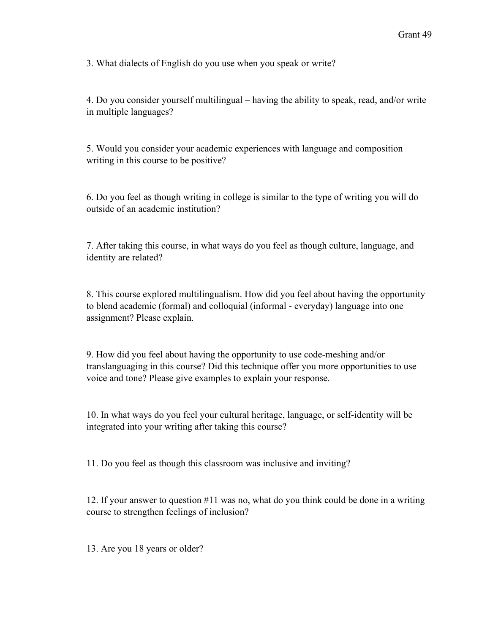3. What dialects of English do you use when you speak or write?

4. Do you consider yourself multilingual – having the ability to speak, read, and/or write in multiple languages?

5. Would you consider your academic experiences with language and composition writing in this course to be positive?

6. Do you feel as though writing in college is similar to the type of writing you will do outside of an academic institution?

7. After taking this course, in what ways do you feel as though culture, language, and identity are related?

8. This course explored multilingualism. How did you feel about having the opportunity to blend academic (formal) and colloquial (informal - everyday) language into one assignment? Please explain.

9. How did you feel about having the opportunity to use code-meshing and/or translanguaging in this course? Did this technique offer you more opportunities to use voice and tone? Please give examples to explain your response.

10. In what ways do you feel your cultural heritage, language, or self-identity will be integrated into your writing after taking this course?

11. Do you feel as though this classroom was inclusive and inviting?

12. If your answer to question #11 was no, what do you think could be done in a writing course to strengthen feelings of inclusion?

13. Are you 18 years or older?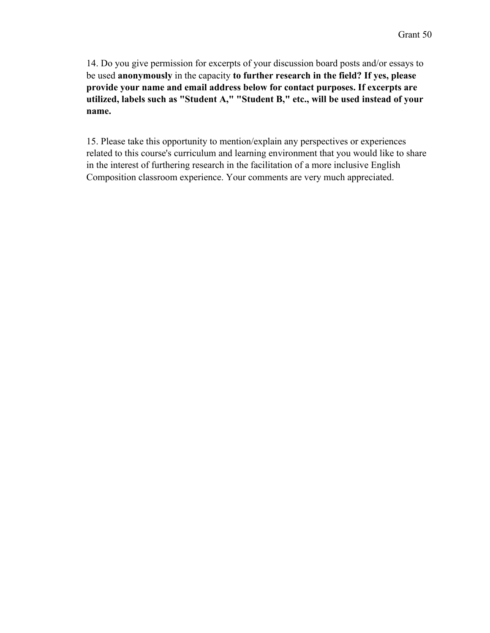14. Do you give permission for excerpts of your discussion board posts and/or essays to be used **anonymously** in the capacity **to further research in the field? If yes, please provide your name and email address below for contact purposes. If excerpts are utilized, labels such as "Student A," "Student B," etc., will be used instead of your name.**

15. Please take this opportunity to mention/explain any perspectives or experiences related to this course's curriculum and learning environment that you would like to share in the interest of furthering research in the facilitation of a more inclusive English Composition classroom experience. Your comments are very much appreciated.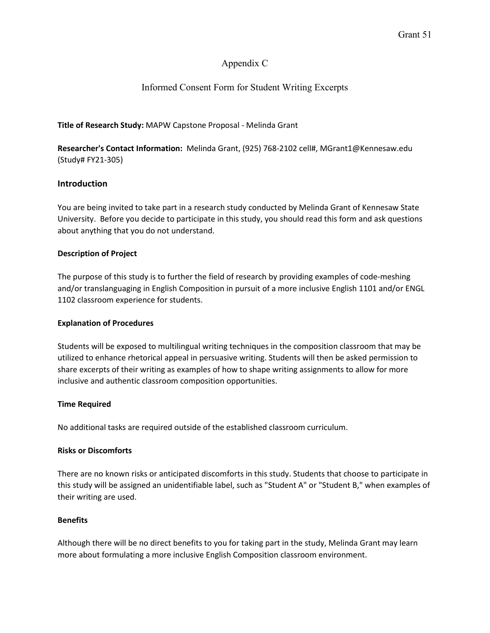## Appendix C

# Informed Consent Form for Student Writing Excerpts

#### **Title of Research Study:** MAPW Capstone Proposal - Melinda Grant

**Researcher's Contact Information:** Melinda Grant, (925) 768-2102 cell#, MGrant1@Kennesaw.edu (Study# FY21-305)

## **Introduction**

You are being invited to take part in a research study conducted by Melinda Grant of Kennesaw State University. Before you decide to participate in this study, you should read this form and ask questions about anything that you do not understand.

#### **Description of Project**

The purpose of this study is to further the field of research by providing examples of code-meshing and/or translanguaging in English Composition in pursuit of a more inclusive English 1101 and/or ENGL 1102 classroom experience for students.

#### **Explanation of Procedures**

Students will be exposed to multilingual writing techniques in the composition classroom that may be utilized to enhance rhetorical appeal in persuasive writing. Students will then be asked permission to share excerpts of their writing as examples of how to shape writing assignments to allow for more inclusive and authentic classroom composition opportunities.

#### **Time Required**

No additional tasks are required outside of the established classroom curriculum.

#### **Risks or Discomforts**

There are no known risks or anticipated discomforts in this study. Students that choose to participate in this study will be assigned an unidentifiable label, such as "Student A" or "Student B," when examples of their writing are used.

#### **Benefits**

Although there will be no direct benefits to you for taking part in the study, Melinda Grant may learn more about formulating a more inclusive English Composition classroom environment.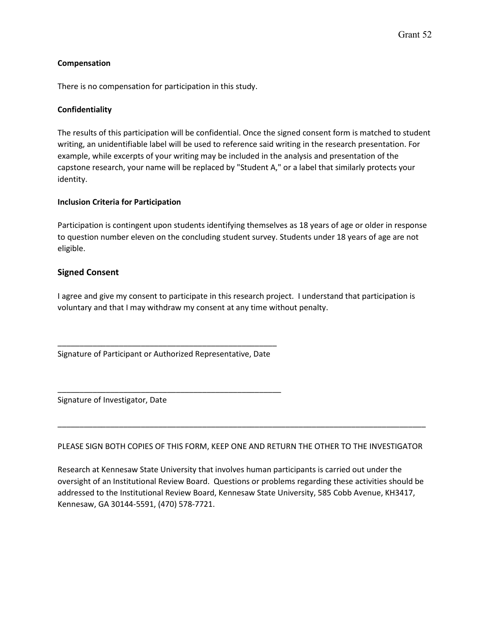#### **Compensation**

There is no compensation for participation in this study.

#### **Confidentiality**

The results of this participation will be confidential. Once the signed consent form is matched to student writing, an unidentifiable label will be used to reference said writing in the research presentation. For example, while excerpts of your writing may be included in the analysis and presentation of the capstone research, your name will be replaced by "Student A," or a label that similarly protects your identity.

#### **Inclusion Criteria for Participation**

Participation is contingent upon students identifying themselves as 18 years of age or older in response to question number eleven on the concluding student survey. Students under 18 years of age are not eligible.

#### **Signed Consent**

I agree and give my consent to participate in this research project. I understand that participation is voluntary and that I may withdraw my consent at any time without penalty.

\_\_\_\_\_\_\_\_\_\_\_\_\_\_\_\_\_\_\_\_\_\_\_\_\_\_\_\_\_\_\_\_\_\_\_\_\_\_\_\_\_\_\_\_\_\_\_\_\_\_ Signature of Participant or Authorized Representative, Date

\_\_\_\_\_\_\_\_\_\_\_\_\_\_\_\_\_\_\_\_\_\_\_\_\_\_\_\_\_\_\_\_\_\_\_\_\_\_\_\_\_\_\_\_\_\_\_\_\_\_\_

Signature of Investigator, Date

PLEASE SIGN BOTH COPIES OF THIS FORM, KEEP ONE AND RETURN THE OTHER TO THE INVESTIGATOR

\_\_\_\_\_\_\_\_\_\_\_\_\_\_\_\_\_\_\_\_\_\_\_\_\_\_\_\_\_\_\_\_\_\_\_\_\_\_\_\_\_\_\_\_\_\_\_\_\_\_\_\_\_\_\_\_\_\_\_\_\_\_\_\_\_\_\_\_\_\_\_\_\_\_\_\_\_\_\_\_\_\_\_\_

Research at Kennesaw State University that involves human participants is carried out under the oversight of an Institutional Review Board. Questions or problems regarding these activities should be addressed to the Institutional Review Board, Kennesaw State University, 585 Cobb Avenue, KH3417, Kennesaw, GA 30144-5591, (470) 578-7721.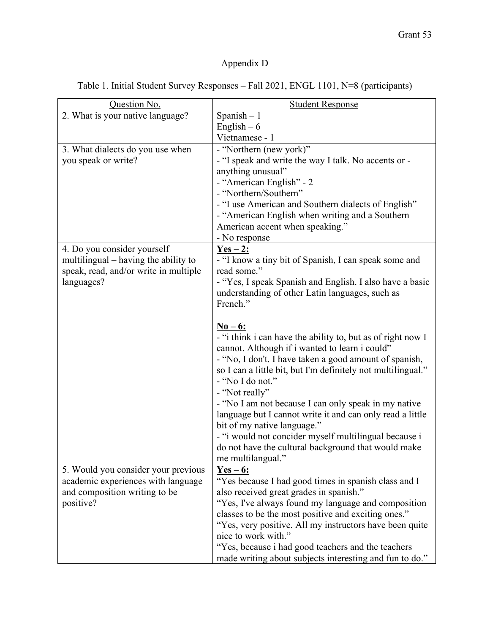# Appendix D

Table 1. Initial Student Survey Responses – Fall 2021, ENGL 1101, N=8 (participants)

| Question No.                          | <b>Student Response</b>                                                          |
|---------------------------------------|----------------------------------------------------------------------------------|
| 2. What is your native language?      | Spanish $-1$                                                                     |
|                                       | English $-6$                                                                     |
|                                       | Vietnamese - 1                                                                   |
| 3. What dialects do you use when      | - "Northern (new york)"                                                          |
| you speak or write?                   | - "I speak and write the way I talk. No accents or -                             |
|                                       | anything unusual"                                                                |
|                                       | - "American English" - 2                                                         |
|                                       | - "Northern/Southern"                                                            |
|                                       | - "I use American and Southern dialects of English"                              |
|                                       | - "American English when writing and a Southern                                  |
|                                       | American accent when speaking."                                                  |
|                                       | - No response                                                                    |
| 4. Do you consider yourself           | $Yes - 2:$                                                                       |
| multilingual – having the ability to  | - "I know a tiny bit of Spanish, I can speak some and                            |
| speak, read, and/or write in multiple | read some."                                                                      |
| languages?                            | - "Yes, I speak Spanish and English. I also have a basic                         |
|                                       | understanding of other Latin languages, such as                                  |
|                                       | French."                                                                         |
|                                       |                                                                                  |
|                                       | $N_0 - 6:$                                                                       |
|                                       | - "i think i can have the ability to, but as of right now I                      |
|                                       | cannot. Although if i wanted to learn i could"                                   |
|                                       | - "No, I don't. I have taken a good amount of spanish,                           |
|                                       | so I can a little bit, but I'm definitely not multilingual."<br>- "No I do not." |
|                                       | - "Not really"                                                                   |
|                                       | - "No I am not because I can only speak in my native                             |
|                                       | language but I cannot write it and can only read a little                        |
|                                       | bit of my native language."                                                      |
|                                       | - "i would not concider myself multilingual because i                            |
|                                       | do not have the cultural background that would make                              |
|                                       | me multilangual."                                                                |
| 5. Would you consider your previous   | $Yes - 6:$                                                                       |
| academic experiences with language    | "Yes because I had good times in spanish class and I                             |
| and composition writing to be         | also received great grades in spanish."                                          |
| positive?                             | "Yes, I've always found my language and composition                              |
|                                       | classes to be the most positive and exciting ones."                              |
|                                       | "Yes, very positive. All my instructors have been quite                          |
|                                       | nice to work with."                                                              |
|                                       | "Yes, because i had good teachers and the teachers                               |
|                                       | made writing about subjects interesting and fun to do."                          |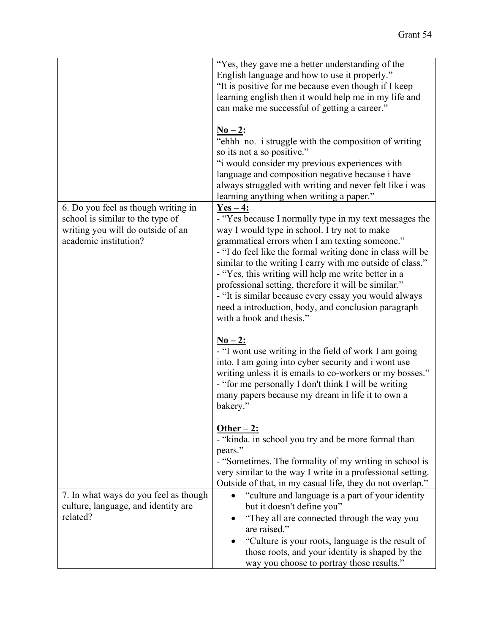|                                                                                                                                       | "Yes, they gave me a better understanding of the<br>English language and how to use it properly."<br>"It is positive for me because even though if I keep<br>learning english then it would help me in my life and<br>can make me successful of getting a career."<br>$N_0-2$ :<br>"ehhh no. i struggle with the composition of writing<br>so its not a so positive."<br>"i would consider my previous experiences with                                                                                                                                     |
|---------------------------------------------------------------------------------------------------------------------------------------|-------------------------------------------------------------------------------------------------------------------------------------------------------------------------------------------------------------------------------------------------------------------------------------------------------------------------------------------------------------------------------------------------------------------------------------------------------------------------------------------------------------------------------------------------------------|
|                                                                                                                                       | language and composition negative because i have<br>always struggled with writing and never felt like i was<br>learning anything when writing a paper."                                                                                                                                                                                                                                                                                                                                                                                                     |
| 6. Do you feel as though writing in<br>school is similar to the type of<br>writing you will do outside of an<br>academic institution? | $Yes-4:$<br>- "Yes because I normally type in my text messages the<br>way I would type in school. I try not to make<br>grammatical errors when I am texting someone."<br>- "I do feel like the formal writing done in class will be<br>similar to the writing I carry with me outside of class."<br>- "Yes, this writing will help me write better in a<br>professional setting, therefore it will be similar."<br>- "It is similar because every essay you would always<br>need a introduction, body, and conclusion paragraph<br>with a hook and thesis." |
|                                                                                                                                       | $N_0 - 2:$<br>- "I wont use writing in the field of work I am going<br>into. I am going into cyber security and i wont use<br>writing unless it is emails to co-workers or my bosses."<br>- "for me personally I don't think I will be writing<br>many papers because my dream in life it to own a<br>bakery."                                                                                                                                                                                                                                              |
|                                                                                                                                       | Other $-2$ :<br>- "kinda. in school you try and be more formal than<br>pears."<br>- "Sometimes. The formality of my writing in school is<br>very similar to the way I write in a professional setting.                                                                                                                                                                                                                                                                                                                                                      |
|                                                                                                                                       | Outside of that, in my casual life, they do not overlap."                                                                                                                                                                                                                                                                                                                                                                                                                                                                                                   |
| 7. In what ways do you feel as though<br>culture, language, and identity are<br>related?                                              | "culture and language is a part of your identity<br>but it doesn't define you"<br>"They all are connected through the way you                                                                                                                                                                                                                                                                                                                                                                                                                               |
|                                                                                                                                       | are raised."<br>"Culture is your roots, language is the result of<br>those roots, and your identity is shaped by the<br>way you choose to portray those results."                                                                                                                                                                                                                                                                                                                                                                                           |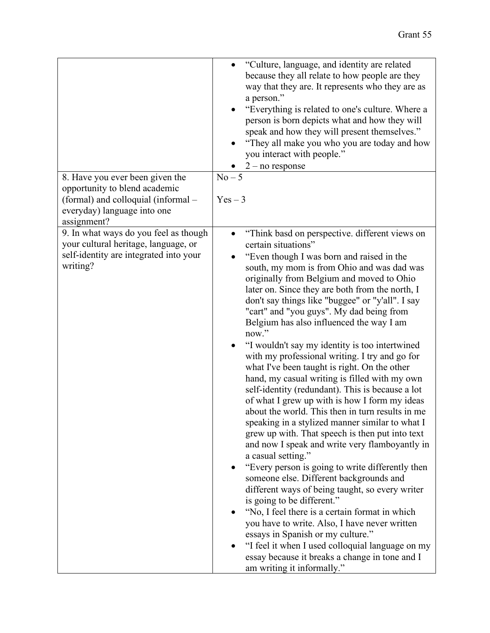|                                                                                                                                                    | "Culture, language, and identity are related<br>because they all relate to how people are they<br>way that they are. It represents who they are as<br>a person."<br>"Everything is related to one's culture. Where a<br>person is born depicts what and how they will<br>speak and how they will present themselves."<br>"They all make you who you are today and how<br>you interact with people."<br>$2$ – no response                                                                                                                                                                                                                                                                                                                                                                                                                                                                                                                                                                                                                                                                                                                                                                                                                                                                                                                                                                                                      |
|----------------------------------------------------------------------------------------------------------------------------------------------------|-------------------------------------------------------------------------------------------------------------------------------------------------------------------------------------------------------------------------------------------------------------------------------------------------------------------------------------------------------------------------------------------------------------------------------------------------------------------------------------------------------------------------------------------------------------------------------------------------------------------------------------------------------------------------------------------------------------------------------------------------------------------------------------------------------------------------------------------------------------------------------------------------------------------------------------------------------------------------------------------------------------------------------------------------------------------------------------------------------------------------------------------------------------------------------------------------------------------------------------------------------------------------------------------------------------------------------------------------------------------------------------------------------------------------------|
| 8. Have you ever been given the<br>opportunity to blend academic<br>(formal) and colloquial (informal -<br>everyday) language into one             | $No-5$<br>$Yes-3$                                                                                                                                                                                                                                                                                                                                                                                                                                                                                                                                                                                                                                                                                                                                                                                                                                                                                                                                                                                                                                                                                                                                                                                                                                                                                                                                                                                                             |
| assignment?<br>9. In what ways do you feel as though<br>your cultural heritage, language, or<br>self-identity are integrated into your<br>writing? | "Think basd on perspective. different views on<br>certain situations"<br>"Even though I was born and raised in the<br>south, my mom is from Ohio and was dad was<br>originally from Belgium and moved to Ohio<br>later on. Since they are both from the north, I<br>don't say things like "buggee" or "y'all". I say<br>"cart" and "you guys". My dad being from<br>Belgium has also influenced the way I am<br>now."<br>"I wouldn't say my identity is too intertwined<br>with my professional writing. I try and go for<br>what I've been taught is right. On the other<br>hand, my casual writing is filled with my own<br>self-identity (redundant). This is because a lot<br>of what I grew up with is how I form my ideas<br>about the world. This then in turn results in me<br>speaking in a stylized manner similar to what I<br>grew up with. That speech is then put into text<br>and now I speak and write very flamboyantly in<br>a casual setting."<br>"Every person is going to write differently then<br>someone else. Different backgrounds and<br>different ways of being taught, so every writer<br>is going to be different."<br>"No, I feel there is a certain format in which<br>you have to write. Also, I have never written<br>essays in Spanish or my culture."<br>"I feel it when I used colloquial language on my<br>essay because it breaks a change in tone and I<br>am writing it informally." |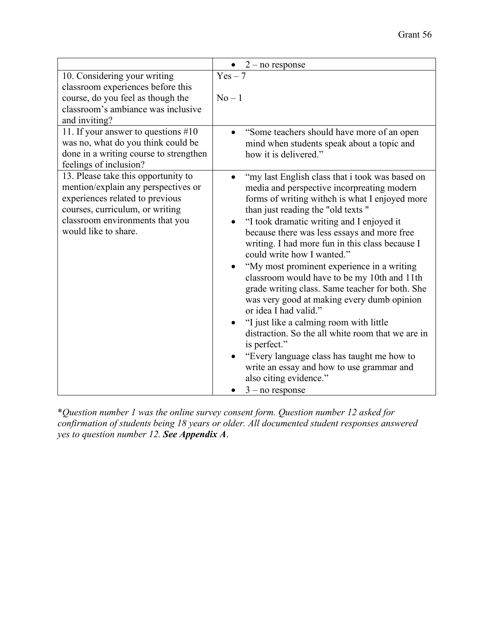|                                                                                                                                                                                                             | $2$ – no response                                                                                                                                                                                                                                                                                                                                                                                                                                                                                                                                                                                                                                                                                                                                                                                                                                               |
|-------------------------------------------------------------------------------------------------------------------------------------------------------------------------------------------------------------|-----------------------------------------------------------------------------------------------------------------------------------------------------------------------------------------------------------------------------------------------------------------------------------------------------------------------------------------------------------------------------------------------------------------------------------------------------------------------------------------------------------------------------------------------------------------------------------------------------------------------------------------------------------------------------------------------------------------------------------------------------------------------------------------------------------------------------------------------------------------|
| 10. Considering your writing<br>classroom experiences before this<br>course, do you feel as though the<br>classroom's ambiance was inclusive<br>and inviting?                                               | $Yes - 7$<br>$No-1$                                                                                                                                                                                                                                                                                                                                                                                                                                                                                                                                                                                                                                                                                                                                                                                                                                             |
| 11. If your answer to questions #10<br>was no, what do you think could be<br>done in a writing course to strengthen<br>feelings of inclusion?                                                               | "Some teachers should have more of an open<br>mind when students speak about a topic and<br>how it is delivered."                                                                                                                                                                                                                                                                                                                                                                                                                                                                                                                                                                                                                                                                                                                                               |
| 13. Please take this opportunity to<br>mention/explain any perspectives or<br>experiences related to previous<br>courses, curriculum, or writing<br>classroom environments that you<br>would like to share. | "my last English class that i took was based on<br>media and perspective incorpreating modern<br>forms of writing withch is what I enjoyed more<br>than just reading the "old texts"<br>"I took dramatic writing and I enjoyed it<br>$\bullet$<br>because there was less essays and more free<br>writing. I had more fun in this class because I<br>could write how I wanted."<br>"My most prominent experience in a writing<br>classroom would have to be my 10th and 11th<br>grade writing class. Same teacher for both. She<br>was very good at making every dumb opinion<br>or idea I had valid."<br>"I just like a calming room with little<br>distraction. So the all white room that we are in<br>is perfect."<br>"Every language class has taught me how to<br>write an essay and how to use grammar and<br>also citing evidence."<br>$3 - no$ response |

\**Question number 1 was the online survey consent form. Question number 12 asked for confirmation of students being 18 years or older. All documented student responses answered yes to question number 12. See Appendix A*.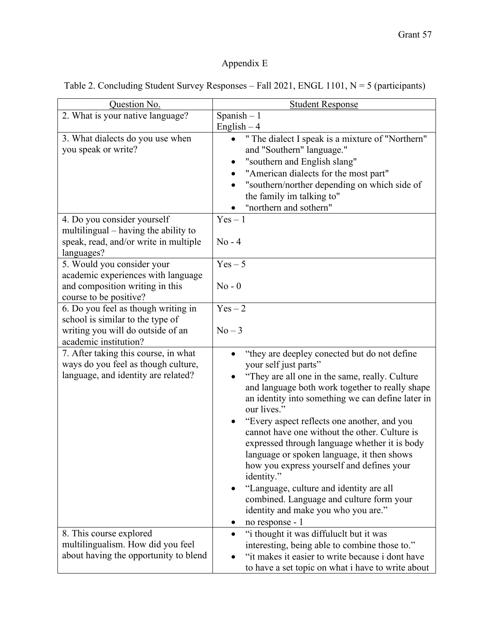# Appendix E

| Table 2. Concluding Student Survey Responses - Fall 2021, ENGL 1101, $N = 5$ (participants) |  |
|---------------------------------------------------------------------------------------------|--|
|                                                                                             |  |

| Question No.                                                                                                                          | <b>Student Response</b>                                                                                                                                                                                                                                                                                                                                                                                                                                                                                                                                                                                                                                                 |
|---------------------------------------------------------------------------------------------------------------------------------------|-------------------------------------------------------------------------------------------------------------------------------------------------------------------------------------------------------------------------------------------------------------------------------------------------------------------------------------------------------------------------------------------------------------------------------------------------------------------------------------------------------------------------------------------------------------------------------------------------------------------------------------------------------------------------|
| 2. What is your native language?                                                                                                      | Spanish $-1$<br>English $-4$                                                                                                                                                                                                                                                                                                                                                                                                                                                                                                                                                                                                                                            |
| 3. What dialects do you use when<br>you speak or write?                                                                               | " The dialect I speak is a mixture of "Northern"<br>and "Southern" language."<br>"southern and English slang"<br>"American dialects for the most part"<br>"southern/norther depending on which side of<br>the family im talking to"<br>"northern and sothern"                                                                                                                                                                                                                                                                                                                                                                                                           |
| 4. Do you consider yourself<br>multilingual – having the ability to<br>speak, read, and/or write in multiple<br>languages?            | $Yes-1$<br>$No - 4$                                                                                                                                                                                                                                                                                                                                                                                                                                                                                                                                                                                                                                                     |
| 5. Would you consider your<br>academic experiences with language<br>and composition writing in this<br>course to be positive?         | $Yes - 5$<br>$No - 0$                                                                                                                                                                                                                                                                                                                                                                                                                                                                                                                                                                                                                                                   |
| 6. Do you feel as though writing in<br>school is similar to the type of<br>writing you will do outside of an<br>academic institution? | $Yes-2$<br>$No-3$                                                                                                                                                                                                                                                                                                                                                                                                                                                                                                                                                                                                                                                       |
| 7. After taking this course, in what<br>ways do you feel as though culture,<br>language, and identity are related?                    | "they are deepley conected but do not define"<br>your self just parts"<br>"They are all one in the same, really. Culture<br>and language both work together to really shape<br>an identity into something we can define later in<br>our lives."<br>"Every aspect reflects one another, and you<br>cannot have one without the other. Culture is<br>expressed through language whether it is body<br>language or spoken language, it then shows<br>how you express yourself and defines your<br>identity."<br>"Language, culture and identity are all<br>combined. Language and culture form your<br>identity and make you who you are."<br>no response - 1<br>$\bullet$ |
| 8. This course explored<br>multilingualism. How did you feel<br>about having the opportunity to blend                                 | "i thought it was diffuluclt but it was<br>interesting, being able to combine those to."<br>"it makes it easier to write because i dont have<br>to have a set topic on what i have to write about                                                                                                                                                                                                                                                                                                                                                                                                                                                                       |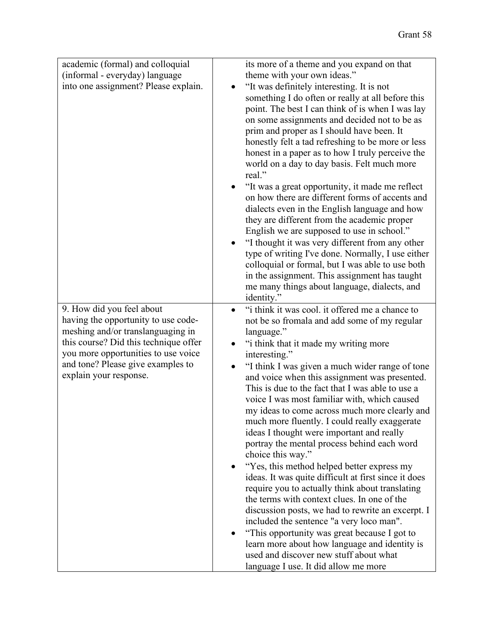| academic (formal) and colloquial<br>(informal - everyday) language<br>into one assignment? Please explain.                                                                                                                                           | its more of a theme and you expand on that<br>theme with your own ideas."<br>"It was definitely interesting. It is not<br>something I do often or really at all before this<br>point. The best I can think of is when I was lay<br>on some assignments and decided not to be as<br>prim and proper as I should have been. It<br>honestly felt a tad refreshing to be more or less<br>honest in a paper as to how I truly perceive the<br>world on a day to day basis. Felt much more<br>real."<br>"It was a great opportunity, it made me reflect<br>on how there are different forms of accents and<br>dialects even in the English language and how<br>they are different from the academic proper<br>English we are supposed to use in school."<br>"I thought it was very different from any other<br>type of writing I've done. Normally, I use either<br>colloquial or formal, but I was able to use both<br>in the assignment. This assignment has taught<br>me many things about language, dialects, and<br>identity."                                                                  |
|------------------------------------------------------------------------------------------------------------------------------------------------------------------------------------------------------------------------------------------------------|------------------------------------------------------------------------------------------------------------------------------------------------------------------------------------------------------------------------------------------------------------------------------------------------------------------------------------------------------------------------------------------------------------------------------------------------------------------------------------------------------------------------------------------------------------------------------------------------------------------------------------------------------------------------------------------------------------------------------------------------------------------------------------------------------------------------------------------------------------------------------------------------------------------------------------------------------------------------------------------------------------------------------------------------------------------------------------------------|
| 9. How did you feel about<br>having the opportunity to use code-<br>meshing and/or translanguaging in<br>this course? Did this technique offer<br>you more opportunities to use voice<br>and tone? Please give examples to<br>explain your response. | "i think it was cool. it offered me a chance to<br>not be so fromala and add some of my regular<br>language."<br>"i think that it made my writing more<br>interesting."<br>"I think I was given a much wider range of tone<br>and voice when this assignment was presented.<br>This is due to the fact that I was able to use a<br>voice I was most familiar with, which caused<br>my ideas to come across much more clearly and<br>much more fluently. I could really exaggerate<br>ideas I thought were important and really<br>portray the mental process behind each word<br>choice this way."<br>"Yes, this method helped better express my<br>ideas. It was quite difficult at first since it does<br>require you to actually think about translating<br>the terms with context clues. In one of the<br>discussion posts, we had to rewrite an excerpt. I<br>included the sentence "a very loco man".<br>"This opportunity was great because I got to<br>learn more about how language and identity is<br>used and discover new stuff about what<br>language I use. It did allow me more |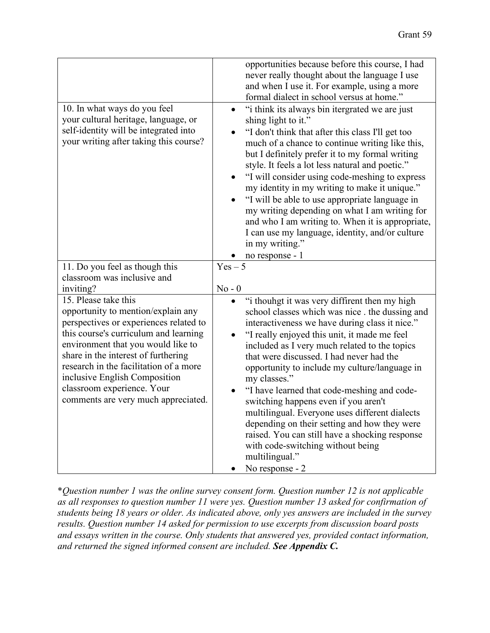| 10. In what ways do you feel<br>your cultural heritage, language, or<br>self-identity will be integrated into<br>your writing after taking this course?                                                                                                                                                                                                                    | opportunities because before this course, I had<br>never really thought about the language I use<br>and when I use it. For example, using a more<br>formal dialect in school versus at home."<br>"i think its always bin itergrated we are just<br>$\bullet$<br>shing light to it."<br>"I don't think that after this class I'll get too<br>much of a chance to continue writing like this,<br>but I definitely prefer it to my formal writing<br>style. It feels a lot less natural and poetic."<br>"I will consider using code-meshing to express<br>my identity in my writing to make it unique."                                                                                  |
|----------------------------------------------------------------------------------------------------------------------------------------------------------------------------------------------------------------------------------------------------------------------------------------------------------------------------------------------------------------------------|---------------------------------------------------------------------------------------------------------------------------------------------------------------------------------------------------------------------------------------------------------------------------------------------------------------------------------------------------------------------------------------------------------------------------------------------------------------------------------------------------------------------------------------------------------------------------------------------------------------------------------------------------------------------------------------|
|                                                                                                                                                                                                                                                                                                                                                                            | "I will be able to use appropriate language in<br>my writing depending on what I am writing for<br>and who I am writing to. When it is appropriate,<br>I can use my language, identity, and/or culture<br>in my writing."<br>no response - 1                                                                                                                                                                                                                                                                                                                                                                                                                                          |
| 11. Do you feel as though this<br>classroom was inclusive and                                                                                                                                                                                                                                                                                                              | $Yes - 5$                                                                                                                                                                                                                                                                                                                                                                                                                                                                                                                                                                                                                                                                             |
| inviting?                                                                                                                                                                                                                                                                                                                                                                  | $No - 0$                                                                                                                                                                                                                                                                                                                                                                                                                                                                                                                                                                                                                                                                              |
| 15. Please take this<br>opportunity to mention/explain any<br>perspectives or experiences related to<br>this course's curriculum and learning<br>environment that you would like to<br>share in the interest of furthering<br>research in the facilitation of a more<br>inclusive English Composition<br>classroom experience. Your<br>comments are very much appreciated. | "i thouhgt it was very diffirent then my high<br>school classes which was nice . the dussing and<br>interactiveness we have during class it nice."<br>"I really enjoyed this unit, it made me feel<br>included as I very much related to the topics<br>that were discussed. I had never had the<br>opportunity to include my culture/language in<br>my classes."<br>"I have learned that code-meshing and code-<br>switching happens even if you aren't<br>multilingual. Everyone uses different dialects<br>depending on their setting and how they were<br>raised. You can still have a shocking response<br>with code-switching without being<br>multilingual."<br>No response - 2 |

\**Question number 1 was the online survey consent form. Question number 12 is not applicable as all responses to question number 11 were yes. Question number 13 asked for confirmation of students being 18 years or older. As indicated above, only yes answers are included in the survey results. Question number 14 asked for permission to use excerpts from discussion board posts and essays written in the course. Only students that answered yes, provided contact information, and returned the signed informed consent are included. See Appendix C.*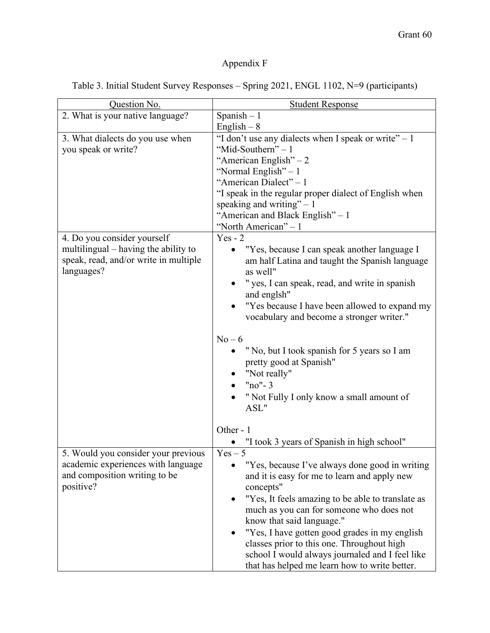# Appendix F

Table 3. Initial Student Survey Responses – Spring 2021, ENGL 1102, N=9 (participants)

| Question No.                                                                                                                   | <b>Student Response</b>                                                                                                                                                                                                                                                                                                                                                                                                                                                                                      |
|--------------------------------------------------------------------------------------------------------------------------------|--------------------------------------------------------------------------------------------------------------------------------------------------------------------------------------------------------------------------------------------------------------------------------------------------------------------------------------------------------------------------------------------------------------------------------------------------------------------------------------------------------------|
| 2. What is your native language?                                                                                               | Spanish $-1$                                                                                                                                                                                                                                                                                                                                                                                                                                                                                                 |
|                                                                                                                                | English $-8$                                                                                                                                                                                                                                                                                                                                                                                                                                                                                                 |
| 3. What dialects do you use when<br>you speak or write?<br>4. Do you consider yourself<br>multilingual – having the ability to | "I don't use any dialects when I speak or write" $-1$<br>"Mid-Southern" - 1<br>"American English" $-2$<br>"Normal English" $-1$<br>"American Dialect" - 1<br>"I speak in the regular proper dialect of English when<br>speaking and writing" $-1$<br>"American and Black English" - 1<br>"North American" – 1<br>$Yes - 2$<br>"Yes, because I can speak another language I<br>$\bullet$                                                                                                                      |
| speak, read, and/or write in multiple<br>languages?                                                                            | am half Latina and taught the Spanish language<br>as well"<br>" yes, I can speak, read, and write in spanish<br>and englsh"<br>"Yes because I have been allowed to expand my<br>$\bullet$<br>vocabulary and become a stronger writer."<br>$No-6$<br>"No, but I took spanish for 5 years so I am<br>pretty good at Spanish"<br>"Not really"<br>" $no" - 3$<br>" Not Fully I only know a small amount of<br>ASL"                                                                                               |
|                                                                                                                                | Other - 1                                                                                                                                                                                                                                                                                                                                                                                                                                                                                                    |
| 5. Would you consider your previous<br>academic experiences with language<br>and composition writing to be<br>positive?        | "I took 3 years of Spanish in high school"<br>$Yes - 5$<br>"Yes, because I've always done good in writing<br>and it is easy for me to learn and apply new<br>concepts"<br>"Yes, It feels amazing to be able to translate as<br>much as you can for someone who does not<br>know that said language."<br>"Yes, I have gotten good grades in my english<br>٠<br>classes prior to this one. Throughout high<br>school I would always journaled and I feel like<br>that has helped me learn how to write better. |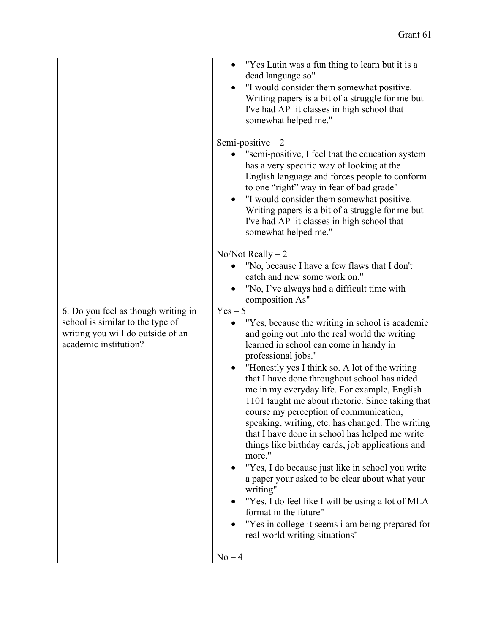|                                                                                                                                       | "Yes Latin was a fun thing to learn but it is a<br>$\bullet$<br>dead language so"<br>"I would consider them somewhat positive.<br>Writing papers is a bit of a struggle for me but<br>I've had AP lit classes in high school that<br>somewhat helped me."                                                                                                                                                                                                                                                                                                                                                                                                                                                                                                                                                                                                                                                       |
|---------------------------------------------------------------------------------------------------------------------------------------|-----------------------------------------------------------------------------------------------------------------------------------------------------------------------------------------------------------------------------------------------------------------------------------------------------------------------------------------------------------------------------------------------------------------------------------------------------------------------------------------------------------------------------------------------------------------------------------------------------------------------------------------------------------------------------------------------------------------------------------------------------------------------------------------------------------------------------------------------------------------------------------------------------------------|
|                                                                                                                                       | Semi-positive $-2$<br>"semi-positive, I feel that the education system<br>has a very specific way of looking at the<br>English language and forces people to conform<br>to one "right" way in fear of bad grade"<br>"I would consider them somewhat positive.<br>$\bullet$<br>Writing papers is a bit of a struggle for me but<br>I've had AP lit classes in high school that<br>somewhat helped me."                                                                                                                                                                                                                                                                                                                                                                                                                                                                                                           |
|                                                                                                                                       | $No/N$ ot Really $-2$<br>"No, because I have a few flaws that I don't<br>catch and new some work on."<br>"No, I've always had a difficult time with<br>composition As"                                                                                                                                                                                                                                                                                                                                                                                                                                                                                                                                                                                                                                                                                                                                          |
| 6. Do you feel as though writing in<br>school is similar to the type of<br>writing you will do outside of an<br>academic institution? | $Yes - 5$<br>"Yes, because the writing in school is academic<br>and going out into the real world the writing<br>learned in school can come in handy in<br>professional jobs."<br>"Honestly yes I think so. A lot of the writing<br>$\bullet$<br>that I have done throughout school has aided<br>me in my everyday life. For example, English<br>1101 taught me about rhetoric. Since taking that<br>course my perception of communication,<br>speaking, writing, etc. has changed. The writing<br>that I have done in school has helped me write<br>things like birthday cards, job applications and<br>more."<br>"Yes, I do because just like in school you write<br>a paper your asked to be clear about what your<br>writing"<br>"Yes. I do feel like I will be using a lot of MLA<br>format in the future"<br>"Yes in college it seems i am being prepared for<br>real world writing situations"<br>$No-4$ |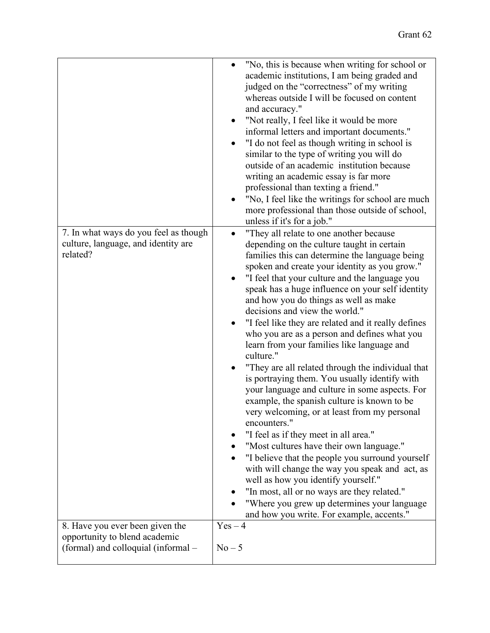|                                                                                                         | "No, this is because when writing for school or<br>academic institutions, I am being graded and<br>judged on the "correctness" of my writing<br>whereas outside I will be focused on content<br>and accuracy."<br>"Not really, I feel like it would be more<br>informal letters and important documents."<br>"I do not feel as though writing in school is<br>similar to the type of writing you will do<br>outside of an academic institution because<br>writing an academic essay is far more<br>professional than texting a friend."<br>"No, I feel like the writings for school are much<br>more professional than those outside of school,<br>unless if it's for a job."                                                                                                                                                                                                                                                                                                                                                                                                                                                                                                                                |
|---------------------------------------------------------------------------------------------------------|--------------------------------------------------------------------------------------------------------------------------------------------------------------------------------------------------------------------------------------------------------------------------------------------------------------------------------------------------------------------------------------------------------------------------------------------------------------------------------------------------------------------------------------------------------------------------------------------------------------------------------------------------------------------------------------------------------------------------------------------------------------------------------------------------------------------------------------------------------------------------------------------------------------------------------------------------------------------------------------------------------------------------------------------------------------------------------------------------------------------------------------------------------------------------------------------------------------|
| 7. In what ways do you feel as though<br>culture, language, and identity are<br>related?                | "They all relate to one another because<br>$\bullet$<br>depending on the culture taught in certain<br>families this can determine the language being<br>spoken and create your identity as you grow."<br>"I feel that your culture and the language you<br>speak has a huge influence on your self identity<br>and how you do things as well as make<br>decisions and view the world."<br>"I feel like they are related and it really defines<br>who you are as a person and defines what you<br>learn from your families like language and<br>culture."<br>"They are all related through the individual that<br>is portraying them. You usually identify with<br>your language and culture in some aspects. For<br>example, the spanish culture is known to be<br>very welcoming, or at least from my personal<br>encounters."<br>"I feel as if they meet in all area."<br>"Most cultures have their own language."<br>"I believe that the people you surround yourself<br>with will change the way you speak and act, as<br>well as how you identify yourself."<br>"In most, all or no ways are they related."<br>"Where you grew up determines your language<br>and how you write. For example, accents." |
| 8. Have you ever been given the<br>opportunity to blend academic<br>(formal) and colloquial (informal - | $Yes-4$<br>$No-5$                                                                                                                                                                                                                                                                                                                                                                                                                                                                                                                                                                                                                                                                                                                                                                                                                                                                                                                                                                                                                                                                                                                                                                                            |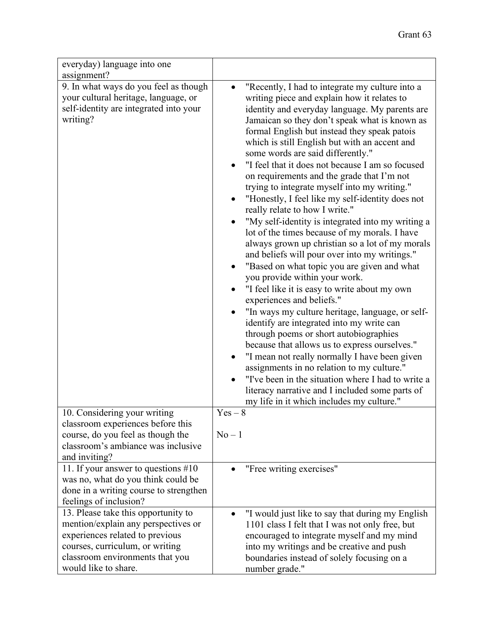| everyday) language into one                                                                                                                                                                                 |                                                                                                                                                                                                                                                                                                                                                                                                                                                                                                                                                                                                                                                                                                                                                                                                                                                                                                                                                                                                                                                                                                                                                                                                                                                                                                                                                                                                          |
|-------------------------------------------------------------------------------------------------------------------------------------------------------------------------------------------------------------|----------------------------------------------------------------------------------------------------------------------------------------------------------------------------------------------------------------------------------------------------------------------------------------------------------------------------------------------------------------------------------------------------------------------------------------------------------------------------------------------------------------------------------------------------------------------------------------------------------------------------------------------------------------------------------------------------------------------------------------------------------------------------------------------------------------------------------------------------------------------------------------------------------------------------------------------------------------------------------------------------------------------------------------------------------------------------------------------------------------------------------------------------------------------------------------------------------------------------------------------------------------------------------------------------------------------------------------------------------------------------------------------------------|
| assignment?                                                                                                                                                                                                 |                                                                                                                                                                                                                                                                                                                                                                                                                                                                                                                                                                                                                                                                                                                                                                                                                                                                                                                                                                                                                                                                                                                                                                                                                                                                                                                                                                                                          |
| 9. In what ways do you feel as though<br>your cultural heritage, language, or<br>self-identity are integrated into your<br>writing?                                                                         | "Recently, I had to integrate my culture into a<br>writing piece and explain how it relates to<br>identity and everyday language. My parents are<br>Jamaican so they don't speak what is known as<br>formal English but instead they speak patois<br>which is still English but with an accent and<br>some words are said differently."<br>"I feel that it does not because I am so focused<br>on requirements and the grade that I'm not<br>trying to integrate myself into my writing."<br>"Honestly, I feel like my self-identity does not<br>really relate to how I write."<br>"My self-identity is integrated into my writing a<br>lot of the times because of my morals. I have<br>always grown up christian so a lot of my morals<br>and beliefs will pour over into my writings."<br>"Based on what topic you are given and what<br>you provide within your work.<br>"I feel like it is easy to write about my own<br>experiences and beliefs."<br>"In ways my culture heritage, language, or self-<br>identify are integrated into my write can<br>through poems or short autobiographies<br>because that allows us to express ourselves."<br>"I mean not really normally I have been given<br>assignments in no relation to my culture."<br>"I've been in the situation where I had to write a<br>literacy narrative and I included some parts of<br>my life in it which includes my culture." |
| 10. Considering your writing<br>classroom experiences before this<br>course, do you feel as though the                                                                                                      | $Yes - 8$<br>$No-1$                                                                                                                                                                                                                                                                                                                                                                                                                                                                                                                                                                                                                                                                                                                                                                                                                                                                                                                                                                                                                                                                                                                                                                                                                                                                                                                                                                                      |
| classroom's ambiance was inclusive<br>and inviting?                                                                                                                                                         |                                                                                                                                                                                                                                                                                                                                                                                                                                                                                                                                                                                                                                                                                                                                                                                                                                                                                                                                                                                                                                                                                                                                                                                                                                                                                                                                                                                                          |
| 11. If your answer to questions $#10$<br>was no, what do you think could be<br>done in a writing course to strengthen<br>feelings of inclusion?                                                             | "Free writing exercises"                                                                                                                                                                                                                                                                                                                                                                                                                                                                                                                                                                                                                                                                                                                                                                                                                                                                                                                                                                                                                                                                                                                                                                                                                                                                                                                                                                                 |
| 13. Please take this opportunity to<br>mention/explain any perspectives or<br>experiences related to previous<br>courses, curriculum, or writing<br>classroom environments that you<br>would like to share. | "I would just like to say that during my English<br>1101 class I felt that I was not only free, but<br>encouraged to integrate myself and my mind<br>into my writings and be creative and push<br>boundaries instead of solely focusing on a<br>number grade."                                                                                                                                                                                                                                                                                                                                                                                                                                                                                                                                                                                                                                                                                                                                                                                                                                                                                                                                                                                                                                                                                                                                           |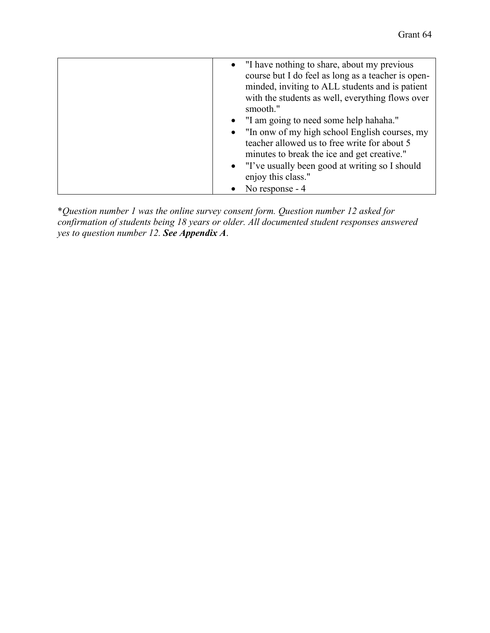| • "I have nothing to share, about my previous<br>course but I do feel as long as a teacher is open-<br>minded, inviting to ALL students and is patient<br>with the students as well, everything flows over<br>smooth." |
|------------------------------------------------------------------------------------------------------------------------------------------------------------------------------------------------------------------------|
| • "I am going to need some help hahaha."                                                                                                                                                                               |
| • "In onw of my high school English courses, my                                                                                                                                                                        |
| teacher allowed us to free write for about 5<br>minutes to break the ice and get creative."                                                                                                                            |
|                                                                                                                                                                                                                        |
| • "I've usually been good at writing so I should<br>enjoy this class."                                                                                                                                                 |
| No response - 4                                                                                                                                                                                                        |

\**Question number 1 was the online survey consent form. Question number 12 asked for confirmation of students being 18 years or older. All documented student responses answered yes to question number 12. See Appendix A*.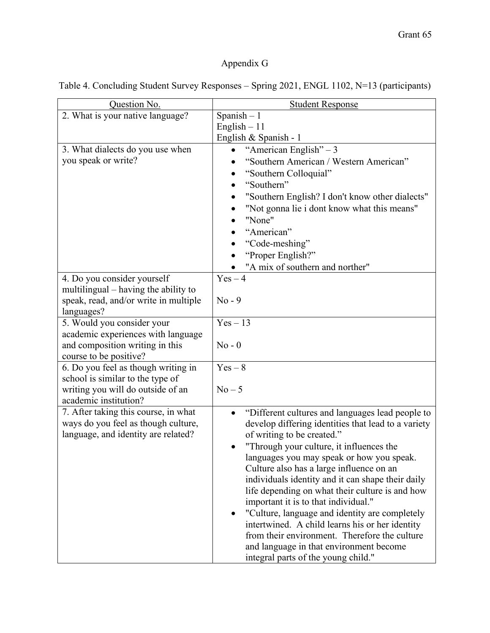# Appendix G

|  | Table 4. Concluding Student Survey Responses - Spring 2021, ENGL 1102, N=13 (participants) |  |  |  |  |
|--|--------------------------------------------------------------------------------------------|--|--|--|--|
|  |                                                                                            |  |  |  |  |

| Question No.                          | <b>Student Response</b>                                       |
|---------------------------------------|---------------------------------------------------------------|
| 2. What is your native language?      | Spanish $-1$                                                  |
|                                       | English $-11$                                                 |
|                                       | English & Spanish - 1                                         |
| 3. What dialects do you use when      | "American English" $-3$                                       |
| you speak or write?                   | "Southern American / Western American"                        |
|                                       | "Southern Colloquial"                                         |
|                                       | "Southern"                                                    |
|                                       | "Southern English? I don't know other dialects"               |
|                                       | "Not gonna lie i dont know what this means"                   |
|                                       | "None"                                                        |
|                                       | "American"                                                    |
|                                       | "Code-meshing"                                                |
|                                       | "Proper English?"                                             |
|                                       | "A mix of southern and norther"                               |
| 4. Do you consider yourself           | $Yes-4$                                                       |
| multilingual – having the ability to  |                                                               |
| speak, read, and/or write in multiple | $No - 9$                                                      |
| languages?                            |                                                               |
| 5. Would you consider your            | $Yes-13$                                                      |
| academic experiences with language    |                                                               |
| and composition writing in this       | $No - 0$                                                      |
| course to be positive?                |                                                               |
| 6. Do you feel as though writing in   | $Yes - 8$                                                     |
| school is similar to the type of      |                                                               |
| writing you will do outside of an     | $No-5$                                                        |
| academic institution?                 |                                                               |
| 7. After taking this course, in what  | "Different cultures and languages lead people to<br>$\bullet$ |
| ways do you feel as though culture,   | develop differing identities that lead to a variety           |
| language, and identity are related?   | of writing to be created."                                    |
|                                       | "Through your culture, it influences the                      |
|                                       | languages you may speak or how you speak.                     |
|                                       | Culture also has a large influence on an                      |
|                                       | individuals identity and it can shape their daily             |
|                                       | life depending on what their culture is and how               |
|                                       | important it is to that individual."                          |
|                                       | "Culture, language and identity are completely                |
|                                       | intertwined. A child learns his or her identity               |
|                                       | from their environment. Therefore the culture                 |
|                                       | and language in that environment become                       |
|                                       | integral parts of the young child."                           |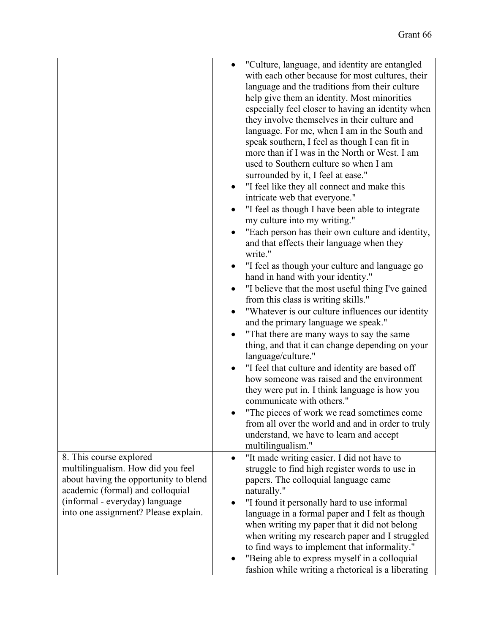|                                                                                                                                                                                                                     | "Culture, language, and identity are entangled<br>with each other because for most cultures, their<br>language and the traditions from their culture<br>help give them an identity. Most minorities<br>especially feel closer to having an identity when<br>they involve themselves in their culture and<br>language. For me, when I am in the South and<br>speak southern, I feel as though I can fit in<br>more than if I was in the North or West. I am<br>used to Southern culture so when I am<br>surrounded by it, I feel at ease."<br>"I feel like they all connect and make this<br>intricate web that everyone."<br>"I feel as though I have been able to integrate<br>my culture into my writing."<br>"Each person has their own culture and identity,<br>and that effects their language when they<br>write."<br>"I feel as though your culture and language go<br>hand in hand with your identity."<br>"I believe that the most useful thing I've gained<br>from this class is writing skills."<br>"Whatever is our culture influences our identity<br>and the primary language we speak."<br>"That there are many ways to say the same<br>thing, and that it can change depending on your<br>language/culture."<br>"I feel that culture and identity are based off<br>how someone was raised and the environment<br>they were put in. I think language is how you<br>communicate with others."<br>"The pieces of work we read sometimes come<br>from all over the world and and in order to truly<br>understand, we have to learn and accept<br>multilingualism." |
|---------------------------------------------------------------------------------------------------------------------------------------------------------------------------------------------------------------------|--------------------------------------------------------------------------------------------------------------------------------------------------------------------------------------------------------------------------------------------------------------------------------------------------------------------------------------------------------------------------------------------------------------------------------------------------------------------------------------------------------------------------------------------------------------------------------------------------------------------------------------------------------------------------------------------------------------------------------------------------------------------------------------------------------------------------------------------------------------------------------------------------------------------------------------------------------------------------------------------------------------------------------------------------------------------------------------------------------------------------------------------------------------------------------------------------------------------------------------------------------------------------------------------------------------------------------------------------------------------------------------------------------------------------------------------------------------------------------------------------------------------------------------------------------------------------------|
| 8. This course explored<br>multilingualism. How did you feel<br>about having the opportunity to blend<br>academic (formal) and colloquial<br>(informal - everyday) language<br>into one assignment? Please explain. | "It made writing easier. I did not have to<br>$\bullet$<br>struggle to find high register words to use in<br>papers. The colloquial language came<br>naturally."<br>"I found it personally hard to use informal<br>language in a formal paper and I felt as though<br>when writing my paper that it did not belong<br>when writing my research paper and I struggled<br>to find ways to implement that informality."<br>"Being able to express myself in a colloquial<br>fashion while writing a rhetorical is a liberating                                                                                                                                                                                                                                                                                                                                                                                                                                                                                                                                                                                                                                                                                                                                                                                                                                                                                                                                                                                                                                                    |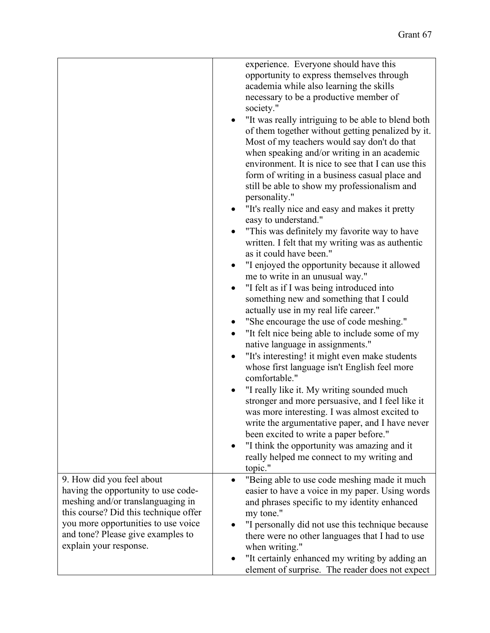|                                                             | experience. Everyone should have this                           |
|-------------------------------------------------------------|-----------------------------------------------------------------|
|                                                             | opportunity to express themselves through                       |
|                                                             | academia while also learning the skills                         |
|                                                             | necessary to be a productive member of                          |
|                                                             | society."                                                       |
|                                                             | "It was really intriguing to be able to blend both<br>$\bullet$ |
|                                                             | of them together without getting penalized by it.               |
|                                                             | Most of my teachers would say don't do that                     |
|                                                             | when speaking and/or writing in an academic                     |
|                                                             | environment. It is nice to see that I can use this              |
|                                                             | form of writing in a business casual place and                  |
|                                                             | still be able to show my professionalism and                    |
|                                                             | personality."                                                   |
|                                                             | "It's really nice and easy and makes it pretty                  |
|                                                             | easy to understand."                                            |
|                                                             | "This was definitely my favorite way to have                    |
|                                                             | written. I felt that my writing was as authentic                |
|                                                             | as it could have been."                                         |
|                                                             | "I enjoyed the opportunity because it allowed                   |
|                                                             | me to write in an unusual way."                                 |
|                                                             | "I felt as if I was being introduced into<br>$\bullet$          |
|                                                             | something new and something that I could                        |
|                                                             | actually use in my real life career."                           |
|                                                             | "She encourage the use of code meshing."                        |
|                                                             | "It felt nice being able to include some of my                  |
|                                                             | native language in assignments."                                |
|                                                             | "It's interesting! it might even make students                  |
|                                                             | whose first language isn't English feel more                    |
|                                                             | comfortable."                                                   |
|                                                             | "I really like it. My writing sounded much                      |
|                                                             | stronger and more persuasive, and I feel like it                |
|                                                             | was more interesting. I was almost excited to                   |
|                                                             | write the argumentative paper, and I have never                 |
|                                                             | been excited to write a paper before."                          |
|                                                             | "I think the opportunity was amazing and it<br>$\bullet$        |
|                                                             | really helped me connect to my writing and                      |
|                                                             | topic."                                                         |
| 9. How did you feel about                                   | "Being able to use code meshing made it much<br>$\bullet$       |
| having the opportunity to use code-                         | easier to have a voice in my paper. Using words                 |
| meshing and/or translanguaging in                           | and phrases specific to my identity enhanced                    |
| this course? Did this technique offer                       | my tone."                                                       |
| you more opportunities to use voice                         | "I personally did not use this technique because                |
| and tone? Please give examples to<br>explain your response. | there were no other languages that I had to use                 |
|                                                             | when writing."                                                  |
|                                                             | "It certainly enhanced my writing by adding an                  |
|                                                             | element of surprise. The reader does not expect                 |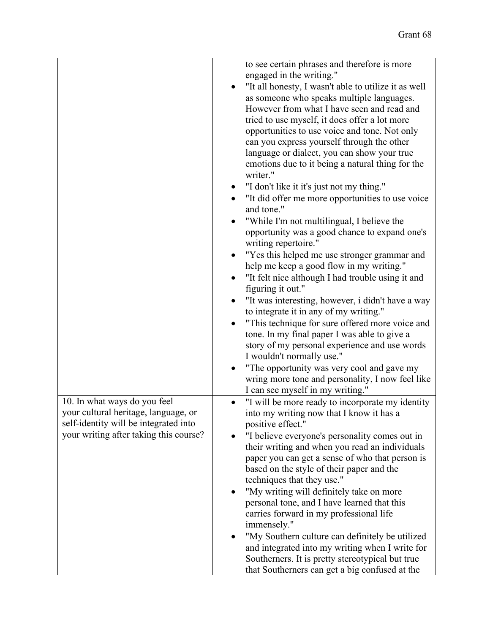|                                                                               | to see certain phrases and therefore is more                                                     |
|-------------------------------------------------------------------------------|--------------------------------------------------------------------------------------------------|
|                                                                               | engaged in the writing."                                                                         |
|                                                                               | "It all honesty, I wasn't able to utilize it as well                                             |
|                                                                               | as someone who speaks multiple languages.                                                        |
|                                                                               | However from what I have seen and read and                                                       |
|                                                                               | tried to use myself, it does offer a lot more                                                    |
|                                                                               | opportunities to use voice and tone. Not only                                                    |
|                                                                               | can you express yourself through the other                                                       |
|                                                                               | language or dialect, you can show your true                                                      |
|                                                                               | emotions due to it being a natural thing for the                                                 |
|                                                                               | writer."                                                                                         |
|                                                                               | "I don't like it it's just not my thing."                                                        |
|                                                                               |                                                                                                  |
|                                                                               | "It did offer me more opportunities to use voice<br>and tone."                                   |
|                                                                               | "While I'm not multilingual, I believe the                                                       |
|                                                                               | opportunity was a good chance to expand one's                                                    |
|                                                                               | writing repertoire."                                                                             |
|                                                                               | "Yes this helped me use stronger grammar and                                                     |
|                                                                               | help me keep a good flow in my writing."                                                         |
|                                                                               | "It felt nice although I had trouble using it and                                                |
|                                                                               | figuring it out."                                                                                |
|                                                                               | "It was interesting, however, i didn't have a way                                                |
|                                                                               | to integrate it in any of my writing."                                                           |
|                                                                               | "This technique for sure offered more voice and                                                  |
|                                                                               | tone. In my final paper I was able to give a                                                     |
|                                                                               | story of my personal experience and use words                                                    |
|                                                                               | I wouldn't normally use."                                                                        |
|                                                                               | "The opportunity was very cool and gave my                                                       |
|                                                                               | wring more tone and personality, I now feel like                                                 |
|                                                                               | I can see myself in my writing."                                                                 |
| 10. In what ways do you feel                                                  | "I will be more ready to incorporate my identity                                                 |
|                                                                               |                                                                                                  |
| your cultural heritage, language, or<br>self-identity will be integrated into | into my writing now that I know it has a                                                         |
| your writing after taking this course?                                        | positive effect."                                                                                |
|                                                                               | "I believe everyone's personality comes out in<br>their writing and when you read an individuals |
|                                                                               | paper you can get a sense of who that person is                                                  |
|                                                                               | based on the style of their paper and the                                                        |
|                                                                               |                                                                                                  |
|                                                                               | techniques that they use."                                                                       |
|                                                                               | "My writing will definitely take on more                                                         |
|                                                                               | personal tone, and I have learned that this                                                      |
|                                                                               | carries forward in my professional life                                                          |
|                                                                               | immensely."                                                                                      |
|                                                                               | "My Southern culture can definitely be utilized                                                  |
|                                                                               | and integrated into my writing when I write for                                                  |
|                                                                               | Southerners. It is pretty stereotypical but true                                                 |
|                                                                               | that Southerners can get a big confused at the                                                   |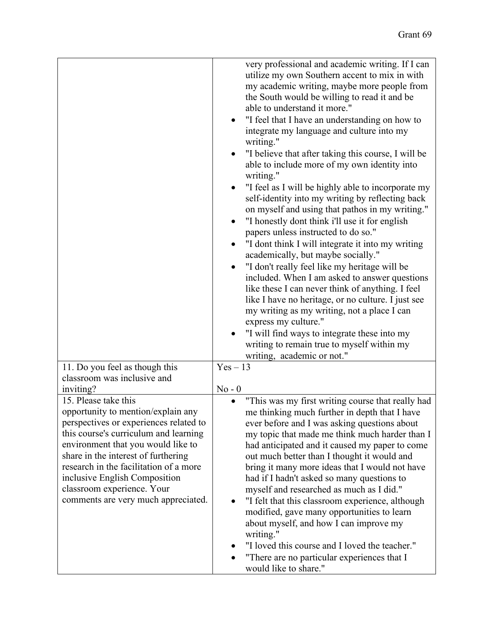|                                                                                                                                                                                     | very professional and academic writing. If I can<br>utilize my own Southern accent to mix in with<br>my academic writing, maybe more people from<br>the South would be willing to read it and be<br>able to understand it more."<br>"I feel that I have an understanding on how to<br>integrate my language and culture into my<br>writing."<br>"I believe that after taking this course, I will be<br>able to include more of my own identity into<br>writing."<br>"I feel as I will be highly able to incorporate my<br>self-identity into my writing by reflecting back<br>on myself and using that pathos in my writing."<br>"I honestly dont think i'll use it for english<br>papers unless instructed to do so."<br>"I dont think I will integrate it into my writing<br>academically, but maybe socially."<br>"I don't really feel like my heritage will be<br>included. When I am asked to answer questions<br>like these I can never think of anything. I feel<br>like I have no heritage, or no culture. I just see<br>my writing as my writing, not a place I can<br>express my culture."<br>"I will find ways to integrate these into my<br>writing to remain true to myself within my<br>writing, academic or not." |
|-------------------------------------------------------------------------------------------------------------------------------------------------------------------------------------|----------------------------------------------------------------------------------------------------------------------------------------------------------------------------------------------------------------------------------------------------------------------------------------------------------------------------------------------------------------------------------------------------------------------------------------------------------------------------------------------------------------------------------------------------------------------------------------------------------------------------------------------------------------------------------------------------------------------------------------------------------------------------------------------------------------------------------------------------------------------------------------------------------------------------------------------------------------------------------------------------------------------------------------------------------------------------------------------------------------------------------------------------------------------------------------------------------------------------------|
| 11. Do you feel as though this<br>classroom was inclusive and<br>inviting?                                                                                                          | $Yes-13$<br>$No - 0$                                                                                                                                                                                                                                                                                                                                                                                                                                                                                                                                                                                                                                                                                                                                                                                                                                                                                                                                                                                                                                                                                                                                                                                                             |
| 15. Please take this<br>opportunity to mention/explain any<br>perspectives or experiences related to<br>this course's curriculum and learning<br>environment that you would like to | "This was my first writing course that really had<br>me thinking much further in depth that I have<br>ever before and I was asking questions about<br>my topic that made me think much harder than I<br>had anticipated and it caused my paper to come                                                                                                                                                                                                                                                                                                                                                                                                                                                                                                                                                                                                                                                                                                                                                                                                                                                                                                                                                                           |
| share in the interest of furthering<br>research in the facilitation of a more<br>inclusive English Composition<br>classroom experience. Your                                        | out much better than I thought it would and<br>bring it many more ideas that I would not have<br>had if I hadn't asked so many questions to<br>myself and researched as much as I did."                                                                                                                                                                                                                                                                                                                                                                                                                                                                                                                                                                                                                                                                                                                                                                                                                                                                                                                                                                                                                                          |
| comments are very much appreciated.                                                                                                                                                 | "I felt that this classroom experience, although<br>modified, gave many opportunities to learn<br>about myself, and how I can improve my<br>writing."<br>"I loved this course and I loved the teacher."                                                                                                                                                                                                                                                                                                                                                                                                                                                                                                                                                                                                                                                                                                                                                                                                                                                                                                                                                                                                                          |
|                                                                                                                                                                                     | "There are no particular experiences that I<br>would like to share."                                                                                                                                                                                                                                                                                                                                                                                                                                                                                                                                                                                                                                                                                                                                                                                                                                                                                                                                                                                                                                                                                                                                                             |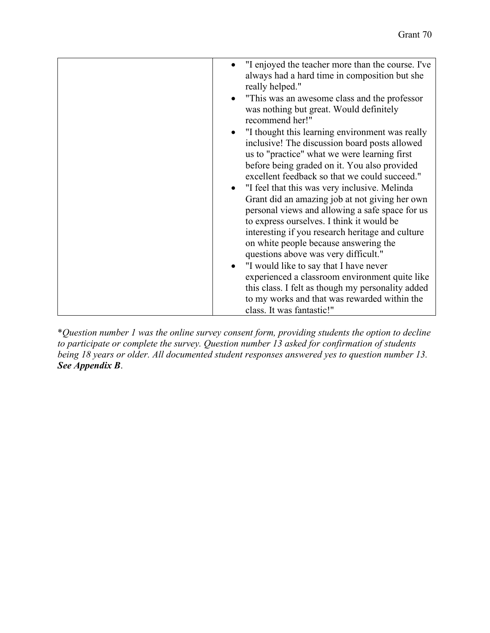| "I enjoyed the teacher more than the course. I've<br>$\bullet$<br>always had a hard time in composition but she<br>really helped."<br>"This was an awesome class and the professor"<br>was nothing but great. Would definitely<br>recommend her!" |
|---------------------------------------------------------------------------------------------------------------------------------------------------------------------------------------------------------------------------------------------------|
| "I thought this learning environment was really<br>inclusive! The discussion board posts allowed                                                                                                                                                  |
| us to "practice" what we were learning first                                                                                                                                                                                                      |
| before being graded on it. You also provided                                                                                                                                                                                                      |
| excellent feedback so that we could succeed."                                                                                                                                                                                                     |
| "I feel that this was very inclusive. Melinda<br>$\bullet$                                                                                                                                                                                        |
| Grant did an amazing job at not giving her own                                                                                                                                                                                                    |
| personal views and allowing a safe space for us                                                                                                                                                                                                   |
| to express ourselves. I think it would be                                                                                                                                                                                                         |
| interesting if you research heritage and culture                                                                                                                                                                                                  |
| on white people because answering the                                                                                                                                                                                                             |
| questions above was very difficult."                                                                                                                                                                                                              |
| "I would like to say that I have never<br>$\bullet$                                                                                                                                                                                               |
| experienced a classroom environment quite like                                                                                                                                                                                                    |
| this class. I felt as though my personality added                                                                                                                                                                                                 |
| to my works and that was rewarded within the                                                                                                                                                                                                      |
| class. It was fantastic!"                                                                                                                                                                                                                         |

\**Question number 1 was the online survey consent form, providing students the option to decline to participate or complete the survey. Question number 13 asked for confirmation of students being 18 years or older. All documented student responses answered yes to question number 13. See Appendix B*.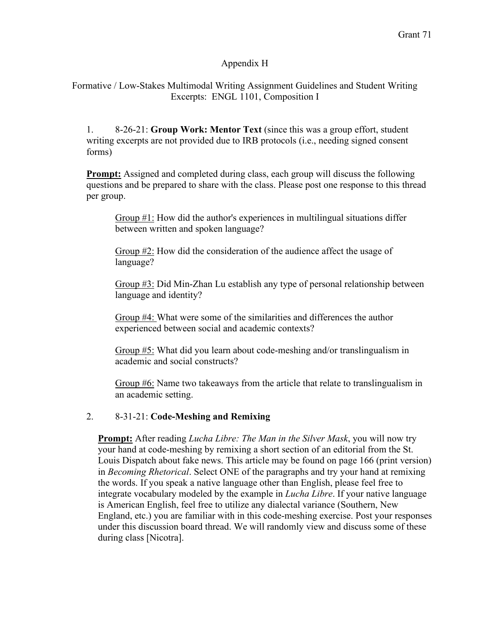# Appendix H

Formative / Low-Stakes Multimodal Writing Assignment Guidelines and Student Writing Excerpts: ENGL 1101, Composition I

1. 8-26-21: **Group Work: Mentor Text** (since this was a group effort, student writing excerpts are not provided due to IRB protocols (i.e., needing signed consent forms)

**Prompt:** Assigned and completed during class, each group will discuss the following questions and be prepared to share with the class. Please post one response to this thread per group.

Group #1: How did the author's experiences in multilingual situations differ between written and spoken language?

Group #2: How did the consideration of the audience affect the usage of language?

Group #3: Did Min-Zhan Lu establish any type of personal relationship between language and identity?

Group #4: What were some of the similarities and differences the author experienced between social and academic contexts?

Group #5: What did you learn about code-meshing and/or translingualism in academic and social constructs?

Group #6: Name two takeaways from the article that relate to translingualism in an academic setting.

## 2. 8-31-21: **Code-Meshing and Remixing**

**Prompt:** After reading *Lucha Libre: The Man in the Silver Mask*, you will now try your hand at code-meshing by remixing a short section of an editorial from the St. Louis Dispatch about fake news. This article may be found on page 166 (print version) in *Becoming Rhetorical*. Select ONE of the paragraphs and try your hand at remixing the words. If you speak a native language other than English, please feel free to integrate vocabulary modeled by the example in *Lucha Libre*. If your native language is American English, feel free to utilize any dialectal variance (Southern, New England, etc.) you are familiar with in this code-meshing exercise. Post your responses under this discussion board thread. We will randomly view and discuss some of these during class [Nicotra].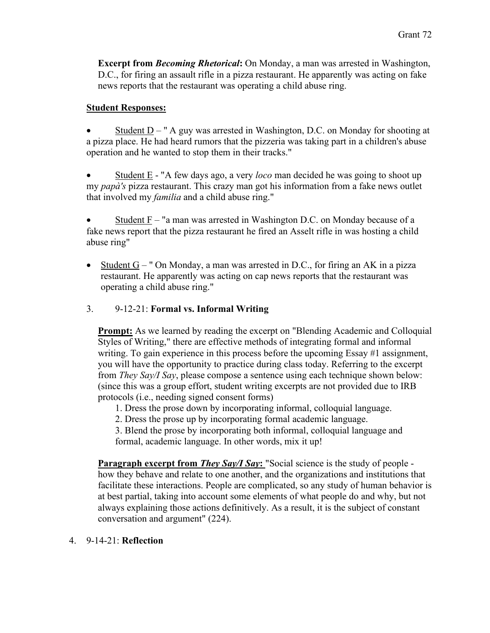**Excerpt from** *Becoming Rhetorical***:** On Monday, a man was arrested in Washington, D.C., for firing an assault rifle in a pizza restaurant. He apparently was acting on fake news reports that the restaurant was operating a child abuse ring.

# **Student Responses:**

Student  $D - "A$  guy was arrested in Washington, D.C. on Monday for shooting at a pizza place. He had heard rumors that the pizzeria was taking part in a children's abuse operation and he wanted to stop them in their tracks."

• Student E - "A few days ago, a very *loco* man decided he was going to shoot up my *papà's* pizza restaurant. This crazy man got his information from a fake news outlet that involved my *familia* and a child abuse ring."

Student  $F - 'a$  man was arrested in Washington D.C. on Monday because of a fake news report that the pizza restaurant he fired an Asselt rifle in was hosting a child abuse ring"

• Student  $G - "$  On Monday, a man was arrested in D.C., for firing an AK in a pizza restaurant. He apparently was acting on cap news reports that the restaurant was operating a child abuse ring."

# 3. 9-12-21: **Formal vs. Informal Writing**

**Prompt:** As we learned by reading the excerpt on "Blending Academic and Colloquial Styles of Writing," there are effective methods of integrating formal and informal writing. To gain experience in this process before the upcoming Essay #1 assignment, you will have the opportunity to practice during class today. Referring to the excerpt from *They Say/I Say*, please compose a sentence using each technique shown below: (since this was a group effort, student writing excerpts are not provided due to IRB protocols (i.e., needing signed consent forms)

- 1. Dress the prose down by incorporating informal, colloquial language.
- 2. Dress the prose up by incorporating formal academic language.

3. Blend the prose by incorporating both informal, colloquial language and formal, academic language. In other words, mix it up!

**Paragraph excerpt from** *They Say/I Say*: "Social science is the study of people how they behave and relate to one another, and the organizations and institutions that facilitate these interactions. People are complicated, so any study of human behavior is at best partial, taking into account some elements of what people do and why, but not always explaining those actions definitively. As a result, it is the subject of constant conversation and argument" (224).

# 4. 9-14-21: **Reflection**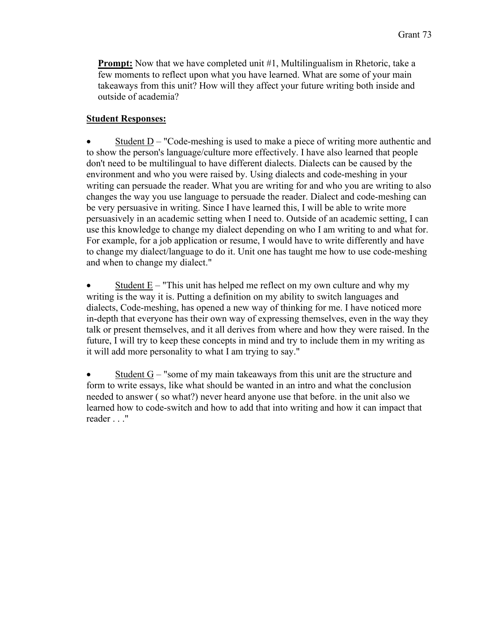**Prompt:** Now that we have completed unit #1, Multilingualism in Rhetoric, take a few moments to reflect upon what you have learned. What are some of your main takeaways from this unit? How will they affect your future writing both inside and outside of academia?

### **Student Responses:**

Student  $D -$  "Code-meshing is used to make a piece of writing more authentic and to show the person's language/culture more effectively. I have also learned that people don't need to be multilingual to have different dialects. Dialects can be caused by the environment and who you were raised by. Using dialects and code-meshing in your writing can persuade the reader. What you are writing for and who you are writing to also changes the way you use language to persuade the reader. Dialect and code-meshing can be very persuasive in writing. Since I have learned this, I will be able to write more persuasively in an academic setting when I need to. Outside of an academic setting, I can use this knowledge to change my dialect depending on who I am writing to and what for. For example, for a job application or resume, I would have to write differently and have to change my dialect/language to do it. Unit one has taught me how to use code-meshing and when to change my dialect."

Student  $E -$  "This unit has helped me reflect on my own culture and why my writing is the way it is. Putting a definition on my ability to switch languages and dialects, Code-meshing, has opened a new way of thinking for me. I have noticed more in-depth that everyone has their own way of expressing themselves, even in the way they talk or present themselves, and it all derives from where and how they were raised. In the future, I will try to keep these concepts in mind and try to include them in my writing as it will add more personality to what I am trying to say."

• Student G – "some of my main takeaways from this unit are the structure and form to write essays, like what should be wanted in an intro and what the conclusion needed to answer ( so what?) never heard anyone use that before. in the unit also we learned how to code-switch and how to add that into writing and how it can impact that reader . . ."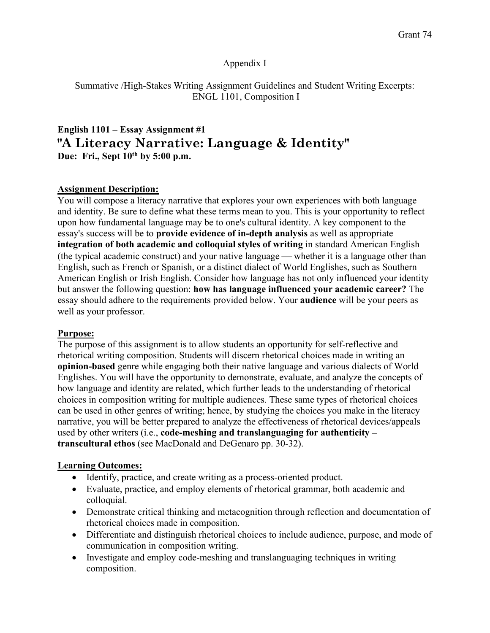#### Appendix I

Summative /High-Stakes Writing Assignment Guidelines and Student Writing Excerpts: ENGL 1101, Composition I

## **English 1101 – Essay Assignment #1 "A Literacy Narrative: Language & Identity" Due: Fri., Sept 10th by 5:00 p.m.**

#### **Assignment Description:**

You will compose a literacy narrative that explores your own experiences with both language and identity. Be sure to define what these terms mean to you. This is your opportunity to reflect upon how fundamental language may be to one's cultural identity. A key component to the essay's success will be to **provide evidence of in-depth analysis** as well as appropriate **integration of both academic and colloquial styles of writing** in standard American English (the typical academic construct) and your native language whether it is a language other than English, such as French or Spanish, or a distinct dialect of World Englishes, such as Southern American English or Irish English. Consider how language has not only influenced your identity but answer the following question: **how has language influenced your academic career?** The essay should adhere to the requirements provided below. Your **audience** will be your peers as well as your professor.

#### **Purpose:**

The purpose of this assignment is to allow students an opportunity for self-reflective and rhetorical writing composition. Students will discern rhetorical choices made in writing an **opinion-based** genre while engaging both their native language and various dialects of World Englishes. You will have the opportunity to demonstrate, evaluate, and analyze the concepts of how language and identity are related, which further leads to the understanding of rhetorical choices in composition writing for multiple audiences. These same types of rhetorical choices can be used in other genres of writing; hence, by studying the choices you make in the literacy narrative, you will be better prepared to analyze the effectiveness of rhetorical devices/appeals used by other writers (i.e., **code-meshing and translanguaging for authenticity – transcultural ethos** (see MacDonald and DeGenaro pp. 30-32).

#### **Learning Outcomes:**

- Identify, practice, and create writing as a process-oriented product.
- Evaluate, practice, and employ elements of rhetorical grammar, both academic and colloquial.
- Demonstrate critical thinking and metacognition through reflection and documentation of rhetorical choices made in composition.
- Differentiate and distinguish rhetorical choices to include audience, purpose, and mode of communication in composition writing.
- Investigate and employ code-meshing and translanguaging techniques in writing composition.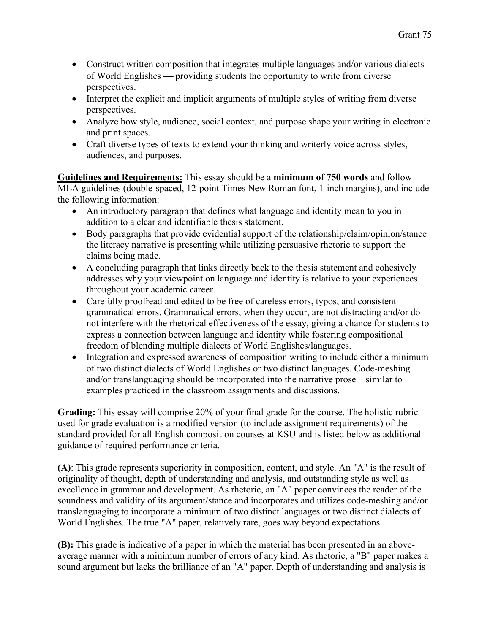- Construct written composition that integrates multiple languages and/or various dialects of World Englishes — providing students the opportunity to write from diverse perspectives.
- Interpret the explicit and implicit arguments of multiple styles of writing from diverse perspectives.
- Analyze how style, audience, social context, and purpose shape your writing in electronic and print spaces.
- Craft diverse types of texts to extend your thinking and writerly voice across styles, audiences, and purposes.

**Guidelines and Requirements:** This essay should be a **minimum of 750 words** and follow MLA guidelines (double-spaced, 12-point Times New Roman font, 1-inch margins), and include the following information:

- An introductory paragraph that defines what language and identity mean to you in addition to a clear and identifiable thesis statement.
- Body paragraphs that provide evidential support of the relationship/claim/opinion/stance the literacy narrative is presenting while utilizing persuasive rhetoric to support the claims being made.
- A concluding paragraph that links directly back to the thesis statement and cohesively addresses why your viewpoint on language and identity is relative to your experiences throughout your academic career.
- Carefully proofread and edited to be free of careless errors, typos, and consistent grammatical errors. Grammatical errors, when they occur, are not distracting and/or do not interfere with the rhetorical effectiveness of the essay, giving a chance for students to express a connection between language and identity while fostering compositional freedom of blending multiple dialects of World Englishes/languages.
- Integration and expressed awareness of composition writing to include either a minimum of two distinct dialects of World Englishes or two distinct languages. Code-meshing and/or translanguaging should be incorporated into the narrative prose – similar to examples practiced in the classroom assignments and discussions.

**Grading:** This essay will comprise 20% of your final grade for the course. The holistic rubric used for grade evaluation is a modified version (to include assignment requirements) of the standard provided for all English composition courses at KSU and is listed below as additional guidance of required performance criteria.

**(A)**: This grade represents superiority in composition, content, and style. An "A" is the result of originality of thought, depth of understanding and analysis, and outstanding style as well as excellence in grammar and development. As rhetoric, an "A" paper convinces the reader of the soundness and validity of its argument/stance and incorporates and utilizes code-meshing and/or translanguaging to incorporate a minimum of two distinct languages or two distinct dialects of World Englishes. The true "A" paper, relatively rare, goes way beyond expectations.

**(B):** This grade is indicative of a paper in which the material has been presented in an aboveaverage manner with a minimum number of errors of any kind. As rhetoric, a "B" paper makes a sound argument but lacks the brilliance of an "A" paper. Depth of understanding and analysis is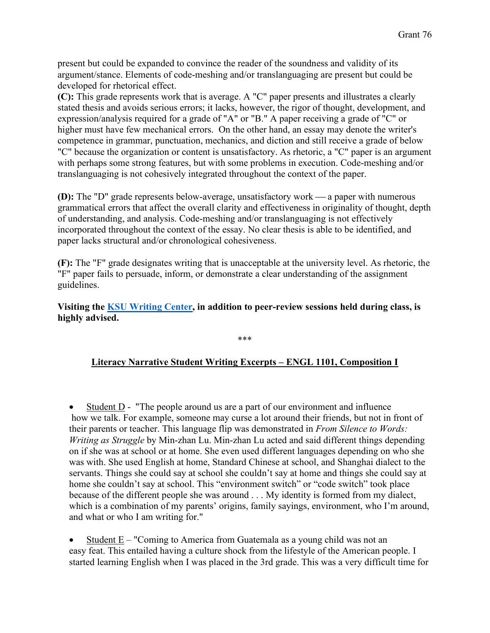present but could be expanded to convince the reader of the soundness and validity of its argument/stance. Elements of code-meshing and/or translanguaging are present but could be developed for rhetorical effect.

**(C):** This grade represents work that is average. A "C" paper presents and illustrates a clearly stated thesis and avoids serious errors; it lacks, however, the rigor of thought, development, and expression/analysis required for a grade of "A" or "B." A paper receiving a grade of "C" or higher must have few mechanical errors. On the other hand, an essay may denote the writer's competence in grammar, punctuation, mechanics, and diction and still receive a grade of below "C" because the organization or content is unsatisfactory. As rhetoric, a "C" paper is an argument with perhaps some strong features, but with some problems in execution. Code-meshing and/or translanguaging is not cohesively integrated throughout the context of the paper.

**(D):** The "D" grade represents below-average, unsatisfactory work — a paper with numerous grammatical errors that affect the overall clarity and effectiveness in originality of thought, depth of understanding, and analysis. Code-meshing and/or translanguaging is not effectively incorporated throughout the context of the essay. No clear thesis is able to be identified, and paper lacks structural and/or chronological cohesiveness.

**(F):** The "F" grade designates writing that is unacceptable at the university level. As rhetoric, the "F" paper fails to persuade, inform, or demonstrate a clear understanding of the assignment guidelines.

**Visiting the KSU Writing Center, in addition to peer-review sessions held during class, is highly advised.**

## **Literacy Narrative Student Writing Excerpts – ENGL 1101, Composition I**

\*\*\*

Student D - "The people around us are a part of our environment and influence" how we talk. For example, someone may curse a lot around their friends, but not in front of their parents or teacher. This language flip was demonstrated in *From Silence to Words: Writing as Struggle* by Min-zhan Lu. Min-zhan Lu acted and said different things depending on if she was at school or at home. She even used different languages depending on who she was with. She used English at home, Standard Chinese at school, and Shanghai dialect to the servants. Things she could say at school she couldn't say at home and things she could say at home she couldn't say at school. This "environment switch" or "code switch" took place because of the different people she was around . . . My identity is formed from my dialect, which is a combination of my parents' origins, family sayings, environment, who I'm around, and what or who I am writing for."

Student  $E -$  "Coming to America from Guatemala as a young child was not an easy feat. This entailed having a culture shock from the lifestyle of the American people. I started learning English when I was placed in the 3rd grade. This was a very difficult time for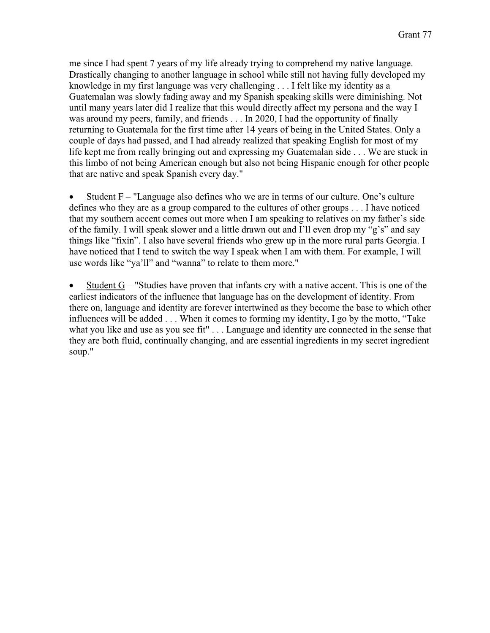me since I had spent 7 years of my life already trying to comprehend my native language. Drastically changing to another language in school while still not having fully developed my knowledge in my first language was very challenging . . . I felt like my identity as a Guatemalan was slowly fading away and my Spanish speaking skills were diminishing. Not until many years later did I realize that this would directly affect my persona and the way I was around my peers, family, and friends . . . In 2020, I had the opportunity of finally returning to Guatemala for the first time after 14 years of being in the United States. Only a couple of days had passed, and I had already realized that speaking English for most of my life kept me from really bringing out and expressing my Guatemalan side . . . We are stuck in this limbo of not being American enough but also not being Hispanic enough for other people that are native and speak Spanish every day."

Student  $F - "Language also defines who we are in terms of our culture. One's culture$ defines who they are as a group compared to the cultures of other groups . . . I have noticed that my southern accent comes out more when I am speaking to relatives on my father's side of the family. I will speak slower and a little drawn out and I'll even drop my "g's" and say things like "fixin". I also have several friends who grew up in the more rural parts Georgia. I have noticed that I tend to switch the way I speak when I am with them. For example, I will use words like "ya'll" and "wanna" to relate to them more."

Student  $G -$  "Studies have proven that infants cry with a native accent. This is one of the earliest indicators of the influence that language has on the development of identity. From there on, language and identity are forever intertwined as they become the base to which other influences will be added . . . When it comes to forming my identity, I go by the motto, "Take what you like and use as you see fit" . . . Language and identity are connected in the sense that they are both fluid, continually changing, and are essential ingredients in my secret ingredient soup."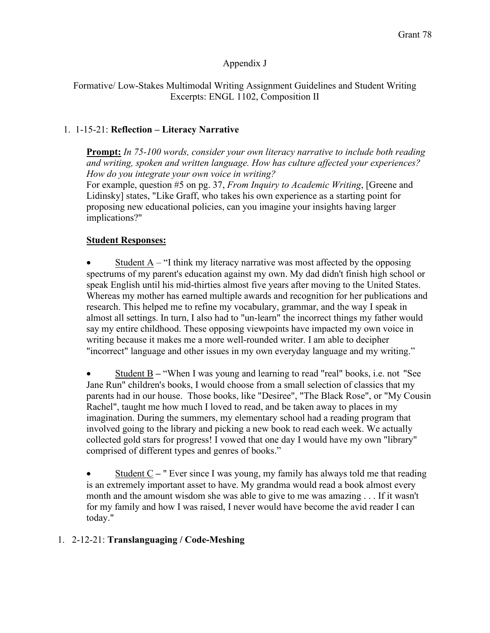## Appendix J

#### Formative/ Low-Stakes Multimodal Writing Assignment Guidelines and Student Writing Excerpts: ENGL 1102, Composition II

## 1. 1-15-21: **Reflection – Literacy Narrative**

**Prompt:** *In 75-100 words, consider your own literacy narrative to include both reading and writing, spoken and written language. How has culture affected your experiences? How do you integrate your own voice in writing?* 

For example, question #5 on pg. 37, *From Inquiry to Academic Writing*, [Greene and Lidinsky] states, "Like Graff, who takes his own experience as a starting point for proposing new educational policies, can you imagine your insights having larger implications?"

### **Student Responses:**

Student  $A - \gamma I$  think my literacy narrative was most affected by the opposing spectrums of my parent's education against my own. My dad didn't finish high school or speak English until his mid-thirties almost five years after moving to the United States. Whereas my mother has earned multiple awards and recognition for her publications and research. This helped me to refine my vocabulary, grammar, and the way I speak in almost all settings. In turn, I also had to "un-learn" the incorrect things my father would say my entire childhood. These opposing viewpoints have impacted my own voice in writing because it makes me a more well-rounded writer. I am able to decipher "incorrect" language and other issues in my own everyday language and my writing."

• Student B **–** "When I was young and learning to read "real" books, i.e. not "See Jane Run" children's books, I would choose from a small selection of classics that my parents had in our house. Those books, like "Desiree", "The Black Rose", or "My Cousin Rachel", taught me how much I loved to read, and be taken away to places in my imagination. During the summers, my elementary school had a reading program that involved going to the library and picking a new book to read each week. We actually collected gold stars for progress! I vowed that one day I would have my own "library" comprised of different types and genres of books."

• Student C **–** " Ever since I was young, my family has always told me that reading is an extremely important asset to have. My grandma would read a book almost every month and the amount wisdom she was able to give to me was amazing . . . If it wasn't for my family and how I was raised, I never would have become the avid reader I can today."

### 1. 2-12-21: **Translanguaging / Code-Meshing**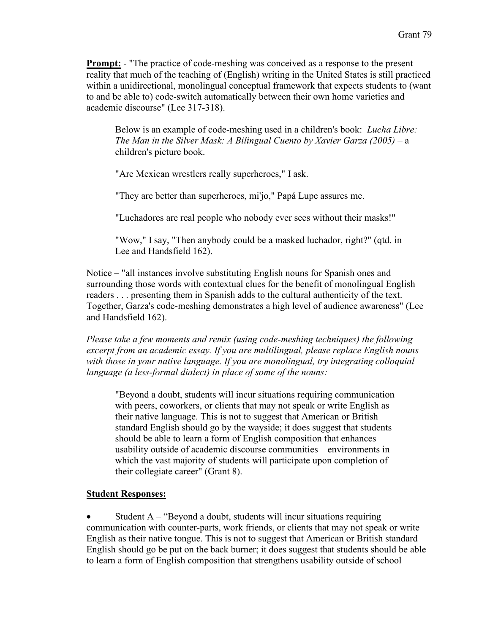**Prompt:** - "The practice of code-meshing was conceived as a response to the present reality that much of the teaching of (English) writing in the United States is still practiced within a unidirectional, monolingual conceptual framework that expects students to (want to and be able to) code-switch automatically between their own home varieties and academic discourse" (Lee 317-318).

Below is an example of code-meshing used in a children's book: *Lucha Libre: The Man in the Silver Mask: A Bilingual Cuento by Xavier Garza (2005)* – a children's picture book.

"Are Mexican wrestlers really superheroes," I ask.

"They are better than superheroes, mi'jo," Papá Lupe assures me.

"Luchadores are real people who nobody ever sees without their masks!"

"Wow," I say, "Then anybody could be a masked luchador, right?" (qtd. in Lee and Handsfield 162).

Notice – "all instances involve substituting English nouns for Spanish ones and surrounding those words with contextual clues for the benefit of monolingual English readers . . . presenting them in Spanish adds to the cultural authenticity of the text. Together, Garza's code-meshing demonstrates a high level of audience awareness" (Lee and Handsfield 162).

*Please take a few moments and remix (using code-meshing techniques) the following excerpt from an academic essay. If you are multilingual, please replace English nouns with those in your native language. If you are monolingual, try integrating colloquial language (a less-formal dialect) in place of some of the nouns:*

"Beyond a doubt, students will incur situations requiring communication with peers, coworkers, or clients that may not speak or write English as their native language. This is not to suggest that American or British standard English should go by the wayside; it does suggest that students should be able to learn a form of English composition that enhances usability outside of academic discourse communities – environments in which the vast majority of students will participate upon completion of their collegiate career" (Grant 8).

#### **Student Responses:**

Student  $A -$  "Beyond a doubt, students will incur situations requiring communication with counter-parts, work friends, or clients that may not speak or write English as their native tongue. This is not to suggest that American or British standard English should go be put on the back burner; it does suggest that students should be able to learn a form of English composition that strengthens usability outside of school –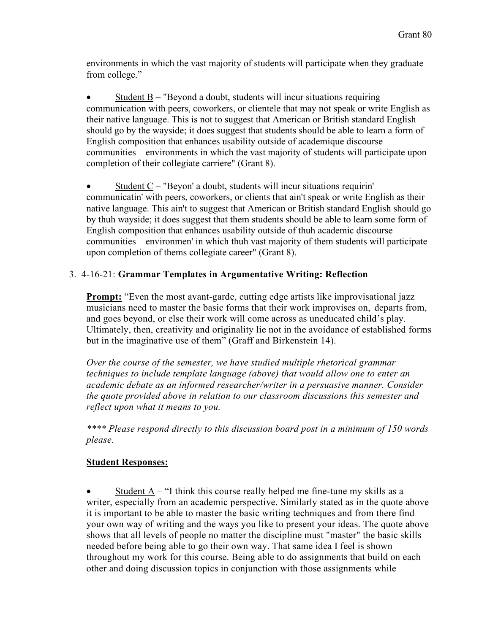environments in which the vast majority of students will participate when they graduate from college."

• Student B **–** "Beyond a doubt, students will incur situations requiring communication with peers, coworkers, or clientele that may not speak or write English as their native language. This is not to suggest that American or British standard English should go by the wayside; it does suggest that students should be able to learn a form of English composition that enhances usability outside of academique discourse communities – environments in which the vast majority of students will participate upon completion of their collegiate carriere" (Grant 8).

Student  $C -$  "Beyon' a doubt, students will incur situations requirin' communicatin' with peers, coworkers, or clients that ain't speak or write English as their native language. This ain't to suggest that American or British standard English should go by thuh wayside; it does suggest that them students should be able to learn some form of English composition that enhances usability outside of thuh academic discourse communities – environmen' in which thuh vast majority of them students will participate upon completion of thems collegiate career" (Grant 8).

## 3. 4-16-21: **Grammar Templates in Argumentative Writing: Reflection**

**Prompt:** "Even the most avant-garde, cutting edge artists like improvisational jazz musicians need to master the basic forms that their work improvises on, departs from, and goes beyond, or else their work will come across as uneducated child's play. Ultimately, then, creativity and originality lie not in the avoidance of established forms but in the imaginative use of them" (Graff and Birkenstein 14).

*Over the course of the semester, we have studied multiple rhetorical grammar techniques to include template language (above) that would allow one to enter an academic debate as an informed researcher/writer in a persuasive manner. Consider the quote provided above in relation to our classroom discussions this semester and reflect upon what it means to you.*

*\*\*\*\* Please respond directly to this discussion board post in a minimum of 150 words please.*

### **Student Responses:**

Student  $A -$  "I think this course really helped me fine-tune my skills as a writer, especially from an academic perspective. Similarly stated as in the quote above it is important to be able to master the basic writing techniques and from there find your own way of writing and the ways you like to present your ideas. The quote above shows that all levels of people no matter the discipline must "master" the basic skills needed before being able to go their own way. That same idea I feel is shown throughout my work for this course. Being able to do assignments that build on each other and doing discussion topics in conjunction with those assignments while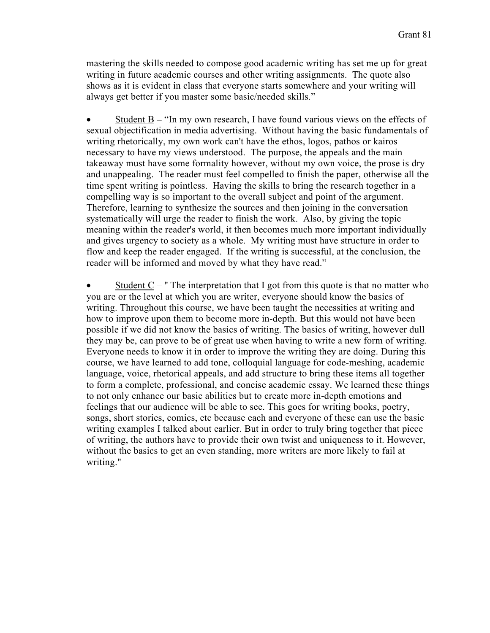mastering the skills needed to compose good academic writing has set me up for great writing in future academic courses and other writing assignments. The quote also shows as it is evident in class that everyone starts somewhere and your writing will always get better if you master some basic/needed skills."

• Student B **–** "In my own research, I have found various views on the effects of sexual objectification in media advertising. Without having the basic fundamentals of writing rhetorically, my own work can't have the ethos, logos, pathos or kairos necessary to have my views understood. The purpose, the appeals and the main takeaway must have some formality however, without my own voice, the prose is dry and unappealing. The reader must feel compelled to finish the paper, otherwise all the time spent writing is pointless. Having the skills to bring the research together in a compelling way is so important to the overall subject and point of the argument. Therefore, learning to synthesize the sources and then joining in the conversation systematically will urge the reader to finish the work. Also, by giving the topic meaning within the reader's world, it then becomes much more important individually and gives urgency to society as a whole. My writing must have structure in order to flow and keep the reader engaged. If the writing is successful, at the conclusion, the reader will be informed and moved by what they have read."

• Student  $C -$  "The interpretation that I got from this quote is that no matter who you are or the level at which you are writer, everyone should know the basics of writing. Throughout this course, we have been taught the necessities at writing and how to improve upon them to become more in-depth. But this would not have been possible if we did not know the basics of writing. The basics of writing, however dull they may be, can prove to be of great use when having to write a new form of writing. Everyone needs to know it in order to improve the writing they are doing. During this course, we have learned to add tone, colloquial language for code-meshing, academic language, voice, rhetorical appeals, and add structure to bring these items all together to form a complete, professional, and concise academic essay. We learned these things to not only enhance our basic abilities but to create more in-depth emotions and feelings that our audience will be able to see. This goes for writing books, poetry, songs, short stories, comics, etc because each and everyone of these can use the basic writing examples I talked about earlier. But in order to truly bring together that piece of writing, the authors have to provide their own twist and uniqueness to it. However, without the basics to get an even standing, more writers are more likely to fail at writing."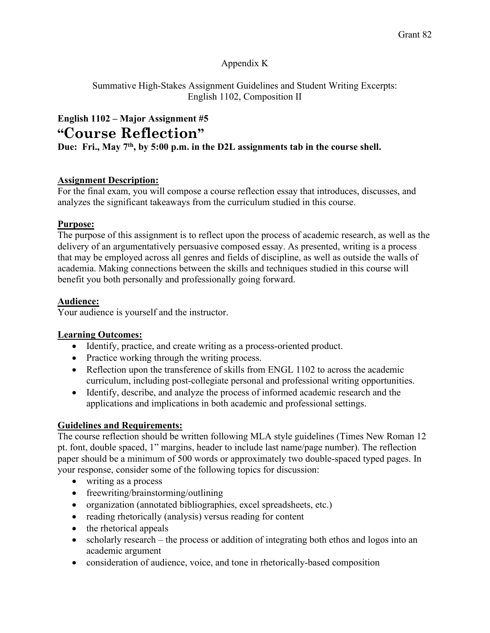## Appendix K

Summative High-Stakes Assignment Guidelines and Student Writing Excerpts: English 1102, Composition II

**English 1102 – Major Assignment #5 "Course Reflection"**

**Due: Fri., May 7th, by 5:00 p.m. in the D2L assignments tab in the course shell.**

## **Assignment Description:**

For the final exam, you will compose a course reflection essay that introduces, discusses, and analyzes the significant takeaways from the curriculum studied in this course.

### **Purpose:**

The purpose of this assignment is to reflect upon the process of academic research, as well as the delivery of an argumentatively persuasive composed essay. As presented, writing is a process that may be employed across all genres and fields of discipline, as well as outside the walls of academia. Making connections between the skills and techniques studied in this course will benefit you both personally and professionally going forward.

## **Audience:**

Your audience is yourself and the instructor.

### **Learning Outcomes:**

- Identify, practice, and create writing as a process-oriented product.
- Practice working through the writing process.
- Reflection upon the transference of skills from ENGL 1102 to across the academic curriculum, including post-collegiate personal and professional writing opportunities.
- Identify, describe, and analyze the process of informed academic research and the applications and implications in both academic and professional settings.

## **Guidelines and Requirements:**

The course reflection should be written following MLA style guidelines (Times New Roman 12 pt. font, double spaced, 1" margins, header to include last name/page number). The reflection paper should be a minimum of 500 words or approximately two double-spaced typed pages. In your response, consider some of the following topics for discussion:

- writing as a process
- freewriting/brainstorming/outlining
- organization (annotated bibliographies, excel spreadsheets, etc.)
- reading rhetorically (analysis) versus reading for content
- the rhetorical appeals
- scholarly research the process or addition of integrating both ethos and logos into an academic argument
- consideration of audience, voice, and tone in rhetorically-based composition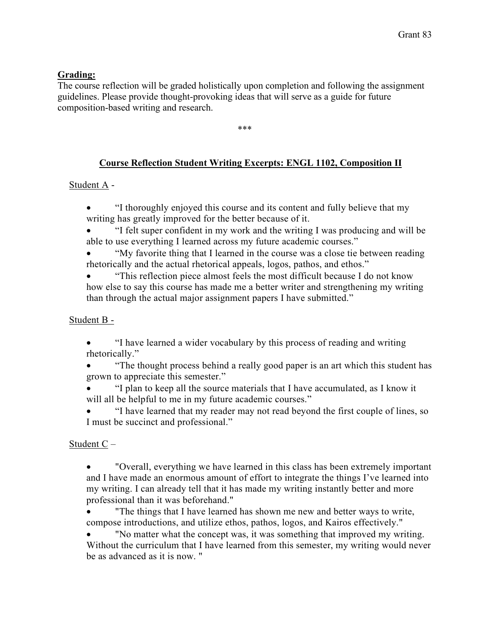### **Grading:**

The course reflection will be graded holistically upon completion and following the assignment guidelines. Please provide thought-provoking ideas that will serve as a guide for future composition-based writing and research.

\*\*\*

## **Course Reflection Student Writing Excerpts: ENGL 1102, Composition II**

## Student A -

- "I thoroughly enjoyed this course and its content and fully believe that my writing has greatly improved for the better because of it.
- "I felt super confident in my work and the writing I was producing and will be able to use everything I learned across my future academic courses."
- "My favorite thing that I learned in the course was a close tie between reading rhetorically and the actual rhetorical appeals, logos, pathos, and ethos."
- "This reflection piece almost feels the most difficult because I do not know how else to say this course has made me a better writer and strengthening my writing than through the actual major assignment papers I have submitted."

### Student B -

• "I have learned a wider vocabulary by this process of reading and writing rhetorically."

• "The thought process behind a really good paper is an art which this student has grown to appreciate this semester."

• "I plan to keep all the source materials that I have accumulated, as I know it will all be helpful to me in my future academic courses."

• "I have learned that my reader may not read beyond the first couple of lines, so I must be succinct and professional."

Student C –

• "Overall, everything we have learned in this class has been extremely important and I have made an enormous amount of effort to integrate the things I've learned into my writing. I can already tell that it has made my writing instantly better and more professional than it was beforehand."

• The things that I have learned has shown me new and better ways to write, compose introductions, and utilize ethos, pathos, logos, and Kairos effectively."

• "No matter what the concept was, it was something that improved my writing. Without the curriculum that I have learned from this semester, my writing would never be as advanced as it is now. "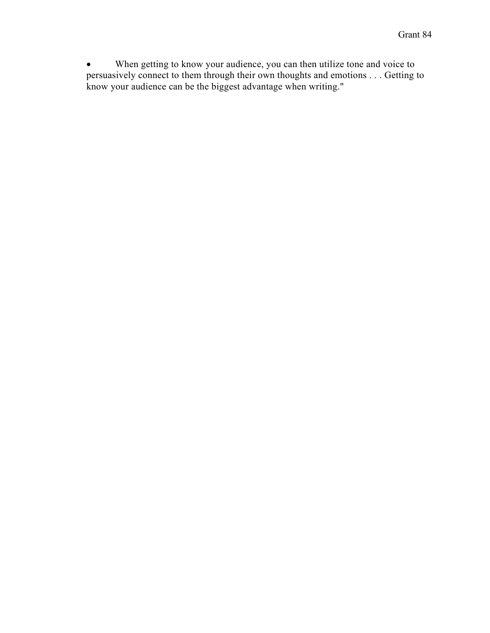• When getting to know your audience, you can then utilize tone and voice to persuasively connect to them through their own thoughts and emotions . . . Getting to know your audience can be the biggest advantage when writing."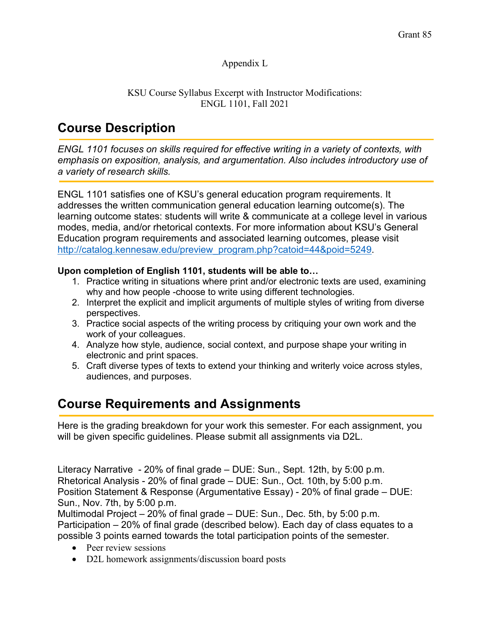## Appendix L

### KSU Course Syllabus Excerpt with Instructor Modifications: ENGL 1101, Fall 2021

# **Course Description**

*ENGL 1101 focuses on skills required for effective writing in a variety of contexts, with emphasis on exposition, analysis, and argumentation. Also includes introductory use of a variety of research skills.*

ENGL 1101 satisfies one of KSU's general education program requirements. It addresses the written communication general education learning outcome(s). The learning outcome states: students will write & communicate at a college level in various modes, media, and/or rhetorical contexts. For more information about KSU's General Education program requirements and associated learning outcomes, please visit http://catalog.kennesaw.edu/preview\_program.php?catoid=44&poid=5249.

## **Upon completion of English 1101, students will be able to…**

- 1. Practice writing in situations where print and/or electronic texts are used, examining why and how people -choose to write using different technologies.
- 2. Interpret the explicit and implicit arguments of multiple styles of writing from diverse perspectives.
- 3. Practice social aspects of the writing process by critiquing your own work and the work of your colleagues.
- 4. Analyze how style, audience, social context, and purpose shape your writing in electronic and print spaces.
- 5. Craft diverse types of texts to extend your thinking and writerly voice across styles, audiences, and purposes.

## **Course Requirements and Assignments**

Here is the grading breakdown for your work this semester. For each assignment, you will be given specific guidelines. Please submit all assignments via D2L.

Literacy Narrative - 20% of final grade – DUE: Sun., Sept. 12th, by 5:00 p.m. Rhetorical Analysis - 20% of final grade – DUE: Sun., Oct. 10th, by 5:00 p.m. Position Statement & Response (Argumentative Essay) - 20% of final grade – DUE: Sun., Nov. 7th, by 5:00 p.m.

Multimodal Project – 20% of final grade – DUE: Sun., Dec. 5th, by 5:00 p.m. Participation – 20% of final grade (described below). Each day of class equates to a possible 3 points earned towards the total participation points of the semester.

- Peer review sessions
- D2L homework assignments/discussion board posts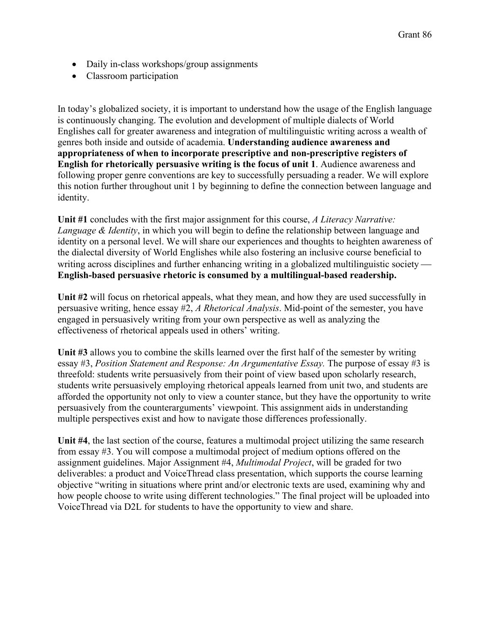- Daily in-class workshops/group assignments
- Classroom participation

In today's globalized society, it is important to understand how the usage of the English language is continuously changing. The evolution and development of multiple dialects of World Englishes call for greater awareness and integration of multilinguistic writing across a wealth of genres both inside and outside of academia. **Understanding audience awareness and appropriateness of when to incorporate prescriptive and non-prescriptive registers of English for rhetorically persuasive writing is the focus of unit 1**. Audience awareness and following proper genre conventions are key to successfully persuading a reader. We will explore this notion further throughout unit 1 by beginning to define the connection between language and identity.

**Unit #1** concludes with the first major assignment for this course, *A Literacy Narrative: Language & Identity*, in which you will begin to define the relationship between language and identity on a personal level. We will share our experiences and thoughts to heighten awareness of the dialectal diversity of World Englishes while also fostering an inclusive course beneficial to writing across disciplines and further enhancing writing in a globalized multilinguistic society — **English-based persuasive rhetoric is consumed by a multilingual-based readership.** 

**Unit #2** will focus on rhetorical appeals, what they mean, and how they are used successfully in persuasive writing, hence essay #2, *A Rhetorical Analysis*. Mid-point of the semester, you have engaged in persuasively writing from your own perspective as well as analyzing the effectiveness of rhetorical appeals used in others' writing.

**Unit #3** allows you to combine the skills learned over the first half of the semester by writing essay #3, *Position Statement and Response: An Argumentative Essay.* The purpose of essay #3 is threefold: students write persuasively from their point of view based upon scholarly research, students write persuasively employing rhetorical appeals learned from unit two, and students are afforded the opportunity not only to view a counter stance, but they have the opportunity to write persuasively from the counterarguments' viewpoint. This assignment aids in understanding multiple perspectives exist and how to navigate those differences professionally.

**Unit #4**, the last section of the course, features a multimodal project utilizing the same research from essay #3. You will compose a multimodal project of medium options offered on the assignment guidelines. Major Assignment #4, *Multimodal Project*, will be graded for two deliverables: a product and VoiceThread class presentation, which supports the course learning objective "writing in situations where print and/or electronic texts are used, examining why and how people choose to write using different technologies." The final project will be uploaded into VoiceThread via D2L for students to have the opportunity to view and share.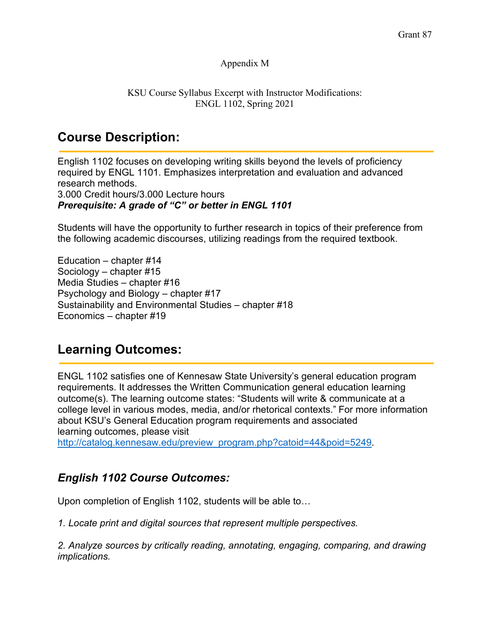#### Appendix M

#### KSU Course Syllabus Excerpt with Instructor Modifications: ENGL 1102, Spring 2021

## **Course Description:**

English 1102 focuses on developing writing skills beyond the levels of proficiency required by ENGL 1101. Emphasizes interpretation and evaluation and advanced research methods. 3.000 Credit hours/3.000 Lecture hours *Prerequisite: A grade of "C" or better in ENGL 1101*

Students will have the opportunity to further research in topics of their preference from the following academic discourses, utilizing readings from the required textbook.

Education – chapter #14 Sociology – chapter #15 Media Studies – chapter #16 Psychology and Biology – chapter #17 Sustainability and Environmental Studies – chapter #18 Economics – chapter #19

## **Learning Outcomes:**

ENGL 1102 satisfies one of Kennesaw State University's general education program requirements. It addresses the Written Communication general education learning outcome(s). The learning outcome states: "Students will write & communicate at a college level in various modes, media, and/or rhetorical contexts." For more information about KSU's General Education program requirements and associated learning outcomes, please visit

http://catalog.kennesaw.edu/preview\_program.php?catoid=44&poid=5249.

## *English 1102 Course Outcomes:*

Upon completion of English 1102, students will be able to…

*1. Locate print and digital sources that represent multiple perspectives.*

*2. Analyze sources by critically reading, annotating, engaging, comparing, and drawing implications.*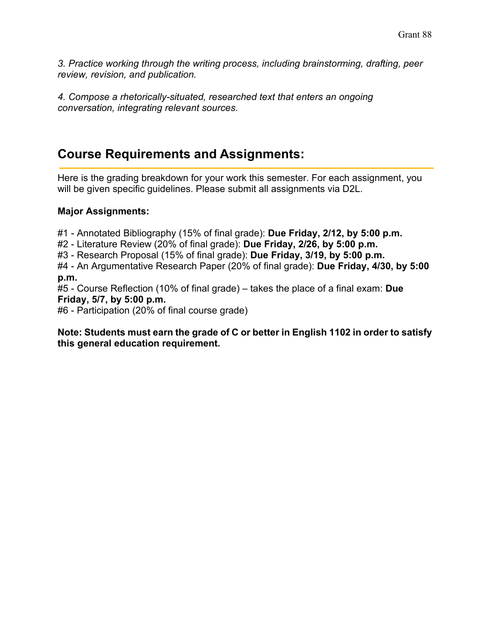*3. Practice working through the writing process, including brainstorming, drafting, peer review, revision, and publication.*

*4. Compose a rhetorically-situated, researched text that enters an ongoing conversation, integrating relevant sources.*

## **Course Requirements and Assignments:**

Here is the grading breakdown for your work this semester. For each assignment, you will be given specific guidelines. Please submit all assignments via D2L.

## **Major Assignments:**

#1 - Annotated Bibliography (15% of final grade): **Due Friday, 2/12, by 5:00 p.m.**

#2 - Literature Review (20% of final grade): **Due Friday, 2/26, by 5:00 p.m.**

#3 - Research Proposal (15% of final grade): **Due Friday, 3/19, by 5:00 p.m.**

#4 - An Argumentative Research Paper (20% of final grade): **Due Friday, 4/30, by 5:00 p.m.**

#5 - Course Reflection (10% of final grade) – takes the place of a final exam: **Due Friday, 5/7, by 5:00 p.m.**

#6 - Participation (20% of final course grade)

**Note: Students must earn the grade of C or better in English 1102 in order to satisfy this general education requirement.**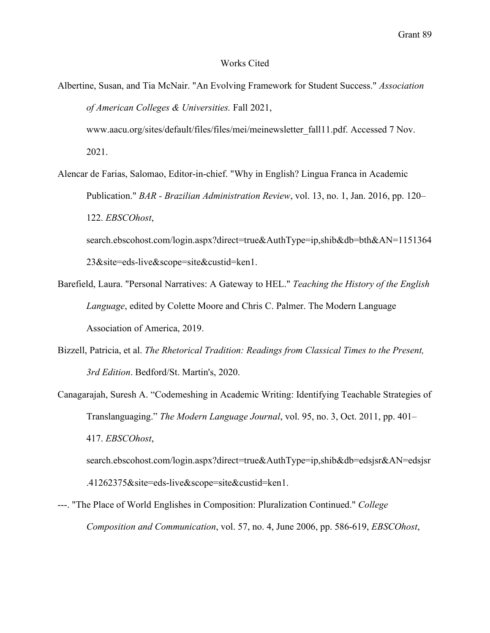Grant 89

#### Works Cited

Albertine, Susan, and Tia McNair. "An Evolving Framework for Student Success." *Association of American Colleges & Universities.* Fall 2021,

www.aacu.org/sites/default/files/files/mei/meinewsletter\_fall11.pdf. Accessed 7 Nov. 2021.

Alencar de Farias, Salomao, Editor-in-chief. "Why in English? Lingua Franca in Academic Publication." *BAR - Brazilian Administration Review*, vol. 13, no. 1, Jan. 2016, pp. 120– 122. *EBSCOhost*, search.ebscohost.com/login.aspx?direct=true&AuthType=ip,shib&db=bth&AN=1151364

Barefield, Laura. "Personal Narratives: A Gateway to HEL." *Teaching the History of the English Language*, edited by Colette Moore and Chris C. Palmer. The Modern Language Association of America, 2019.

23&site=eds-live&scope=site&custid=ken1.

- Bizzell, Patricia, et al. *The Rhetorical Tradition: Readings from Classical Times to the Present, 3rd Edition*. Bedford/St. Martin's, 2020.
- Canagarajah, Suresh A. "Codemeshing in Academic Writing: Identifying Teachable Strategies of Translanguaging." *The Modern Language Journal*, vol. 95, no. 3, Oct. 2011, pp. 401– 417. *EBSCOhost*,

search.ebscohost.com/login.aspx?direct=true&AuthType=ip,shib&db=edsjsr&AN=edsjsr .41262375&site=eds-live&scope=site&custid=ken1.

---. "The Place of World Englishes in Composition: Pluralization Continued." *College Composition and Communication*, vol. 57, no. 4, June 2006, pp. 586-619, *EBSCOhost*,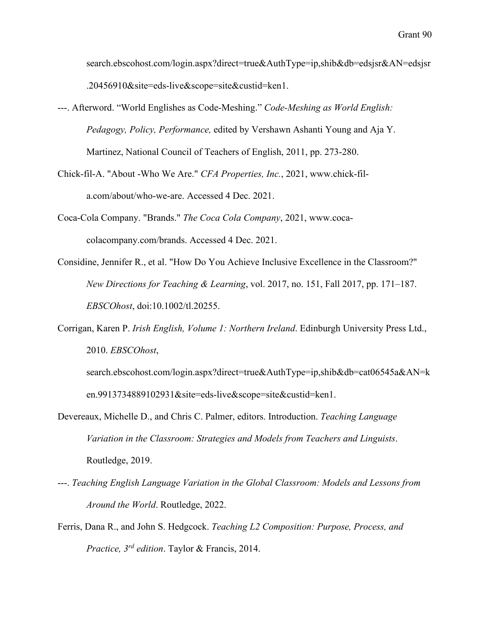search.ebscohost.com/login.aspx?direct=true&AuthType=ip,shib&db=edsjsr&AN=edsjsr .20456910&site=eds-live&scope=site&custid=ken1.

- ---. Afterword. "World Englishes as Code-Meshing." *Code-Meshing as World English: Pedagogy, Policy, Performance,* edited by Vershawn Ashanti Young and Aja Y. Martinez, National Council of Teachers of English, 2011, pp. 273-280.
- Chick-fil-A. "About -Who We Are." *CFA Properties, Inc.*, 2021, www.chick-fila.com/about/who-we-are. Accessed 4 Dec. 2021.
- Coca-Cola Company. "Brands." *The Coca Cola Company*, 2021, www.cocacolacompany.com/brands. Accessed 4 Dec. 2021.
- Considine, Jennifer R., et al. "How Do You Achieve Inclusive Excellence in the Classroom?" *New Directions for Teaching & Learning*, vol. 2017, no. 151, Fall 2017, pp. 171–187. *EBSCOhost*, doi:10.1002/tl.20255.
- Corrigan, Karen P. *Irish English, Volume 1: Northern Ireland*. Edinburgh University Press Ltd., 2010. *EBSCOhost*,
	- search.ebscohost.com/login.aspx?direct=true&AuthType=ip,shib&db=cat06545a&AN=k en.9913734889102931&site=eds-live&scope=site&custid=ken1.
- Devereaux, Michelle D., and Chris C. Palmer, editors. Introduction. *Teaching Language Variation in the Classroom: Strategies and Models from Teachers and Linguists*. Routledge, 2019.
- ---. *Teaching English Language Variation in the Global Classroom: Models and Lessons from Around the World*. Routledge, 2022.
- Ferris, Dana R., and John S. Hedgcock. *Teaching L2 Composition: Purpose, Process, and Practice, 3rd edition*. Taylor & Francis, 2014.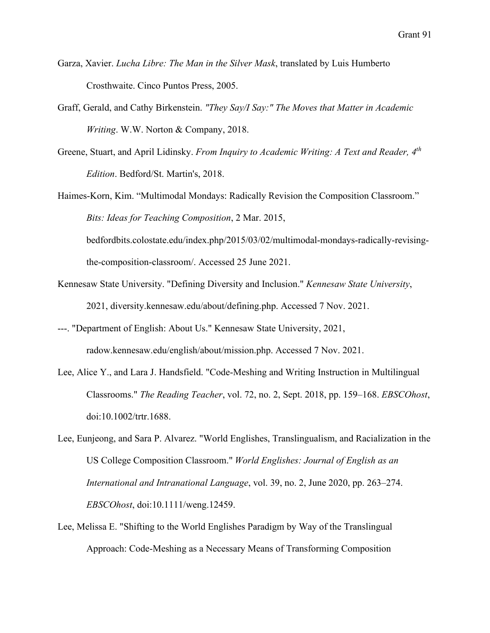- Garza, Xavier. *Lucha Libre: The Man in the Silver Mask*, translated by Luis Humberto Crosthwaite. Cinco Puntos Press, 2005.
- Graff, Gerald, and Cathy Birkenstein. *"They Say/I Say:" The Moves that Matter in Academic Writing*. W.W. Norton & Company, 2018.
- Greene, Stuart, and April Lidinsky. *From Inquiry to Academic Writing: A Text and Reader, 4th Edition*. Bedford/St. Martin's, 2018.
- Haimes-Korn, Kim. "Multimodal Mondays: Radically Revision the Composition Classroom." *Bits: Ideas for Teaching Composition*, 2 Mar. 2015,

bedfordbits.colostate.edu/index.php/2015/03/02/multimodal-mondays-radically-revisingthe-composition-classroom/. Accessed 25 June 2021.

- Kennesaw State University. "Defining Diversity and Inclusion." *Kennesaw State University*, 2021, diversity.kennesaw.edu/about/defining.php. Accessed 7 Nov. 2021.
- ---. "Department of English: About Us." Kennesaw State University, 2021, radow.kennesaw.edu/english/about/mission.php. Accessed 7 Nov. 2021.
- Lee, Alice Y., and Lara J. Handsfield. "Code‐Meshing and Writing Instruction in Multilingual Classrooms." *The Reading Teacher*, vol. 72, no. 2, Sept. 2018, pp. 159–168. *EBSCOhost*, doi:10.1002/trtr.1688.
- Lee, Eunjeong, and Sara P. Alvarez. "World Englishes, Translingualism, and Racialization in the US College Composition Classroom." *World Englishes: Journal of English as an International and Intranational Language*, vol. 39, no. 2, June 2020, pp. 263–274. *EBSCOhost*, doi:10.1111/weng.12459.
- Lee, Melissa E. "Shifting to the World Englishes Paradigm by Way of the Translingual Approach: Code-Meshing as a Necessary Means of Transforming Composition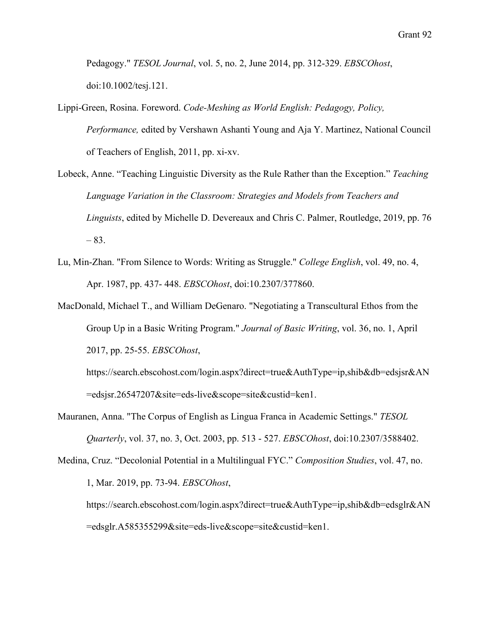Pedagogy." *TESOL Journal*, vol. 5, no. 2, June 2014, pp. 312-329. *EBSCOhost*, doi:10.1002/tesj.121.

- Lippi-Green, Rosina. Foreword. *Code-Meshing as World English: Pedagogy, Policy, Performance,* edited by Vershawn Ashanti Young and Aja Y. Martinez, National Council of Teachers of English, 2011, pp. xi-xv.
- Lobeck, Anne. "Teaching Linguistic Diversity as the Rule Rather than the Exception." *Teaching Language Variation in the Classroom: Strategies and Models from Teachers and Linguists*, edited by Michelle D. Devereaux and Chris C. Palmer, Routledge, 2019, pp. 76  $-83.$
- Lu, Min-Zhan. "From Silence to Words: Writing as Struggle." *College English*, vol. 49, no. 4, Apr. 1987, pp. 437- 448. *EBSCOhost*, doi:10.2307/377860.
- MacDonald, Michael T., and William DeGenaro. "Negotiating a Transcultural Ethos from the Group Up in a Basic Writing Program." *Journal of Basic Writing*, vol. 36, no. 1, April 2017, pp. 25-55. *EBSCOhost*,

https://search.ebscohost.com/login.aspx?direct=true&AuthType=ip,shib&db=edsjsr&AN =edsjsr.26547207&site=eds-live&scope=site&custid=ken1.

- Mauranen, Anna. "The Corpus of English as Lingua Franca in Academic Settings." *TESOL Quarterly*, vol. 37, no. 3, Oct. 2003, pp. 513 - 527. *EBSCOhost*, doi:10.2307/3588402.
- Medina, Cruz. "Decolonial Potential in a Multilingual FYC." *Composition Studies*, vol. 47, no. 1, Mar. 2019, pp. 73-94. *EBSCOhost*, https://search.ebscohost.com/login.aspx?direct=true&AuthType=ip,shib&db=edsglr&AN

=edsglr.A585355299&site=eds-live&scope=site&custid=ken1.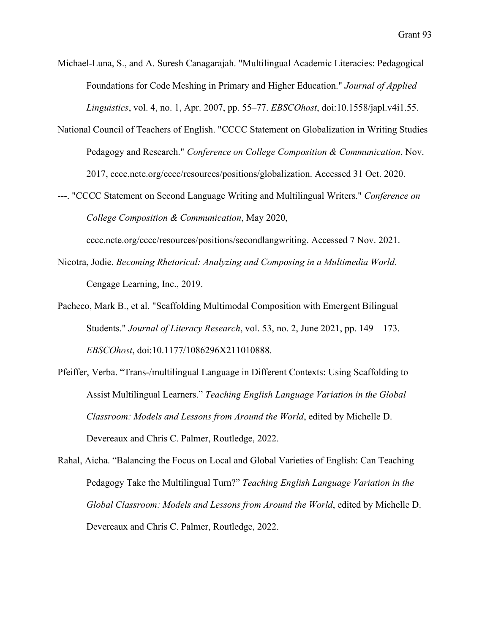Michael-Luna, S., and A. Suresh Canagarajah. "Multilingual Academic Literacies: Pedagogical Foundations for Code Meshing in Primary and Higher Education." *Journal of Applied Linguistics*, vol. 4, no. 1, Apr. 2007, pp. 55–77. *EBSCOhost*, doi:10.1558/japl.v4i1.55.

- National Council of Teachers of English. "CCCC Statement on Globalization in Writing Studies Pedagogy and Research." *Conference on College Composition & Communication*, Nov. 2017, cccc.ncte.org/cccc/resources/positions/globalization. Accessed 31 Oct. 2020.
- ---. "CCCC Statement on Second Language Writing and Multilingual Writers." *Conference on College Composition & Communication*, May 2020,

cccc.ncte.org/cccc/resources/positions/secondlangwriting. Accessed 7 Nov. 2021.

- Nicotra, Jodie. *Becoming Rhetorical: Analyzing and Composing in a Multimedia World*. Cengage Learning, Inc., 2019.
- Pacheco, Mark B., et al. "Scaffolding Multimodal Composition with Emergent Bilingual Students." *Journal of Literacy Research*, vol. 53, no. 2, June 2021, pp. 149 – 173. *EBSCOhost*, doi:10.1177/1086296X211010888.
- Pfeiffer, Verba. "Trans-/multilingual Language in Different Contexts: Using Scaffolding to Assist Multilingual Learners." *Teaching English Language Variation in the Global Classroom: Models and Lessons from Around the World*, edited by Michelle D. Devereaux and Chris C. Palmer, Routledge, 2022.
- Rahal, Aicha. "Balancing the Focus on Local and Global Varieties of English: Can Teaching Pedagogy Take the Multilingual Turn?" *Teaching English Language Variation in the Global Classroom: Models and Lessons from Around the World*, edited by Michelle D. Devereaux and Chris C. Palmer, Routledge, 2022.